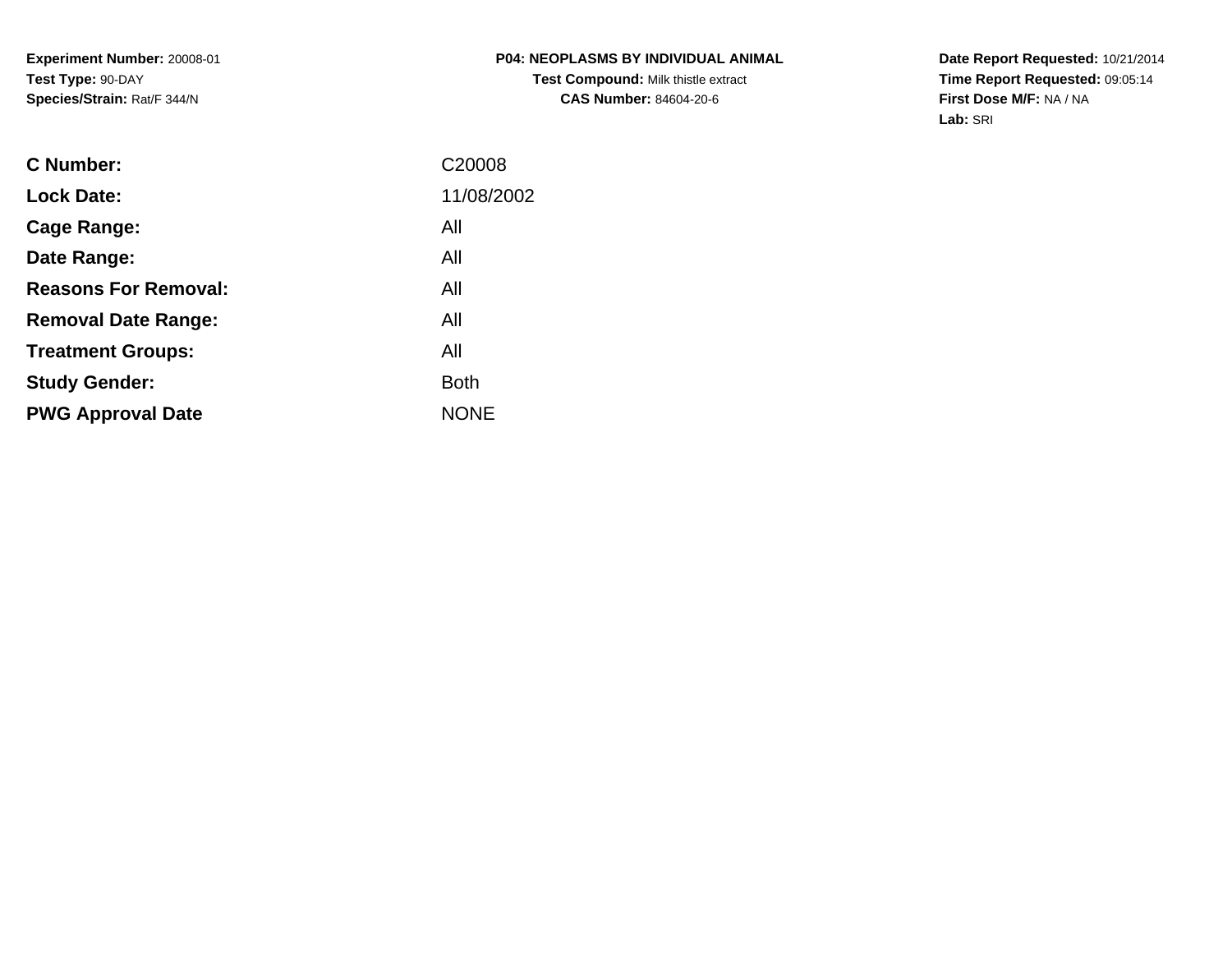**Date Report Requested:** 10/21/2014 **Time Report Requested:** 09:05:14**First Dose M/F:** NA / NA**Lab:** SRI

| <b>Lock Date:</b><br>All<br>Cage Range:<br>All<br>Date Range:<br><b>Reasons For Removal:</b><br>All<br>All<br><b>Removal Date Range:</b><br>All<br><b>Treatment Groups:</b><br><b>Both</b><br><b>Study Gender:</b><br><b>NONE</b><br><b>PWG Approval Date</b> | <b>C</b> Number: | C <sub>20008</sub> |
|---------------------------------------------------------------------------------------------------------------------------------------------------------------------------------------------------------------------------------------------------------------|------------------|--------------------|
|                                                                                                                                                                                                                                                               |                  | 11/08/2002         |
|                                                                                                                                                                                                                                                               |                  |                    |
|                                                                                                                                                                                                                                                               |                  |                    |
|                                                                                                                                                                                                                                                               |                  |                    |
|                                                                                                                                                                                                                                                               |                  |                    |
|                                                                                                                                                                                                                                                               |                  |                    |
|                                                                                                                                                                                                                                                               |                  |                    |
|                                                                                                                                                                                                                                                               |                  |                    |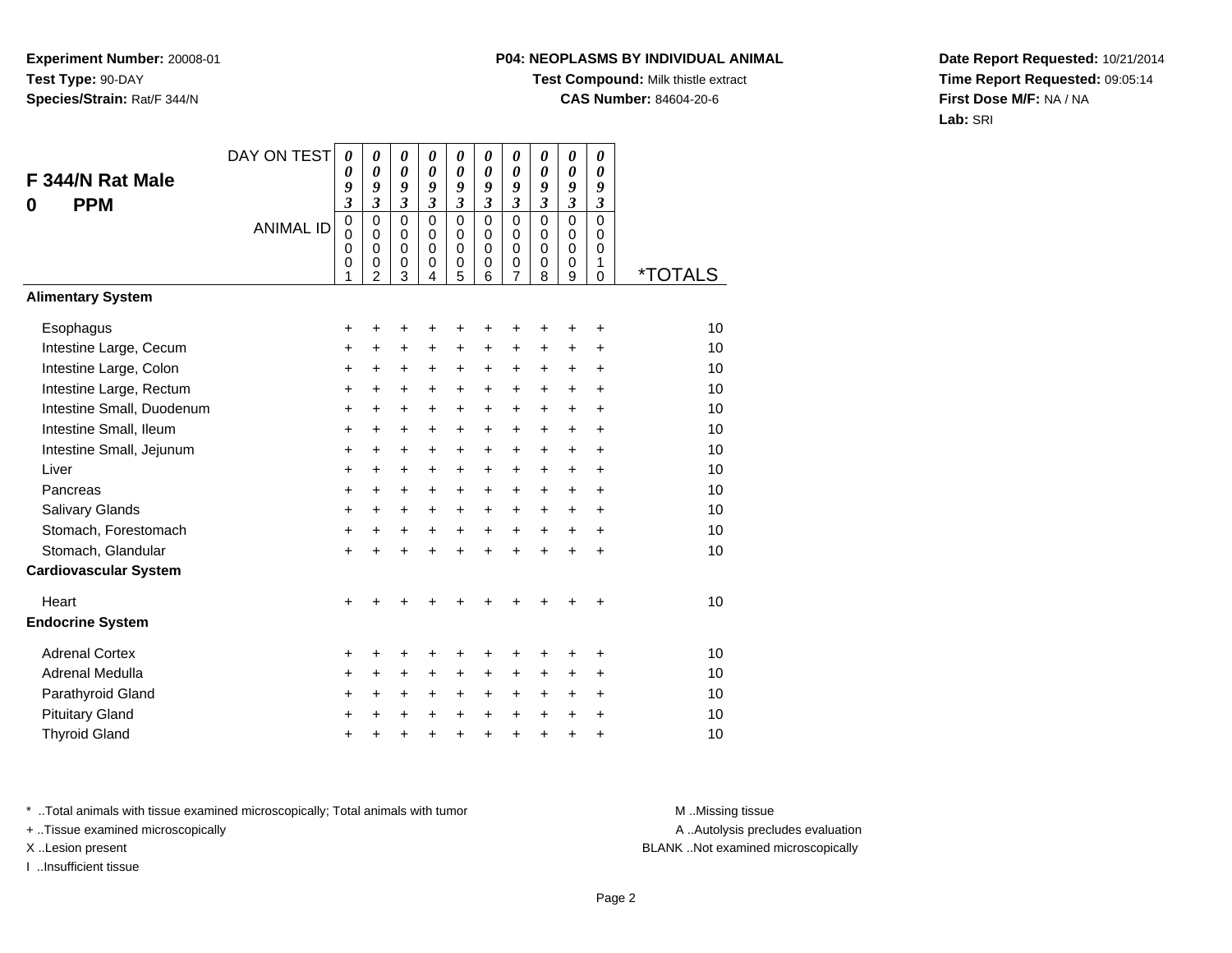# **P04: NEOPLASMS BY INDIVIDUAL ANIMAL**

**Test Compound:** Milk thistle extract

**CAS Number:** 84604-20-6

**Date Report Requested:** 10/21/2014**Time Report Requested:** 09:05:14**First Dose M/F:** NA / NA**Lab:** SRI

|                              | DAY ON TEST      | $\boldsymbol{\theta}$<br>$\boldsymbol{\theta}$                   | $\boldsymbol{\theta}$<br>$\boldsymbol{\theta}$                   | 0<br>$\pmb{\theta}$                                                        | 0<br>$\boldsymbol{\theta}$                                 | 0<br>$\boldsymbol{\theta}$                                       | 0<br>$\boldsymbol{\theta}$                                              | 0<br>$\pmb{\theta}$                                                           | 0<br>$\boldsymbol{\theta}$                                      | 0<br>$\boldsymbol{\theta}$                                                    | 0<br>0                                                     |                       |
|------------------------------|------------------|------------------------------------------------------------------|------------------------------------------------------------------|----------------------------------------------------------------------------|------------------------------------------------------------|------------------------------------------------------------------|-------------------------------------------------------------------------|-------------------------------------------------------------------------------|-----------------------------------------------------------------|-------------------------------------------------------------------------------|------------------------------------------------------------|-----------------------|
| F 344/N Rat Male             |                  | 9                                                                | 9                                                                | 9                                                                          | 9                                                          | 9                                                                | 9                                                                       | 9                                                                             | 9                                                               | 9                                                                             | 9                                                          |                       |
| <b>PPM</b><br>0              | <b>ANIMAL ID</b> | $\mathfrak{z}$<br>$\mathbf 0$<br>$\mathbf 0$<br>$\mathbf 0$<br>0 | $\mathfrak{z}$<br>$\mathbf 0$<br>$\mathbf 0$<br>$\mathbf 0$<br>0 | $\mathfrak{z}$<br>$\mathbf 0$<br>$\mathbf 0$<br>$\mathbf 0$<br>$\mathbf 0$ | $\mathfrak{z}$<br>$\mathbf 0$<br>$\Omega$<br>$\Omega$<br>0 | $\mathfrak{z}$<br>$\mathbf 0$<br>$\mathbf 0$<br>$\mathbf 0$<br>0 | $\boldsymbol{\mathfrak{z}}$<br>$\mathbf 0$<br>$\Omega$<br>$\Omega$<br>0 | $\boldsymbol{\mathfrak{z}}$<br>$\mathsf 0$<br>$\mathsf 0$<br>$\mathbf 0$<br>0 | $\overline{\mathbf{3}}$<br>0<br>$\mathbf 0$<br>$\mathbf 0$<br>0 | $\boldsymbol{\mathfrak{z}}$<br>$\mathbf 0$<br>$\mathbf 0$<br>$\mathbf 0$<br>0 | $\mathfrak{z}$<br>$\mathbf 0$<br>$\Omega$<br>$\Omega$<br>1 |                       |
| <b>Alimentary System</b>     |                  | 1                                                                | $\mathfrak{p}$                                                   | 3                                                                          | $\overline{4}$                                             | 5                                                                | 6                                                                       | 7                                                                             | 8                                                               | 9                                                                             | $\Omega$                                                   | <i><b>*TOTALS</b></i> |
| Esophagus                    |                  | +                                                                |                                                                  | +                                                                          | +                                                          | +                                                                | +                                                                       | +                                                                             | +                                                               | +                                                                             | +                                                          | 10                    |
| Intestine Large, Cecum       |                  | +                                                                | +                                                                | +                                                                          | $\ddot{}$                                                  | $\ddot{}$                                                        | $\ddot{}$                                                               | +                                                                             | +                                                               | +                                                                             | +                                                          | 10                    |
| Intestine Large, Colon       |                  | +                                                                | +                                                                | +                                                                          | +                                                          | +                                                                | +                                                                       | $\ddot{}$                                                                     | $\ddot{}$                                                       | +                                                                             | +                                                          | 10                    |
| Intestine Large, Rectum      |                  | +                                                                | $\ddot{}$                                                        | $\ddot{}$                                                                  | $\ddot{}$                                                  | $\ddot{}$                                                        | $\ddot{}$                                                               | $\ddot{}$                                                                     | $\ddot{}$                                                       | $\ddot{}$                                                                     | $\ddot{}$                                                  | 10                    |
| Intestine Small, Duodenum    |                  | $\ddot{}$                                                        | $\ddot{}$                                                        | $\ddot{}$                                                                  | $\ddot{}$                                                  | $\ddot{}$                                                        | $\ddot{}$                                                               | $\ddot{}$                                                                     | $\ddot{}$                                                       | $\ddot{}$                                                                     | $\ddot{}$                                                  | 10                    |
| Intestine Small, Ileum       |                  | $\ddot{}$                                                        | $\ddot{}$                                                        | $\ddot{}$                                                                  | $\ddot{}$                                                  | $\ddot{}$                                                        | $\ddot{}$                                                               | $\ddot{}$                                                                     | $\ddot{}$                                                       | $\ddot{}$                                                                     | $\ddot{}$                                                  | 10                    |
| Intestine Small, Jejunum     |                  | $\ddot{}$                                                        | $\ddot{}$                                                        | $\ddot{}$                                                                  | +                                                          | +                                                                | $\ddot{}$                                                               | $\ddot{}$                                                                     | $\pm$                                                           | $\ddot{}$                                                                     | $\ddot{}$                                                  | 10                    |
| Liver                        |                  | $\ddot{}$                                                        | $\ddot{}$                                                        | $\ddot{}$                                                                  | $\ddot{}$                                                  | $\ddot{}$                                                        | $\ddot{}$                                                               | $\ddot{}$                                                                     | $\ddot{}$                                                       | $\ddot{}$                                                                     | $\ddot{}$                                                  | 10                    |
| Pancreas                     |                  | $\ddot{}$                                                        | $\ddot{}$                                                        | $\ddot{}$                                                                  | $\ddot{}$                                                  | $\ddot{}$                                                        | $\ddot{}$                                                               | $\ddot{}$                                                                     | $\ddot{}$                                                       | $\ddot{}$                                                                     | $\ddot{}$                                                  | 10                    |
| Salivary Glands              |                  | +                                                                | +                                                                | $\ddot{}$                                                                  | +                                                          | +                                                                | $\ddot{}$                                                               | $\pm$                                                                         | $\pm$                                                           | $\ddot{}$                                                                     | $\ddot{}$                                                  | 10                    |
| Stomach, Forestomach         |                  | $\ddot{}$                                                        | $\ddot{}$                                                        | +                                                                          | $\ddot{}$                                                  | $\ddot{}$                                                        | $\ddot{}$                                                               | $\ddot{}$                                                                     | $\ddot{}$                                                       | $\ddot{}$                                                                     | $\ddot{}$                                                  | 10                    |
| Stomach, Glandular           |                  | $\ddot{}$                                                        | $\ddot{}$                                                        | $\ddot{}$                                                                  | $\ddot{}$                                                  | $\ddot{}$                                                        | $\ddot{}$                                                               | $\ddot{}$                                                                     | $\ddot{}$                                                       | $\ddot{}$                                                                     | $\ddot{}$                                                  | 10                    |
| <b>Cardiovascular System</b> |                  |                                                                  |                                                                  |                                                                            |                                                            |                                                                  |                                                                         |                                                                               |                                                                 |                                                                               |                                                            |                       |
| Heart                        |                  | $\ddot{}$                                                        |                                                                  |                                                                            |                                                            | ٠                                                                |                                                                         |                                                                               |                                                                 |                                                                               | $\div$                                                     | 10                    |
| <b>Endocrine System</b>      |                  |                                                                  |                                                                  |                                                                            |                                                            |                                                                  |                                                                         |                                                                               |                                                                 |                                                                               |                                                            |                       |
| <b>Adrenal Cortex</b>        |                  | +                                                                |                                                                  | +                                                                          | +                                                          | +                                                                | +                                                                       | +                                                                             | +                                                               | +                                                                             | +                                                          | 10                    |
| Adrenal Medulla              |                  | $\ddot{}$                                                        | +                                                                | $\ddot{}$                                                                  | +                                                          | $\ddot{}$                                                        | $\ddot{}$                                                               | $\ddot{}$                                                                     | $\pm$                                                           | +                                                                             | $\ddot{}$                                                  | 10                    |
| Parathyroid Gland            |                  | +                                                                | +                                                                | $\ddot{}$                                                                  | $\ddot{}$                                                  | +                                                                | $\ddot{}$                                                               | $\ddot{}$                                                                     | $\pm$                                                           | $\ddot{}$                                                                     | $\ddot{}$                                                  | 10                    |
| <b>Pituitary Gland</b>       |                  | +                                                                |                                                                  | +                                                                          | +                                                          | $\ddot{}$                                                        | $\ddot{}$                                                               | +                                                                             | $\ddot{}$                                                       | $\ddot{}$                                                                     | $\ddot{}$                                                  | 10                    |
| <b>Thyroid Gland</b>         |                  | $\ddot{}$                                                        |                                                                  | +                                                                          | $\ddot{}$                                                  | $\ddot{}$                                                        | $\ddot{}$                                                               | $\ddot{}$                                                                     | $\ddot{}$                                                       | $\ddot{}$                                                                     | $\ddot{}$                                                  | 10                    |

\* ..Total animals with tissue examined microscopically; Total animals with tumor **M** . Missing tissue M ..Missing tissue

+ ..Tissue examined microscopically

I ..Insufficient tissue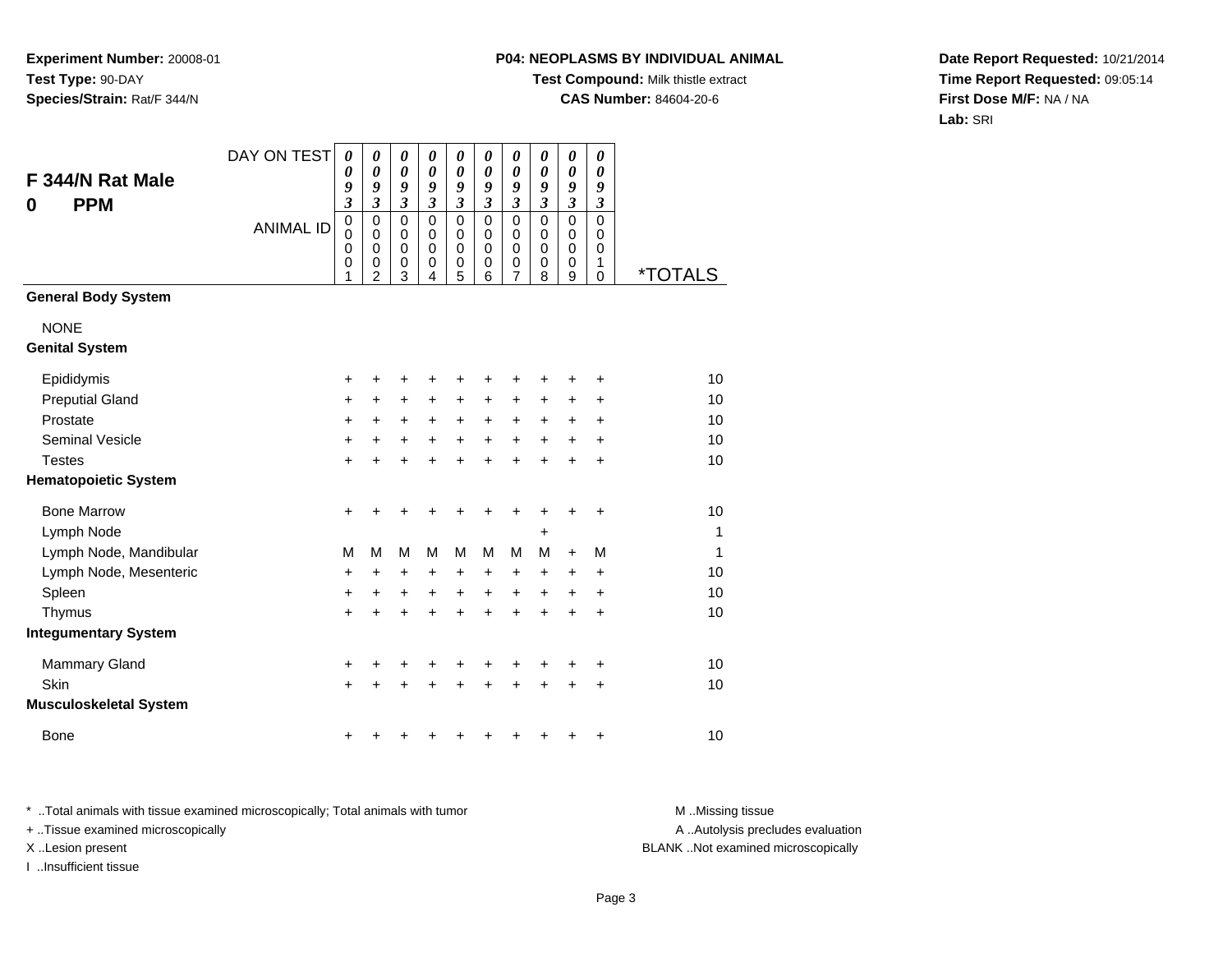## **P04: NEOPLASMS BY INDIVIDUAL ANIMAL**

**Test Compound:** Milk thistle extract

**CAS Number:** 84604-20-6

**Date Report Requested:** 10/21/2014**Time Report Requested:** 09:05:14**First Dose M/F:** NA / NA**Lab:** SRI

| F 344/N Rat Male<br><b>PPM</b><br>0 | DAY ON TEST      | 0<br>0<br>9<br>$\overline{\mathbf{3}}$ | 0<br>$\boldsymbol{\theta}$<br>9<br>$\mathfrak{z}$                | $\boldsymbol{\theta}$<br>$\boldsymbol{\theta}$<br>9<br>$\mathfrak{z}$ | $\boldsymbol{\theta}$<br>$\boldsymbol{\theta}$<br>9<br>$\mathfrak{z}$ | $\boldsymbol{\theta}$<br>$\boldsymbol{\theta}$<br>9<br>$\mathfrak{z}$ | $\boldsymbol{\theta}$<br>$\boldsymbol{\theta}$<br>9<br>$\mathfrak{z}$ | $\boldsymbol{\theta}$<br>$\pmb{\theta}$<br>9<br>$\mathfrak{z}$   | 0<br>$\boldsymbol{\theta}$<br>9<br>$\mathfrak{z}$   | 0<br>$\boldsymbol{\theta}$<br>9<br>$\mathfrak{z}$                | 0<br>$\boldsymbol{\theta}$<br>9<br>$\mathfrak{z}$ |                       |
|-------------------------------------|------------------|----------------------------------------|------------------------------------------------------------------|-----------------------------------------------------------------------|-----------------------------------------------------------------------|-----------------------------------------------------------------------|-----------------------------------------------------------------------|------------------------------------------------------------------|-----------------------------------------------------|------------------------------------------------------------------|---------------------------------------------------|-----------------------|
|                                     | <b>ANIMAL ID</b> | 0<br>0<br>0<br>0<br>1                  | $\mathbf 0$<br>$\mathbf 0$<br>$\mathbf 0$<br>0<br>$\overline{2}$ | $\mathbf 0$<br>$\mathbf 0$<br>$\mathbf 0$<br>0<br>3                   | $\mathbf 0$<br>$\mathbf 0$<br>$\mathbf 0$<br>0<br>4                   | $\mathbf 0$<br>$\mathbf 0$<br>$\mathbf 0$<br>0<br>5                   | $\mathbf 0$<br>$\mathbf 0$<br>$\mathbf 0$<br>0<br>6                   | $\mathbf 0$<br>$\mathbf 0$<br>$\mathbf 0$<br>0<br>$\overline{7}$ | $\mathbf 0$<br>$\mathbf 0$<br>$\mathbf 0$<br>0<br>8 | $\pmb{0}$<br>$\mathbf 0$<br>$\mathbf 0$<br>0<br>$\boldsymbol{9}$ | $\Omega$<br>$\Omega$<br>$\mathbf 0$<br>1<br>0     | <i><b>*TOTALS</b></i> |
| <b>General Body System</b>          |                  |                                        |                                                                  |                                                                       |                                                                       |                                                                       |                                                                       |                                                                  |                                                     |                                                                  |                                                   |                       |
| <b>NONE</b>                         |                  |                                        |                                                                  |                                                                       |                                                                       |                                                                       |                                                                       |                                                                  |                                                     |                                                                  |                                                   |                       |
| <b>Genital System</b>               |                  |                                        |                                                                  |                                                                       |                                                                       |                                                                       |                                                                       |                                                                  |                                                     |                                                                  |                                                   |                       |
| Epididymis                          |                  | +                                      | +                                                                | +                                                                     | +                                                                     | +                                                                     |                                                                       | +                                                                |                                                     | +                                                                | +                                                 | 10                    |
| <b>Preputial Gland</b>              |                  | +                                      | +                                                                | $\ddot{}$                                                             | +                                                                     | $\ddot{}$                                                             | +                                                                     | +                                                                | +                                                   | +                                                                | +                                                 | 10                    |
| Prostate                            |                  | +                                      | +                                                                | $\ddot{}$                                                             | $\ddot{}$                                                             | $\ddot{}$                                                             | $\ddot{}$                                                             | +                                                                | +                                                   | +                                                                | $\ddot{}$                                         | 10                    |
| <b>Seminal Vesicle</b>              |                  | +                                      | $\ddot{}$                                                        | $\ddot{}$                                                             | $\ddot{}$                                                             | $\ddot{}$                                                             | $\ddot{}$                                                             | $\ddot{}$                                                        | $\ddot{}$                                           | $\ddot{}$                                                        | $\ddot{}$                                         | 10                    |
| <b>Testes</b>                       |                  | $\ddot{}$                              |                                                                  | $\ddot{}$                                                             |                                                                       | $\ddot{}$                                                             |                                                                       | $\ddot{}$                                                        |                                                     | $\ddot{}$                                                        | $\ddot{}$                                         | 10                    |
| <b>Hematopoietic System</b>         |                  |                                        |                                                                  |                                                                       |                                                                       |                                                                       |                                                                       |                                                                  |                                                     |                                                                  |                                                   |                       |
| <b>Bone Marrow</b>                  |                  | +                                      | +                                                                | +                                                                     | +                                                                     | +                                                                     | +                                                                     | +                                                                | +                                                   | +                                                                | +                                                 | 10                    |
| Lymph Node                          |                  |                                        |                                                                  |                                                                       |                                                                       |                                                                       |                                                                       |                                                                  | +                                                   |                                                                  |                                                   | 1                     |
| Lymph Node, Mandibular              |                  | М                                      | M                                                                | M                                                                     | M                                                                     | M                                                                     | М                                                                     | M                                                                | м                                                   | $+$                                                              | M                                                 | 1                     |
| Lymph Node, Mesenteric              |                  | +                                      | +                                                                | +                                                                     | +                                                                     | +                                                                     | +                                                                     | +                                                                | +                                                   | +                                                                | +                                                 | 10                    |
| Spleen                              |                  | +                                      | +                                                                | $\ddot{}$                                                             | +                                                                     | $\ddot{}$                                                             | $\ddot{}$                                                             | $\ddot{}$                                                        | +                                                   | +                                                                | +                                                 | 10                    |
| Thymus                              |                  | $\ddot{}$                              |                                                                  | +                                                                     | $\ddot{}$                                                             | $\ddot{}$                                                             |                                                                       | $\ddot{}$                                                        | ÷                                                   | $\ddot{}$                                                        | $\ddot{}$                                         | 10                    |
| <b>Integumentary System</b>         |                  |                                        |                                                                  |                                                                       |                                                                       |                                                                       |                                                                       |                                                                  |                                                     |                                                                  |                                                   |                       |
| Mammary Gland                       |                  | +                                      | +                                                                | +                                                                     | +                                                                     | +                                                                     | +                                                                     | +                                                                | +                                                   | +                                                                | +                                                 | 10                    |
| Skin                                |                  | $\ddot{}$                              |                                                                  | $\ddot{}$                                                             |                                                                       | +                                                                     |                                                                       |                                                                  |                                                     | $\ddot{}$                                                        | $\ddot{}$                                         | 10                    |
| <b>Musculoskeletal System</b>       |                  |                                        |                                                                  |                                                                       |                                                                       |                                                                       |                                                                       |                                                                  |                                                     |                                                                  |                                                   |                       |
| <b>Bone</b>                         |                  | +                                      |                                                                  |                                                                       |                                                                       |                                                                       |                                                                       |                                                                  |                                                     | +                                                                | +                                                 | 10                    |

\* ..Total animals with tissue examined microscopically; Total animals with tumor **M** . Missing tissue M ..Missing tissue

+ ..Tissue examined microscopically

I ..Insufficient tissue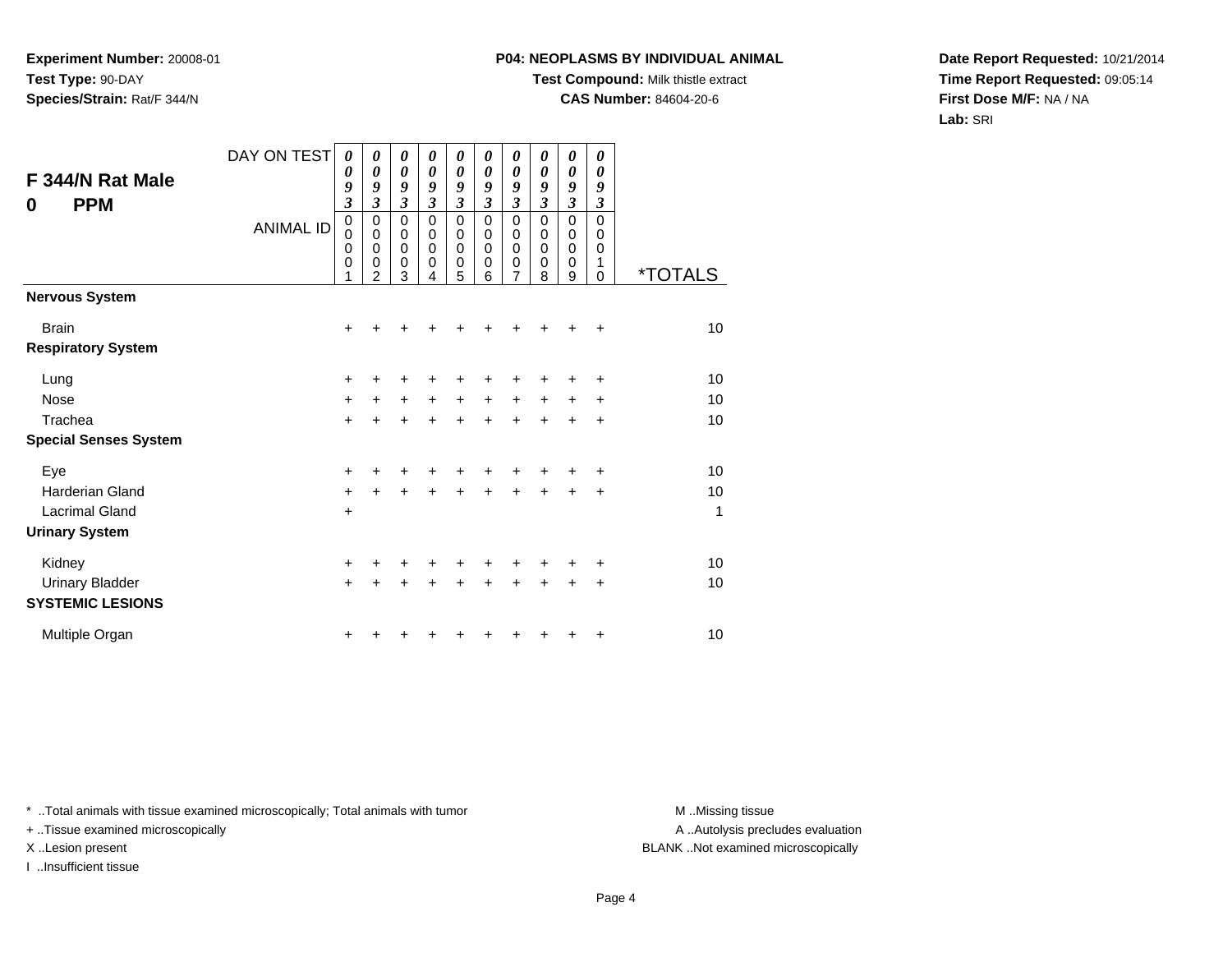### **P04: NEOPLASMS BY INDIVIDUAL ANIMAL**

**Test Compound:** Milk thistle extract

**CAS Number:** 84604-20-6

**Date Report Requested:** 10/21/2014**Time Report Requested:** 09:05:14**First Dose M/F:** NA / NA**Lab:** SRI

| F 344/N Rat Male<br><b>PPM</b><br>0               | DAY ON TEST<br><b>ANIMAL ID</b> | $\boldsymbol{\theta}$<br>0<br>9<br>$\boldsymbol{\beta}$<br>$\pmb{0}$<br>$\mathbf 0$<br>$\mathbf 0$<br>0<br>1 | 0<br>$\boldsymbol{\theta}$<br>9<br>$\mathfrak{z}$<br>$\mathbf 0$<br>$\mathbf 0$<br>$\mathbf 0$<br>0<br>$\mathfrak{p}$ | 0<br>$\boldsymbol{\theta}$<br>9<br>$\boldsymbol{\mathfrak{z}}$<br>$\pmb{0}$<br>0<br>$\mathbf 0$<br>0<br>3 | 0<br>0<br>9<br>$\mathfrak{z}$<br>$\mathbf 0$<br>0<br>0<br>0<br>4 | 0<br>0<br>9<br>$\boldsymbol{\mathfrak{z}}$<br>0<br>0<br>$\mathbf 0$<br>0<br>5 | 0<br>$\boldsymbol{\theta}$<br>9<br>$\mathfrak{z}$<br>$\mathbf 0$<br>0<br>0<br>0<br>6 | 0<br>$\boldsymbol{\theta}$<br>9<br>$\mathfrak{z}$<br>$\mathbf 0$<br>0<br>$\mathbf 0$<br>0<br>7 | 0<br>0<br>9<br>$\mathfrak{z}$<br>$\mathbf 0$<br>0<br>$\mathbf 0$<br>0<br>8 | 0<br>0<br>9<br>$\mathfrak{z}$<br>0<br>$\mathbf 0$<br>$\mathbf 0$<br>0 | 0<br>0<br>9<br>3<br>$\mathbf 0$<br>0<br>0<br>1 | *TOTALS |
|---------------------------------------------------|---------------------------------|--------------------------------------------------------------------------------------------------------------|-----------------------------------------------------------------------------------------------------------------------|-----------------------------------------------------------------------------------------------------------|------------------------------------------------------------------|-------------------------------------------------------------------------------|--------------------------------------------------------------------------------------|------------------------------------------------------------------------------------------------|----------------------------------------------------------------------------|-----------------------------------------------------------------------|------------------------------------------------|---------|
| <b>Nervous System</b>                             |                                 |                                                                                                              |                                                                                                                       |                                                                                                           |                                                                  |                                                                               |                                                                                      |                                                                                                |                                                                            | 9                                                                     | 0                                              |         |
| <b>Brain</b><br><b>Respiratory System</b>         |                                 | $\pm$                                                                                                        |                                                                                                                       |                                                                                                           |                                                                  |                                                                               |                                                                                      |                                                                                                |                                                                            |                                                                       | +                                              | 10      |
| Lung                                              |                                 | +                                                                                                            | ٠                                                                                                                     | ٠                                                                                                         | +                                                                | +                                                                             | ٠                                                                                    |                                                                                                |                                                                            |                                                                       | ٠                                              | 10      |
| <b>Nose</b>                                       |                                 | $\ddot{}$                                                                                                    | $\ddot{}$                                                                                                             | $\ddot{}$                                                                                                 | $+$                                                              | $\ddot{}$                                                                     | $\ddot{}$                                                                            | $\ddot{}$                                                                                      | $\ddot{}$                                                                  | $+$                                                                   | $\ddot{}$                                      | 10      |
| Trachea<br><b>Special Senses System</b>           |                                 | $\ddot{}$                                                                                                    | $\ddot{}$                                                                                                             | $\ddot{}$                                                                                                 | $\ddot{}$                                                        | $\ddot{}$                                                                     | ÷                                                                                    | $\ddot{}$                                                                                      | $\ddot{}$                                                                  | $\ddot{}$                                                             | +                                              | 10      |
| Eye                                               |                                 | $\ddot{}$                                                                                                    | +                                                                                                                     |                                                                                                           |                                                                  |                                                                               |                                                                                      |                                                                                                |                                                                            |                                                                       | +                                              | 10      |
| <b>Harderian Gland</b>                            |                                 | $+$                                                                                                          | +                                                                                                                     | +                                                                                                         |                                                                  | +                                                                             | ÷                                                                                    | ÷                                                                                              | ÷                                                                          | +                                                                     | +                                              | 10      |
| <b>Lacrimal Gland</b>                             |                                 | $+$                                                                                                          |                                                                                                                       |                                                                                                           |                                                                  |                                                                               |                                                                                      |                                                                                                |                                                                            |                                                                       |                                                | 1       |
| <b>Urinary System</b>                             |                                 |                                                                                                              |                                                                                                                       |                                                                                                           |                                                                  |                                                                               |                                                                                      |                                                                                                |                                                                            |                                                                       |                                                |         |
| Kidney                                            |                                 | +                                                                                                            | +                                                                                                                     | +                                                                                                         |                                                                  | ٠                                                                             | +                                                                                    | ٠                                                                                              |                                                                            | ٠                                                                     | +                                              | 10      |
| <b>Urinary Bladder</b><br><b>SYSTEMIC LESIONS</b> |                                 | $+$                                                                                                          | $\ddot{}$                                                                                                             | $\ddot{}$                                                                                                 | $\ddot{}$                                                        | $\ddot{}$                                                                     | $\ddot{}$                                                                            | $\ddot{}$                                                                                      | $\ddot{}$                                                                  | $\pm$                                                                 | +                                              | 10      |
| Multiple Organ                                    |                                 | ٠                                                                                                            |                                                                                                                       |                                                                                                           |                                                                  |                                                                               |                                                                                      |                                                                                                |                                                                            | +                                                                     | +                                              | 10      |

\* ..Total animals with tissue examined microscopically; Total animals with tumor **M** . Missing tissue M ..Missing tissue

+ ..Tissue examined microscopically

I ..Insufficient tissue

A ..Autolysis precludes evaluation

X ..Lesion present BLANK ..Not examined microscopically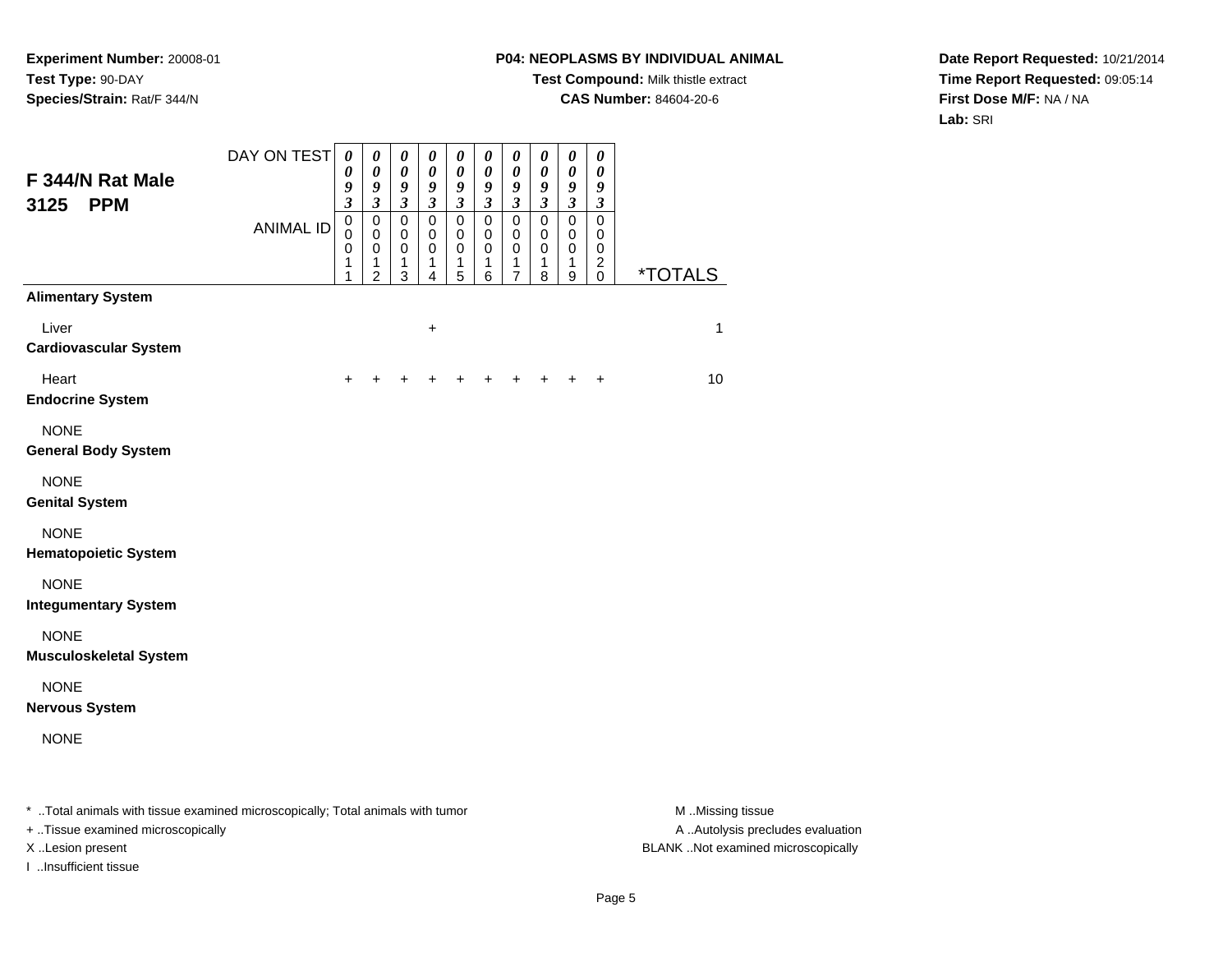# **P04: NEOPLASMS BY INDIVIDUAL ANIMAL**

**Test Compound:** Milk thistle extract

**CAS Number:** 84604-20-6

**Date Report Requested:** 10/21/2014**Time Report Requested:** 09:05:14**First Dose M/F:** NA / NA**Lab:** SRI

| F 344/N Rat Male<br><b>PPM</b><br>3125                                                                              | DAY ON TEST      | $\boldsymbol{\theta}$<br>0<br>9<br>$\mathfrak{z}$ | $\boldsymbol{\theta}$<br>$\boldsymbol{\theta}$<br>9<br>$\mathfrak{z}$ | $\boldsymbol{\theta}$<br>$\boldsymbol{\theta}$<br>9<br>$\mathfrak{z}$ | $\boldsymbol{\theta}$<br>$\boldsymbol{\theta}$<br>9<br>$\mathfrak{z}$ | 0<br>0<br>9<br>$\mathfrak{z}$         | 0<br>$\boldsymbol{\theta}$<br>9<br>$\mathfrak{z}$ | $\boldsymbol{\theta}$<br>0<br>9<br>$\overline{\mathbf{3}}$ | 0<br>$\boldsymbol{\theta}$<br>9<br>$\mathfrak{z}$ | $\pmb{\theta}$<br>$\boldsymbol{\theta}$<br>9<br>$\boldsymbol{\mathfrak{z}}$ | $\boldsymbol{\theta}$<br>$\boldsymbol{\theta}$<br>9<br>$\boldsymbol{\beta}$ |                                      |
|---------------------------------------------------------------------------------------------------------------------|------------------|---------------------------------------------------|-----------------------------------------------------------------------|-----------------------------------------------------------------------|-----------------------------------------------------------------------|---------------------------------------|---------------------------------------------------|------------------------------------------------------------|---------------------------------------------------|-----------------------------------------------------------------------------|-----------------------------------------------------------------------------|--------------------------------------|
|                                                                                                                     | <b>ANIMAL ID</b> | $\pmb{0}$<br>$\mathbf 0$<br>0<br>1<br>1           | $\mathbf 0$<br>$\mathbf 0$<br>$\mathbf 0$<br>1<br>$\overline{2}$      | $\pmb{0}$<br>$\mathbf 0$<br>0<br>1<br>$\mathfrak{S}$                  | $\mathbf 0$<br>$\mathbf 0$<br>0<br>1<br>$\overline{4}$                | $\pmb{0}$<br>$\pmb{0}$<br>0<br>1<br>5 | $\pmb{0}$<br>0<br>0<br>1<br>6                     | $\mathbf 0$<br>0<br>0<br>1<br>7                            | $\pmb{0}$<br>$\mathbf 0$<br>0<br>1<br>8           | $\mathbf 0$<br>$\mathbf 0$<br>0<br>1<br>9                                   | $\mathbf 0$<br>0<br>0<br>$\overline{\mathbf{c}}$<br>$\pmb{0}$               | <i><b>*TOTALS</b></i>                |
| <b>Alimentary System</b>                                                                                            |                  |                                                   |                                                                       |                                                                       |                                                                       |                                       |                                                   |                                                            |                                                   |                                                                             |                                                                             |                                      |
| Liver<br><b>Cardiovascular System</b>                                                                               |                  |                                                   |                                                                       |                                                                       | $\ddot{}$                                                             |                                       |                                                   |                                                            |                                                   |                                                                             |                                                                             | 1                                    |
| Heart<br><b>Endocrine System</b>                                                                                    |                  | $\div$                                            |                                                                       |                                                                       |                                                                       |                                       | $\pm$                                             | $\pm$                                                      | $\pm$                                             | $\ddot{}$                                                                   | $\ddot{}$                                                                   | 10                                   |
| <b>NONE</b><br><b>General Body System</b>                                                                           |                  |                                                   |                                                                       |                                                                       |                                                                       |                                       |                                                   |                                                            |                                                   |                                                                             |                                                                             |                                      |
| <b>NONE</b><br><b>Genital System</b>                                                                                |                  |                                                   |                                                                       |                                                                       |                                                                       |                                       |                                                   |                                                            |                                                   |                                                                             |                                                                             |                                      |
| <b>NONE</b><br><b>Hematopoietic System</b>                                                                          |                  |                                                   |                                                                       |                                                                       |                                                                       |                                       |                                                   |                                                            |                                                   |                                                                             |                                                                             |                                      |
| <b>NONE</b><br><b>Integumentary System</b>                                                                          |                  |                                                   |                                                                       |                                                                       |                                                                       |                                       |                                                   |                                                            |                                                   |                                                                             |                                                                             |                                      |
| <b>NONE</b><br><b>Musculoskeletal System</b>                                                                        |                  |                                                   |                                                                       |                                                                       |                                                                       |                                       |                                                   |                                                            |                                                   |                                                                             |                                                                             |                                      |
| <b>NONE</b><br><b>Nervous System</b>                                                                                |                  |                                                   |                                                                       |                                                                       |                                                                       |                                       |                                                   |                                                            |                                                   |                                                                             |                                                                             |                                      |
| <b>NONE</b>                                                                                                         |                  |                                                   |                                                                       |                                                                       |                                                                       |                                       |                                                   |                                                            |                                                   |                                                                             |                                                                             |                                      |
| * Total animals with tissue examined microscopically; Total animals with tumor<br>+ Tissue examined microscopically |                  |                                                   |                                                                       |                                                                       |                                                                       |                                       |                                                   |                                                            |                                                   |                                                                             |                                                                             | M Missing tissue<br>A Autolysis prec |

A ..Autolysis precludes evaluation X ..Lesion present BLANK ..Not examined microscopically

I ..Insufficient tissue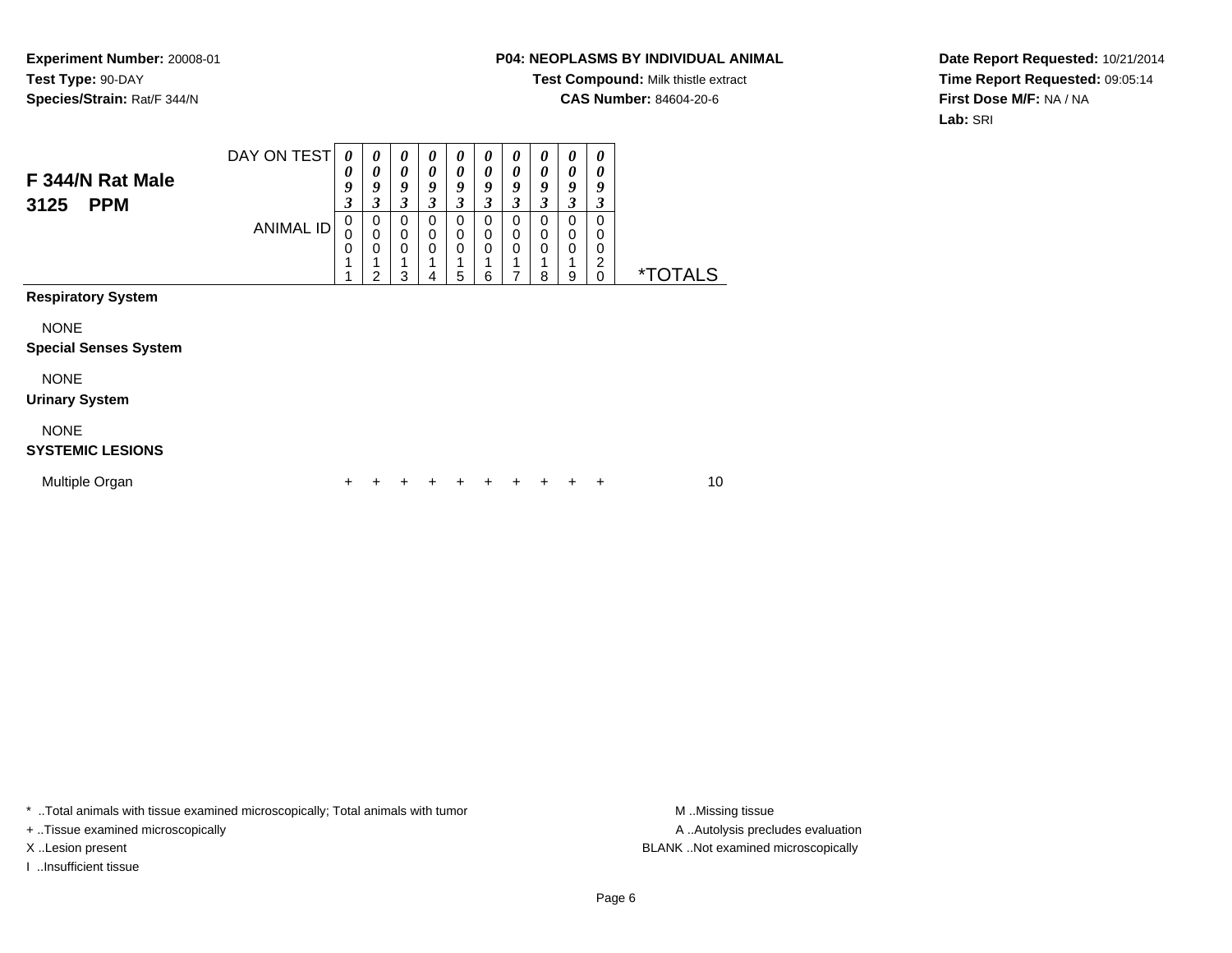## **P04: NEOPLASMS BY INDIVIDUAL ANIMAL**

**Test Compound:** Milk thistle extract

**CAS Number:** 84604-20-6

**Date Report Requested:** 10/21/2014**Time Report Requested:** 09:05:14**First Dose M/F:** NA / NA**Lab:** SRI

| F 344/N Rat Male<br>3125<br><b>PPM</b>      | DAY ON TEST<br><b>ANIMAL ID</b> | $\boldsymbol{\theta}$<br>0<br>9<br>3<br>0<br>0<br>$\mathbf 0$ | $\boldsymbol{\theta}$<br>$\boldsymbol{\theta}$<br>9<br>3<br>0<br>$\mathbf 0$<br>$\mathbf 0$ | 0<br>0<br>9<br>3<br>0<br>$\mathbf 0$<br>$\mathbf 0$ | $\boldsymbol{\theta}$<br>$\boldsymbol{\theta}$<br>9<br>3<br>0<br>$\mathbf 0$<br>$\mathbf 0$ | 0<br>$\boldsymbol{\theta}$<br>9<br>3<br>0<br>$\mathbf 0$<br>$\mathbf 0$ | 0<br>$\boldsymbol{\theta}$<br>9<br>3<br>0<br>$\mathbf 0$<br>$\mathbf 0$ | 0<br>$\theta$<br>9<br>3<br>0<br>0<br>0 | $\boldsymbol{\theta}$<br>0<br>9<br>3<br>0<br>0<br>0 | 0<br>0<br>9<br>3<br>0<br>0<br>0 | 0<br>0<br>9<br>3<br>$\Omega$<br>0<br>0 |                       |    |
|---------------------------------------------|---------------------------------|---------------------------------------------------------------|---------------------------------------------------------------------------------------------|-----------------------------------------------------|---------------------------------------------------------------------------------------------|-------------------------------------------------------------------------|-------------------------------------------------------------------------|----------------------------------------|-----------------------------------------------------|---------------------------------|----------------------------------------|-----------------------|----|
|                                             |                                 |                                                               | 1<br>$\overline{2}$                                                                         | 3                                                   | 4                                                                                           | 5                                                                       | 1<br>6                                                                  | 7                                      | 8                                                   | 9                               | 2<br>$\Omega$                          | <i><b>*TOTALS</b></i> |    |
| <b>Respiratory System</b>                   |                                 |                                                               |                                                                                             |                                                     |                                                                                             |                                                                         |                                                                         |                                        |                                                     |                                 |                                        |                       |    |
| <b>NONE</b><br><b>Special Senses System</b> |                                 |                                                               |                                                                                             |                                                     |                                                                                             |                                                                         |                                                                         |                                        |                                                     |                                 |                                        |                       |    |
| <b>NONE</b><br><b>Urinary System</b>        |                                 |                                                               |                                                                                             |                                                     |                                                                                             |                                                                         |                                                                         |                                        |                                                     |                                 |                                        |                       |    |
| <b>NONE</b><br><b>SYSTEMIC LESIONS</b>      |                                 |                                                               |                                                                                             |                                                     |                                                                                             |                                                                         |                                                                         |                                        |                                                     |                                 |                                        |                       |    |
| Multiple Organ                              |                                 | ٠                                                             | ٠                                                                                           |                                                     | ٠                                                                                           |                                                                         |                                                                         | ٠                                      | +                                                   |                                 | ÷                                      |                       | 10 |

\* ..Total animals with tissue examined microscopically; Total animals with tumor **M** . Missing tissue M ..Missing tissue

+ ..Tissue examined microscopically

I ..Insufficient tissue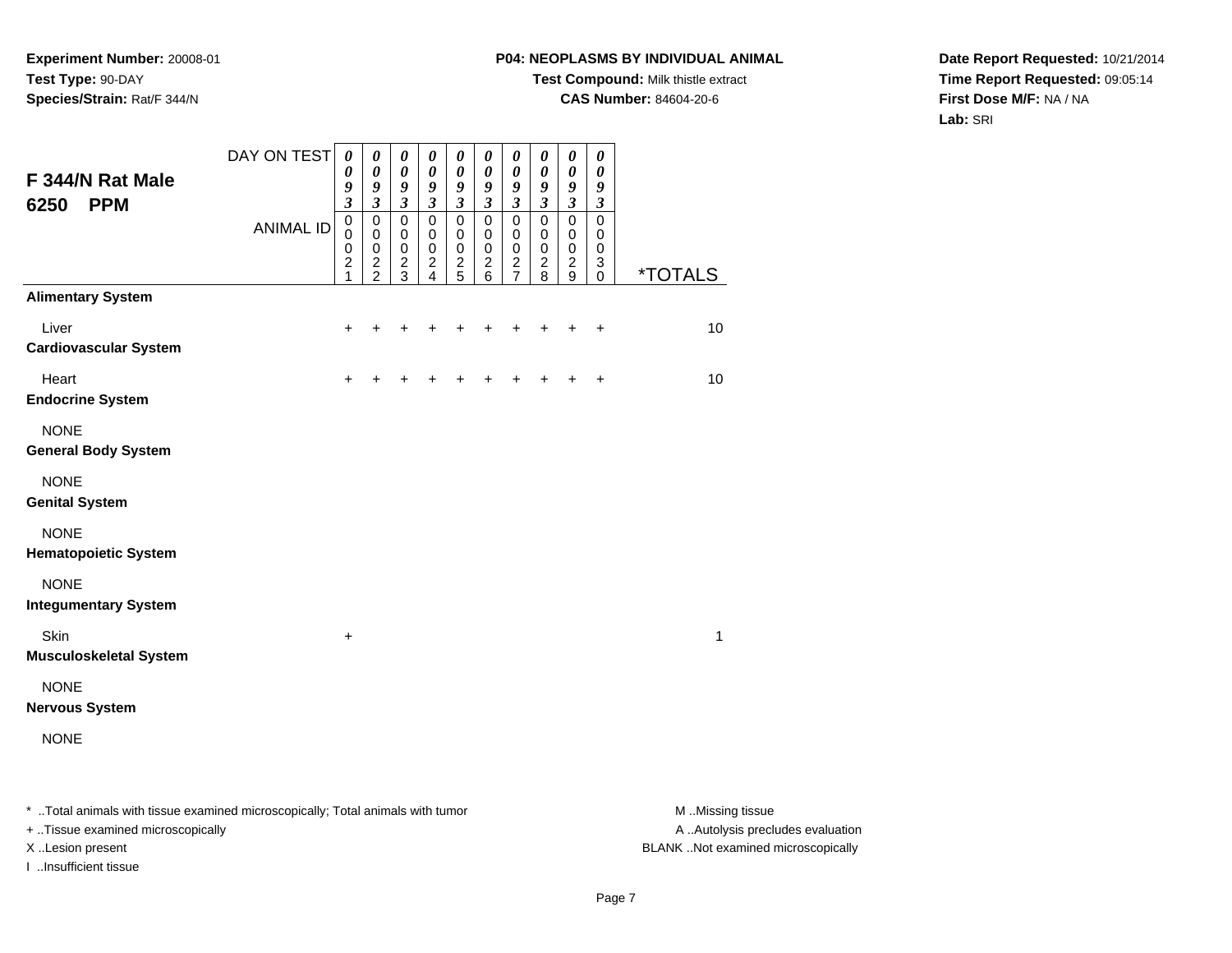# **P04: NEOPLASMS BY INDIVIDUAL ANIMAL**

**Test Compound:** Milk thistle extract

**CAS Number:** 84604-20-6

**Date Report Requested:** 10/21/2014**Time Report Requested:** 09:05:14**First Dose M/F:** NA / NA**Lab:** SRI

| F 344/N Rat Male<br><b>PPM</b><br>6250     | DAY ON TEST      | $\pmb{\theta}$<br>0<br>9<br>$\overline{\mathbf{3}}$                       | $\pmb{\theta}$<br>$\boldsymbol{\theta}$<br>9<br>$\mathfrak{z}$ | $\pmb{\theta}$<br>$\boldsymbol{\theta}$<br>$\boldsymbol{9}$<br>$\mathfrak{z}$ | 0<br>$\boldsymbol{\theta}$<br>9<br>$\mathfrak{z}$        | $\boldsymbol{\theta}$<br>$\boldsymbol{\theta}$<br>9<br>$\mathfrak{z}$ | 0<br>$\boldsymbol{\theta}$<br>9<br>$\mathfrak{z}$          | $\pmb{\theta}$<br>$\pmb{\theta}$<br>9<br>$\mathfrak{z}$ | 0<br>0<br>9<br>$\mathfrak{z}$                 | $\pmb{\theta}$<br>$\pmb{\theta}$<br>9<br>$\mathfrak{z}$    | 0<br>$\boldsymbol{\theta}$<br>9<br>$\boldsymbol{\beta}$ |                       |
|--------------------------------------------|------------------|---------------------------------------------------------------------------|----------------------------------------------------------------|-------------------------------------------------------------------------------|----------------------------------------------------------|-----------------------------------------------------------------------|------------------------------------------------------------|---------------------------------------------------------|-----------------------------------------------|------------------------------------------------------------|---------------------------------------------------------|-----------------------|
|                                            | <b>ANIMAL ID</b> | $\pmb{0}$<br>$\mathbf 0$<br>$\pmb{0}$<br>$\boldsymbol{2}$<br>$\mathbf{1}$ | $\mathbf 0$<br>$\mathbf 0$<br>$\mathbf 0$<br>$\frac{2}{2}$     | $\mathbf 0$<br>0<br>$\mathbf 0$<br>$\overline{c}$<br>$\overline{3}$           | $\mathbf 0$<br>$\mathbf 0$<br>$\pmb{0}$<br>$\frac{2}{4}$ | $\mathbf 0$<br>0<br>$\pmb{0}$<br>$\frac{2}{5}$                        | $\mathbf 0$<br>$\mathbf 0$<br>$\mathbf 0$<br>$\frac{2}{6}$ | $\mathbf 0$<br>$\pmb{0}$<br>$\pmb{0}$<br>$\frac{2}{7}$  | $\mathbf 0$<br>0<br>$\pmb{0}$<br>$_{\rm 2}^2$ | $\mathbf 0$<br>$\mathbf 0$<br>$\mathbf 0$<br>$\frac{2}{9}$ | $\Omega$<br>0<br>0<br>3<br>$\mathbf 0$                  | <i><b>*TOTALS</b></i> |
| <b>Alimentary System</b>                   |                  |                                                                           |                                                                |                                                                               |                                                          |                                                                       |                                                            |                                                         |                                               |                                                            |                                                         |                       |
| Liver<br><b>Cardiovascular System</b>      |                  | +                                                                         |                                                                |                                                                               | +                                                        | +                                                                     | +                                                          | +                                                       | +                                             | +                                                          | $\ddot{}$                                               | 10                    |
| Heart<br><b>Endocrine System</b>           |                  | $\ddot{}$                                                                 |                                                                |                                                                               | +                                                        | +                                                                     | +                                                          | $\ddot{}$                                               | $\ddot{}$                                     | $\ddot{}$                                                  | $\ddot{}$                                               | 10                    |
| <b>NONE</b><br><b>General Body System</b>  |                  |                                                                           |                                                                |                                                                               |                                                          |                                                                       |                                                            |                                                         |                                               |                                                            |                                                         |                       |
| <b>NONE</b><br><b>Genital System</b>       |                  |                                                                           |                                                                |                                                                               |                                                          |                                                                       |                                                            |                                                         |                                               |                                                            |                                                         |                       |
| <b>NONE</b><br><b>Hematopoietic System</b> |                  |                                                                           |                                                                |                                                                               |                                                          |                                                                       |                                                            |                                                         |                                               |                                                            |                                                         |                       |
| <b>NONE</b><br><b>Integumentary System</b> |                  |                                                                           |                                                                |                                                                               |                                                          |                                                                       |                                                            |                                                         |                                               |                                                            |                                                         |                       |
| Skin<br><b>Musculoskeletal System</b>      |                  | $\ddot{}$                                                                 |                                                                |                                                                               |                                                          |                                                                       |                                                            |                                                         |                                               |                                                            |                                                         | $\mathbf{1}$          |
| <b>NONE</b><br><b>Nervous System</b>       |                  |                                                                           |                                                                |                                                                               |                                                          |                                                                       |                                                            |                                                         |                                               |                                                            |                                                         |                       |
| <b>NONE</b>                                |                  |                                                                           |                                                                |                                                                               |                                                          |                                                                       |                                                            |                                                         |                                               |                                                            |                                                         |                       |
|                                            |                  |                                                                           |                                                                |                                                                               |                                                          |                                                                       |                                                            |                                                         |                                               |                                                            |                                                         |                       |

\* ..Total animals with tissue examined microscopically; Total animals with tumor **M** . Missing tissue M ..Missing tissue

+ ..Tissue examined microscopically

I ..Insufficient tissue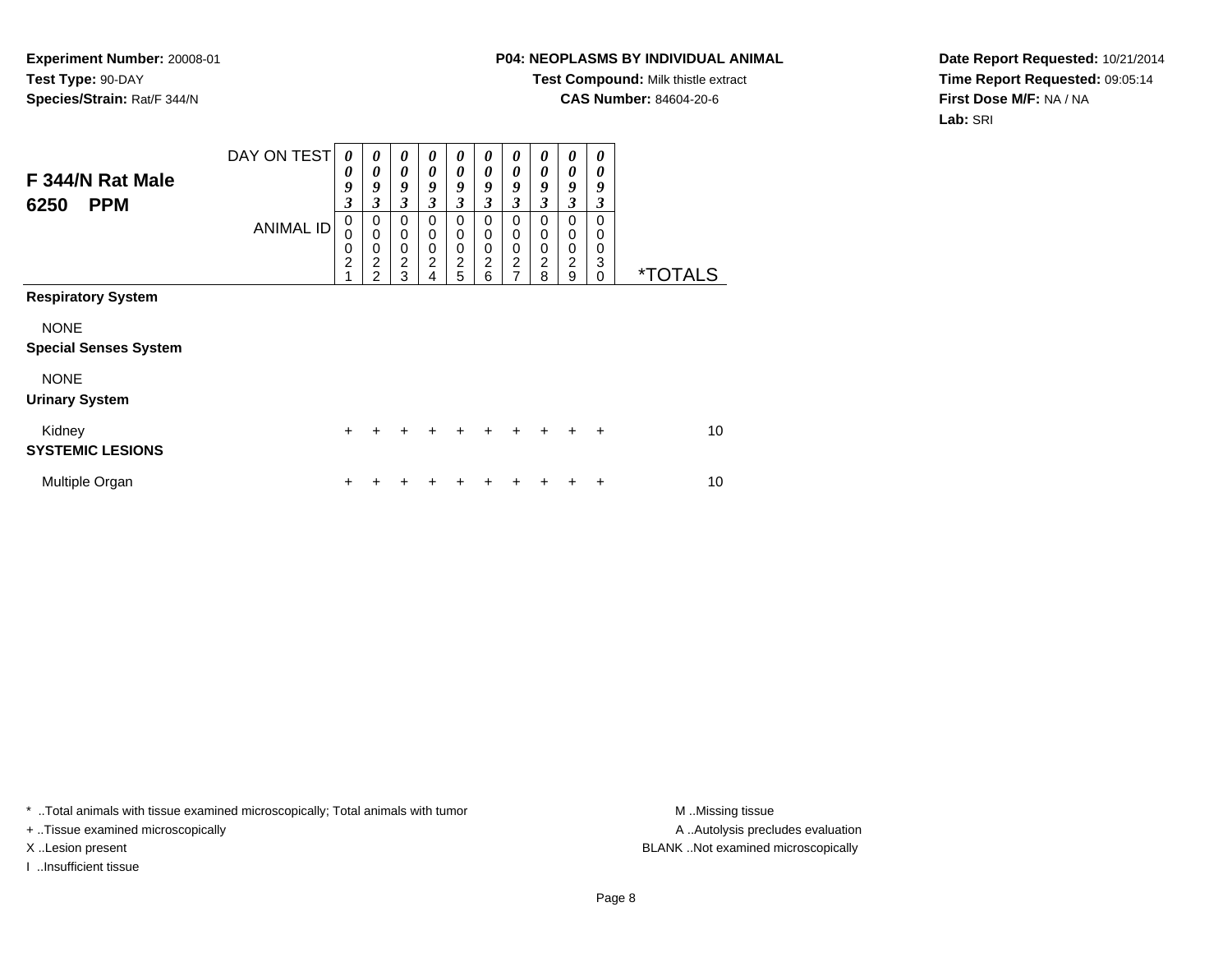## **P04: NEOPLASMS BY INDIVIDUAL ANIMAL**

**Test Compound:** Milk thistle extract

**CAS Number:** 84604-20-6

**Date Report Requested:** 10/21/2014**Time Report Requested:** 09:05:14**First Dose M/F:** NA / NA**Lab:** SRI

| F 344/N Rat Male<br><b>PPM</b><br>6250      | DAY ON TEST      | $\boldsymbol{\theta}$<br>0<br>9<br>3    | 0<br>0<br>9<br>3                                                    | 0<br>$\boldsymbol{\theta}$<br>9<br>3                   | 0<br>0<br>9<br>3                   | $\boldsymbol{\theta}$<br>$\boldsymbol{\theta}$<br>9<br>3                      | $\boldsymbol{\theta}$<br>$\boldsymbol{\theta}$<br>9<br>3 | 0<br>$\boldsymbol{\theta}$<br>9<br>3                                        | 0<br>$\boldsymbol{\theta}$<br>9<br>3                          | $\boldsymbol{\theta}$<br>$\boldsymbol{\theta}$<br>9<br>$\mathfrak{z}$ | 0<br>0<br>9<br>3             |                       |
|---------------------------------------------|------------------|-----------------------------------------|---------------------------------------------------------------------|--------------------------------------------------------|------------------------------------|-------------------------------------------------------------------------------|----------------------------------------------------------|-----------------------------------------------------------------------------|---------------------------------------------------------------|-----------------------------------------------------------------------|------------------------------|-----------------------|
|                                             | <b>ANIMAL ID</b> | $\mathbf 0$<br>0<br>0<br>$\overline{c}$ | 0<br>$\mathbf 0$<br>$\mathbf 0$<br>$\overline{2}$<br>$\mathfrak{p}$ | $\mathbf 0$<br>$\mathbf 0$<br>0<br>$\overline{c}$<br>3 | 0<br>0<br>0<br>$\overline{c}$<br>4 | $\mathbf 0$<br>$\mathbf 0$<br>$\mathbf 0$<br>$\overline{2}$<br>$\overline{5}$ | $\mathbf 0$<br>$\mathbf 0$<br>0<br>$\overline{c}$<br>6   | $\mathbf 0$<br>$\mathbf 0$<br>$\pmb{0}$<br>$\overline{c}$<br>$\overline{7}$ | $\Omega$<br>$\mathbf 0$<br>$\mathbf 0$<br>$\overline{c}$<br>8 | $\Omega$<br>$\mathbf 0$<br>$\pmb{0}$<br>$\overline{c}$<br>9           | 0<br>0<br>0<br>3<br>$\Omega$ | <i><b>*TOTALS</b></i> |
| <b>Respiratory System</b>                   |                  |                                         |                                                                     |                                                        |                                    |                                                                               |                                                          |                                                                             |                                                               |                                                                       |                              |                       |
| <b>NONE</b><br><b>Special Senses System</b> |                  |                                         |                                                                     |                                                        |                                    |                                                                               |                                                          |                                                                             |                                                               |                                                                       |                              |                       |
| <b>NONE</b><br><b>Urinary System</b>        |                  |                                         |                                                                     |                                                        |                                    |                                                                               |                                                          |                                                                             |                                                               |                                                                       |                              |                       |
| Kidney<br><b>SYSTEMIC LESIONS</b>           |                  | $\ddot{}$                               | +                                                                   | $\ddot{}$                                              | $\ddot{}$                          | $\ddot{}$                                                                     | $\ddot{}$                                                | $\ddot{}$                                                                   | $\ddot{}$                                                     | $\ddot{}$                                                             | $\ddot{}$                    | 10                    |
| Multiple Organ                              |                  | ÷                                       |                                                                     |                                                        |                                    | ٠                                                                             |                                                          |                                                                             |                                                               |                                                                       | +                            | 10                    |

\* ..Total animals with tissue examined microscopically; Total animals with tumor **M** . Missing tissue M ..Missing tissue

+ ..Tissue examined microscopically

I ..Insufficient tissue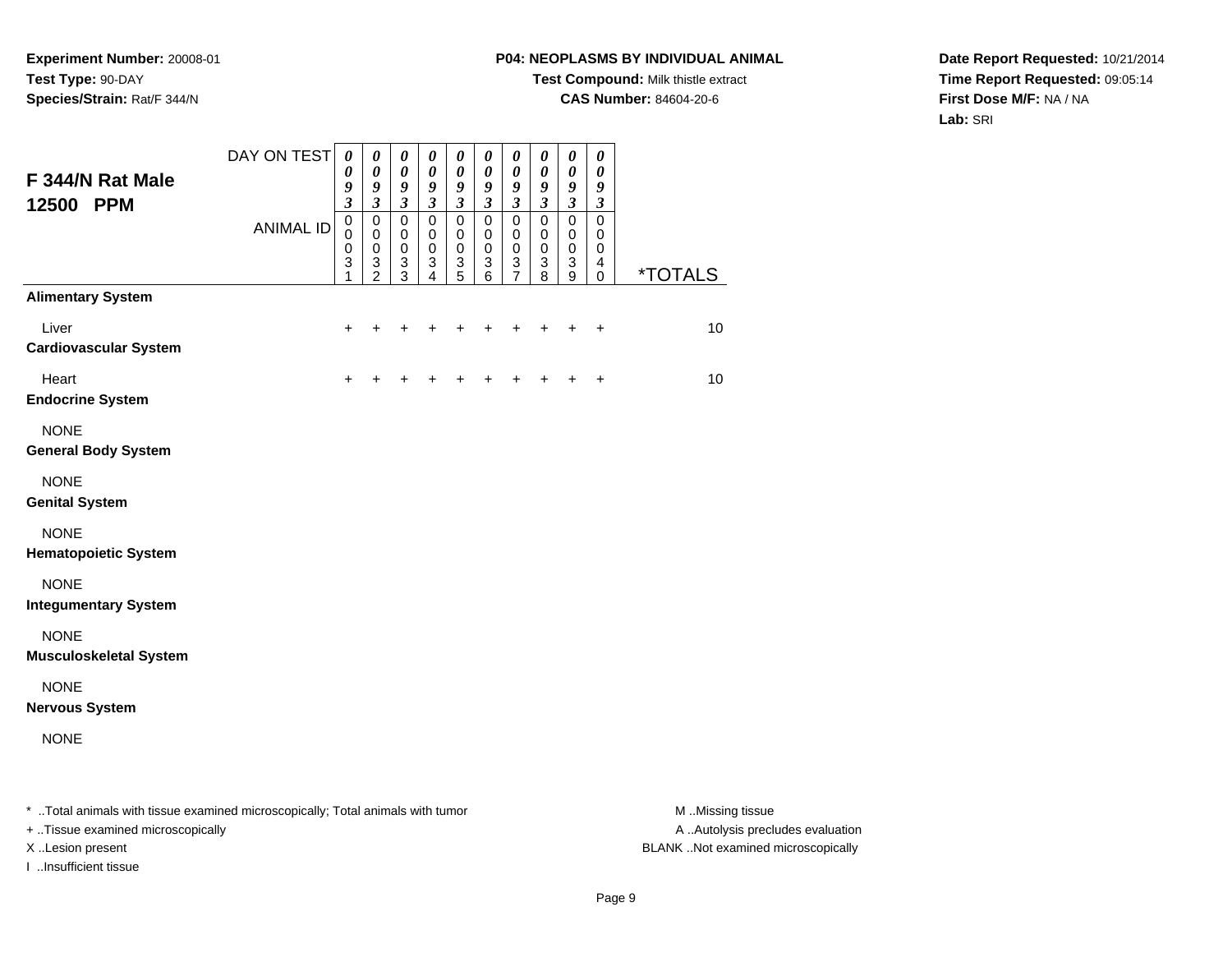# **P04: NEOPLASMS BY INDIVIDUAL ANIMAL**

**Test Compound:** Milk thistle extract

**CAS Number:** 84604-20-6

**Date Report Requested:** 10/21/2014**Time Report Requested:** 09:05:14**First Dose M/F:** NA / NA**Lab:** SRI

| F 344/N Rat Male<br>12500 PPM                                                  | DAY ON TEST      | $\boldsymbol{\theta}$<br>0<br>9<br>$\mathfrak{z}$ | $\boldsymbol{\theta}$<br>$\pmb{\theta}$<br>9<br>$\boldsymbol{\beta}$ | $\pmb{\theta}$<br>$\pmb{\theta}$<br>9<br>$\mathfrak{z}$                 | $\pmb{\theta}$<br>$\pmb{\theta}$<br>9<br>$\boldsymbol{\mathfrak{z}}$        | $\pmb{\theta}$<br>$\boldsymbol{\theta}$<br>9<br>$\boldsymbol{\beta}$ | $\boldsymbol{\theta}$<br>$\boldsymbol{\theta}$<br>9<br>$\boldsymbol{\beta}$ | $\pmb{\theta}$<br>$\boldsymbol{\theta}$<br>9<br>$\mathfrak{z}$ | $\pmb{\theta}$<br>0<br>9<br>$\boldsymbol{\mathfrak{z}}$         | $\pmb{\theta}$<br>$\pmb{\theta}$<br>9<br>$\mathfrak{z}$ | $\pmb{\theta}$<br>$\boldsymbol{\theta}$<br>9<br>$\boldsymbol{\beta}$ |                       |
|--------------------------------------------------------------------------------|------------------|---------------------------------------------------|----------------------------------------------------------------------|-------------------------------------------------------------------------|-----------------------------------------------------------------------------|----------------------------------------------------------------------|-----------------------------------------------------------------------------|----------------------------------------------------------------|-----------------------------------------------------------------|---------------------------------------------------------|----------------------------------------------------------------------|-----------------------|
|                                                                                | <b>ANIMAL ID</b> | $\mbox{O}$<br>0<br>$\,0\,$<br>3<br>1              | $\mathbf 0$<br>$\pmb{0}$<br>$\pmb{0}$<br>3<br>$\overline{2}$         | $\mathsf 0$<br>$\mathbf 0$<br>$\,0\,$<br>$\ensuremath{\mathsf{3}}$<br>3 | $\mathsf 0$<br>$\mathbf 0$<br>$\mathbf 0$<br>$\ensuremath{\mathsf{3}}$<br>4 | $\mathbf 0$<br>$\pmb{0}$<br>$\,0\,$<br>3<br>5                        | $\pmb{0}$<br>0<br>$\pmb{0}$<br>$\sqrt{3}$<br>$\,6$                          | $\pmb{0}$<br>0<br>$\,0\,$<br>3<br>7                            | $\mathsf 0$<br>0<br>$\pmb{0}$<br>$\ensuremath{\mathsf{3}}$<br>8 | $\mathsf 0$<br>0<br>$\mathbf 0$<br>3<br>9               | $\pmb{0}$<br>0<br>$\pmb{0}$<br>4<br>0                                | <i><b>*TOTALS</b></i> |
| <b>Alimentary System</b>                                                       |                  |                                                   |                                                                      |                                                                         |                                                                             |                                                                      |                                                                             |                                                                |                                                                 |                                                         |                                                                      |                       |
| Liver<br><b>Cardiovascular System</b>                                          |                  | $\ddot{}$                                         | $\ddot{}$                                                            | ٠                                                                       | +                                                                           | +                                                                    | +                                                                           | +                                                              | +                                                               | $\ddot{}$                                               | $\ddot{}$                                                            | 10                    |
| Heart<br><b>Endocrine System</b>                                               |                  | +                                                 |                                                                      |                                                                         |                                                                             |                                                                      |                                                                             |                                                                |                                                                 |                                                         | $\ddot{}$                                                            | 10                    |
| <b>NONE</b><br><b>General Body System</b>                                      |                  |                                                   |                                                                      |                                                                         |                                                                             |                                                                      |                                                                             |                                                                |                                                                 |                                                         |                                                                      |                       |
| <b>NONE</b><br><b>Genital System</b>                                           |                  |                                                   |                                                                      |                                                                         |                                                                             |                                                                      |                                                                             |                                                                |                                                                 |                                                         |                                                                      |                       |
| <b>NONE</b><br><b>Hematopoietic System</b>                                     |                  |                                                   |                                                                      |                                                                         |                                                                             |                                                                      |                                                                             |                                                                |                                                                 |                                                         |                                                                      |                       |
| <b>NONE</b><br><b>Integumentary System</b>                                     |                  |                                                   |                                                                      |                                                                         |                                                                             |                                                                      |                                                                             |                                                                |                                                                 |                                                         |                                                                      |                       |
| <b>NONE</b><br><b>Musculoskeletal System</b>                                   |                  |                                                   |                                                                      |                                                                         |                                                                             |                                                                      |                                                                             |                                                                |                                                                 |                                                         |                                                                      |                       |
| <b>NONE</b><br><b>Nervous System</b>                                           |                  |                                                   |                                                                      |                                                                         |                                                                             |                                                                      |                                                                             |                                                                |                                                                 |                                                         |                                                                      |                       |
| <b>NONE</b>                                                                    |                  |                                                   |                                                                      |                                                                         |                                                                             |                                                                      |                                                                             |                                                                |                                                                 |                                                         |                                                                      |                       |
| * Total animals with tissue examined microscopically; Total animals with tumor |                  |                                                   |                                                                      |                                                                         |                                                                             |                                                                      |                                                                             |                                                                |                                                                 |                                                         |                                                                      | M Missing tissue      |

+ ..Tissue examined microscopically

I ..Insufficient tissue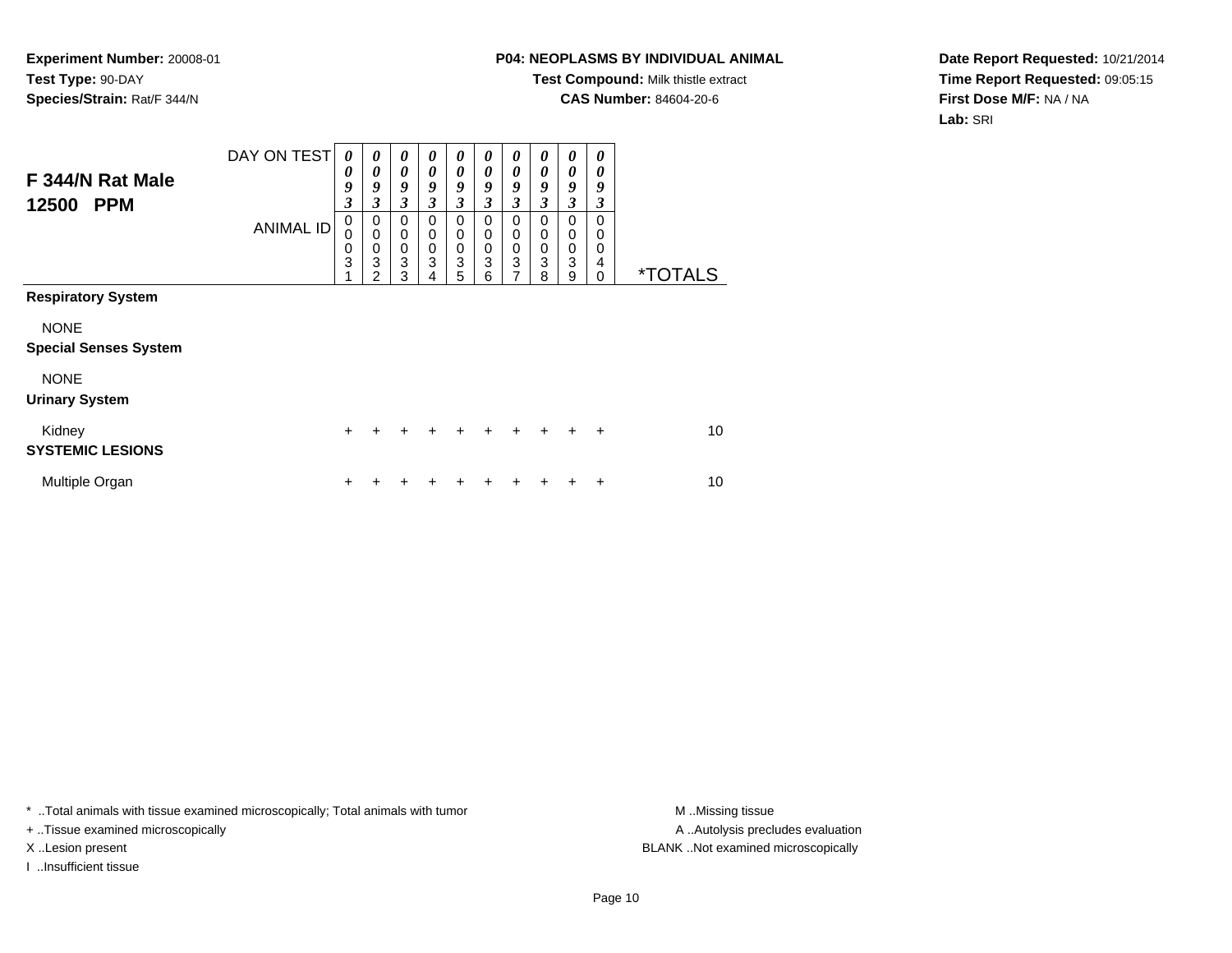## **P04: NEOPLASMS BY INDIVIDUAL ANIMAL**

**Test Compound:** Milk thistle extract

**CAS Number:** 84604-20-6

**Date Report Requested:** 10/21/2014**Time Report Requested:** 09:05:15**First Dose M/F:** NA / NA**Lab:** SRI

| F 344/N Rat Male<br>12500<br><b>PPM</b>                                  | DAY ON TEST<br><b>ANIMAL ID</b> | $\boldsymbol{\theta}$<br>0<br>9<br>3<br>0<br>0<br>0<br>3 | $\boldsymbol{\theta}$<br>0<br>9<br>3<br>0<br>$\mathbf 0$<br>$\mathbf 0$<br>3 | $\boldsymbol{\theta}$<br>$\boldsymbol{\theta}$<br>9<br>3<br>0<br>$\mathbf 0$<br>$\pmb{0}$<br>3 | 0<br>0<br>9<br>3<br>0<br>0<br>0<br>3 | $\boldsymbol{\theta}$<br>$\boldsymbol{\theta}$<br>9<br>3<br>0<br>0<br>$\pmb{0}$<br>3 | 0<br>$\boldsymbol{\theta}$<br>9<br>3<br>$\mathbf 0$<br>$\mathbf 0$<br>$\pmb{0}$<br>3 | 0<br>$\boldsymbol{\theta}$<br>9<br>$\mathfrak{z}$<br>0<br>$\mathbf 0$<br>$\,0\,$<br>$\mathbf{3}$ | 0<br>0<br>9<br>3<br>0<br>0<br>$\,0\,$<br>$\mathbf{3}$ | 0<br>0<br>9<br>3<br>0<br>0<br>0<br>3 | 0<br>0<br>9<br>3<br>0<br>0<br>0<br>4 |                       |
|--------------------------------------------------------------------------|---------------------------------|----------------------------------------------------------|------------------------------------------------------------------------------|------------------------------------------------------------------------------------------------|--------------------------------------|--------------------------------------------------------------------------------------|--------------------------------------------------------------------------------------|--------------------------------------------------------------------------------------------------|-------------------------------------------------------|--------------------------------------|--------------------------------------|-----------------------|
| <b>Respiratory System</b><br><b>NONE</b><br><b>Special Senses System</b> |                                 |                                                          | 2                                                                            | 3                                                                                              | 4                                    | 5                                                                                    | 6                                                                                    | 7                                                                                                | 8                                                     | 9                                    | 0                                    | <i><b>*TOTALS</b></i> |
| <b>NONE</b><br><b>Urinary System</b>                                     |                                 |                                                          |                                                                              |                                                                                                |                                      |                                                                                      |                                                                                      |                                                                                                  |                                                       |                                      |                                      |                       |
| Kidney<br><b>SYSTEMIC LESIONS</b>                                        |                                 | $\ddot{}$                                                | +                                                                            | $\ddot{}$                                                                                      | $\ddot{}$                            | $\ddot{}$                                                                            | $\ddot{}$                                                                            | $\ddot{}$                                                                                        | $\pm$                                                 | ÷                                    | $\ddot{}$                            | 10                    |
| Multiple Organ                                                           |                                 | ٠                                                        |                                                                              |                                                                                                |                                      | +                                                                                    |                                                                                      |                                                                                                  |                                                       |                                      | ٠                                    | 10                    |

\* ..Total animals with tissue examined microscopically; Total animals with tumor **M** . Missing tissue M ..Missing tissue

+ ..Tissue examined microscopically

I ..Insufficient tissue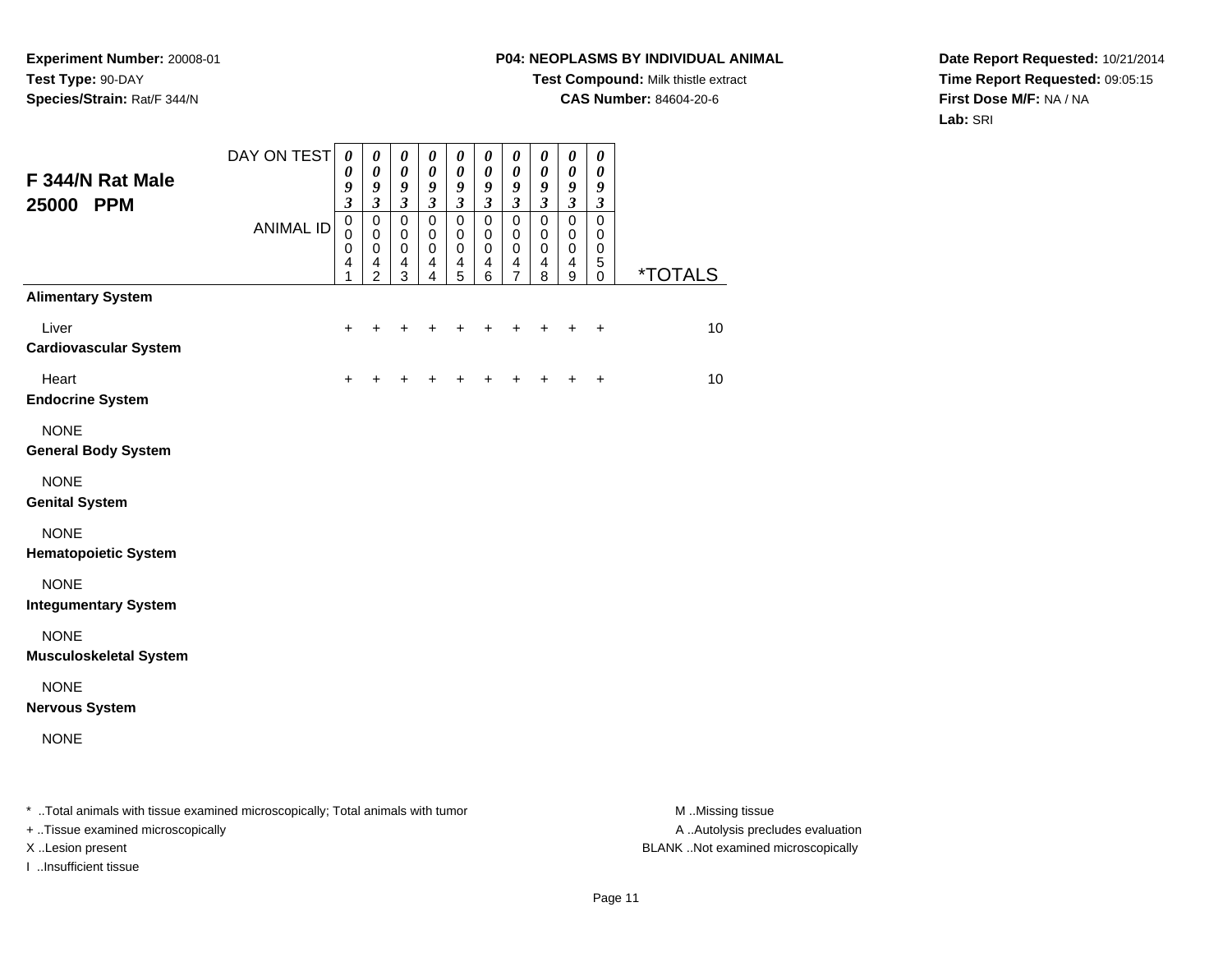# **P04: NEOPLASMS BY INDIVIDUAL ANIMAL**

**Test Compound:** Milk thistle extract

**CAS Number:** 84604-20-6

**Date Report Requested:** 10/21/2014**Time Report Requested:** 09:05:15**First Dose M/F:** NA / NA**Lab:** SRI

| F 344/N Rat Male<br>25000 PPM                                                  | DAY ON TEST      | $\boldsymbol{\theta}$<br>0<br>9<br>$\overline{\mathbf{3}}$ | $\boldsymbol{\theta}$<br>0<br>9<br>$\mathfrak{z}$  | $\pmb{\theta}$<br>0<br>9<br>$\boldsymbol{\mathfrak{z}}$ | $\pmb{\theta}$<br>0<br>9<br>$\boldsymbol{\mathfrak{z}}$ | $\pmb{\theta}$<br>0<br>9<br>$\boldsymbol{\mathfrak{z}}$         | $\boldsymbol{\theta}$<br>0<br>9<br>$\boldsymbol{\beta}$ | $\boldsymbol{\theta}$<br>0<br>9<br>$\mathfrak{z}$      | $\pmb{\theta}$<br>0<br>9<br>$\mathfrak{z}$                            | $\pmb{\theta}$<br>0<br>9<br>$\boldsymbol{\mathfrak{z}}$ | $\pmb{\theta}$<br>0<br>9<br>$\boldsymbol{\beta}$ |                       |
|--------------------------------------------------------------------------------|------------------|------------------------------------------------------------|----------------------------------------------------|---------------------------------------------------------|---------------------------------------------------------|-----------------------------------------------------------------|---------------------------------------------------------|--------------------------------------------------------|-----------------------------------------------------------------------|---------------------------------------------------------|--------------------------------------------------|-----------------------|
|                                                                                | <b>ANIMAL ID</b> | $\mathbf 0$<br>0<br>0<br>4<br>1                            | 0<br>$\pmb{0}$<br>$\pmb{0}$<br>4<br>$\overline{2}$ | $\pmb{0}$<br>$\mathbf 0$<br>$\mathbf 0$<br>4<br>3       | $\mathsf 0$<br>$\pmb{0}$<br>0<br>4<br>4                 | $\mathbf 0$<br>$\mathbf 0$<br>0<br>$\overline{\mathbf{4}}$<br>5 | $\pmb{0}$<br>$\pmb{0}$<br>0<br>4<br>6                   | $\mathbf 0$<br>$\mathbf 0$<br>0<br>$\overline{4}$<br>7 | $\pmb{0}$<br>$\mathbf 0$<br>$\pmb{0}$<br>$\overline{\mathbf{4}}$<br>8 | $\pmb{0}$<br>0<br>0<br>4<br>9                           | $\mathbf 0$<br>0<br>0<br>$\mathbf 5$<br>0        | <i><b>*TOTALS</b></i> |
| <b>Alimentary System</b>                                                       |                  |                                                            |                                                    |                                                         |                                                         |                                                                 |                                                         |                                                        |                                                                       |                                                         |                                                  |                       |
| Liver<br><b>Cardiovascular System</b>                                          |                  | +                                                          | ÷                                                  | ٠                                                       | +                                                       |                                                                 | ٠                                                       | +                                                      | +                                                                     | ÷                                                       | $\ddot{}$                                        | 10                    |
| Heart<br><b>Endocrine System</b>                                               |                  | +                                                          |                                                    |                                                         |                                                         |                                                                 |                                                         |                                                        |                                                                       |                                                         | $\ddot{}$                                        | 10                    |
| <b>NONE</b><br><b>General Body System</b>                                      |                  |                                                            |                                                    |                                                         |                                                         |                                                                 |                                                         |                                                        |                                                                       |                                                         |                                                  |                       |
| <b>NONE</b><br><b>Genital System</b>                                           |                  |                                                            |                                                    |                                                         |                                                         |                                                                 |                                                         |                                                        |                                                                       |                                                         |                                                  |                       |
| <b>NONE</b><br><b>Hematopoietic System</b>                                     |                  |                                                            |                                                    |                                                         |                                                         |                                                                 |                                                         |                                                        |                                                                       |                                                         |                                                  |                       |
| <b>NONE</b><br><b>Integumentary System</b>                                     |                  |                                                            |                                                    |                                                         |                                                         |                                                                 |                                                         |                                                        |                                                                       |                                                         |                                                  |                       |
| <b>NONE</b><br><b>Musculoskeletal System</b>                                   |                  |                                                            |                                                    |                                                         |                                                         |                                                                 |                                                         |                                                        |                                                                       |                                                         |                                                  |                       |
| <b>NONE</b><br><b>Nervous System</b>                                           |                  |                                                            |                                                    |                                                         |                                                         |                                                                 |                                                         |                                                        |                                                                       |                                                         |                                                  |                       |
| <b>NONE</b>                                                                    |                  |                                                            |                                                    |                                                         |                                                         |                                                                 |                                                         |                                                        |                                                                       |                                                         |                                                  |                       |
| * Total animals with tissue examined microscopically; Total animals with tumor |                  |                                                            |                                                    |                                                         |                                                         |                                                                 |                                                         |                                                        |                                                                       |                                                         |                                                  | M Missing tissue      |

+ ..Tissue examined microscopically

I ..Insufficient tissue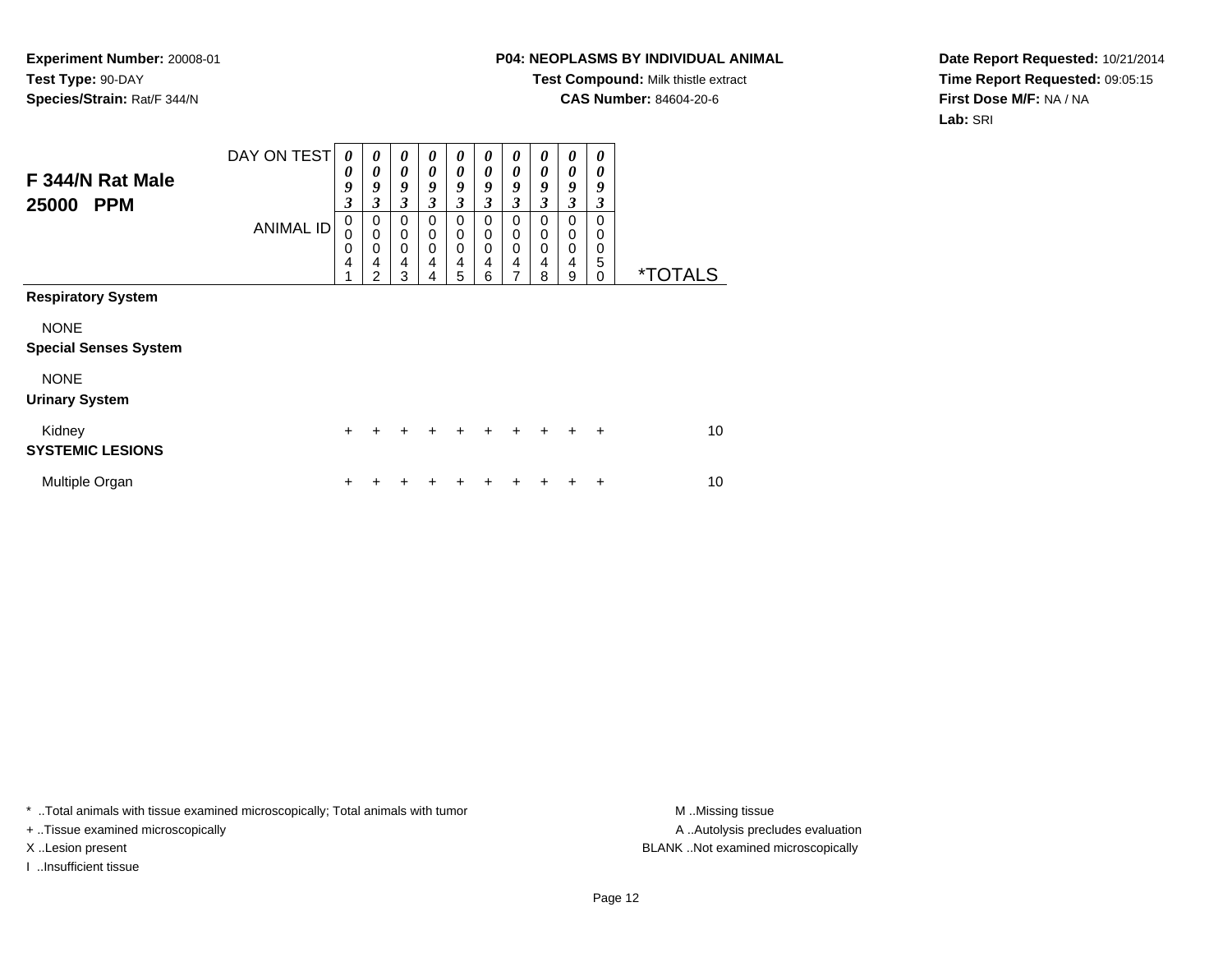# **P04: NEOPLASMS BY INDIVIDUAL ANIMAL**

**Test Compound:** Milk thistle extract

**CAS Number:** 84604-20-6

**Date Report Requested:** 10/21/2014**Time Report Requested:** 09:05:15**First Dose M/F:** NA / NA**Lab:** SRI

| F 344/N Rat Male<br><b>PPM</b><br>25000     | DAY ON TEST<br><b>ANIMAL ID</b> | $\boldsymbol{\theta}$<br>0<br>9<br>3<br>0<br>0<br>0<br>4 | 0<br>0<br>9<br>3<br>0<br>$\mathbf 0$<br>0<br>4<br>2 | 0<br>$\boldsymbol{\theta}$<br>9<br>$\mathfrak{z}$<br>$\mathbf 0$<br>$\mathbf 0$<br>$\mathbf 0$<br>4<br>3 | $\boldsymbol{\theta}$<br>0<br>9<br>3<br>$\Omega$<br>$\mathbf 0$<br>$\mathbf 0$<br>4<br>4 | $\boldsymbol{\theta}$<br>$\boldsymbol{\theta}$<br>9<br>$\mathfrak{z}$<br>0<br>$\mathbf 0$<br>$\mathbf 0$<br>$\overline{\mathbf{4}}$<br>5 | 0<br>0<br>9<br>3<br>0<br>0<br>0<br>4<br>6 | 0<br>0<br>9<br>3<br>0<br>0<br>0<br>4<br>7 | 0<br>0<br>9<br>3<br>0<br>0<br>0<br>4<br>8 | 0<br>0<br>9<br>$\overline{\mathbf{3}}$<br>0<br>$\mathbf 0$<br>0<br>4<br>9 | 0<br>0<br>9<br>3<br>0<br>0<br>0<br>5<br>0 | <i><b>*TOTALS</b></i> |
|---------------------------------------------|---------------------------------|----------------------------------------------------------|-----------------------------------------------------|----------------------------------------------------------------------------------------------------------|------------------------------------------------------------------------------------------|------------------------------------------------------------------------------------------------------------------------------------------|-------------------------------------------|-------------------------------------------|-------------------------------------------|---------------------------------------------------------------------------|-------------------------------------------|-----------------------|
| <b>Respiratory System</b>                   |                                 |                                                          |                                                     |                                                                                                          |                                                                                          |                                                                                                                                          |                                           |                                           |                                           |                                                                           |                                           |                       |
| <b>NONE</b><br><b>Special Senses System</b> |                                 |                                                          |                                                     |                                                                                                          |                                                                                          |                                                                                                                                          |                                           |                                           |                                           |                                                                           |                                           |                       |
| <b>NONE</b><br><b>Urinary System</b>        |                                 |                                                          |                                                     |                                                                                                          |                                                                                          |                                                                                                                                          |                                           |                                           |                                           |                                                                           |                                           |                       |
| Kidney<br><b>SYSTEMIC LESIONS</b>           |                                 | $\ddot{}$                                                | +                                                   | $\ddot{}$                                                                                                | $\ddot{}$                                                                                | $\ddot{}$                                                                                                                                | $\ddot{}$                                 | $\ddot{}$                                 | $\ddot{}$                                 | $\ddot{}$                                                                 | $\ddot{}$                                 | 10                    |
| Multiple Organ                              |                                 | ٠                                                        |                                                     |                                                                                                          |                                                                                          |                                                                                                                                          |                                           | ٠                                         |                                           |                                                                           | ÷                                         | 10                    |

\* ..Total animals with tissue examined microscopically; Total animals with tumor **M** . Missing tissue M ..Missing tissue

+ ..Tissue examined microscopically

I ..Insufficient tissue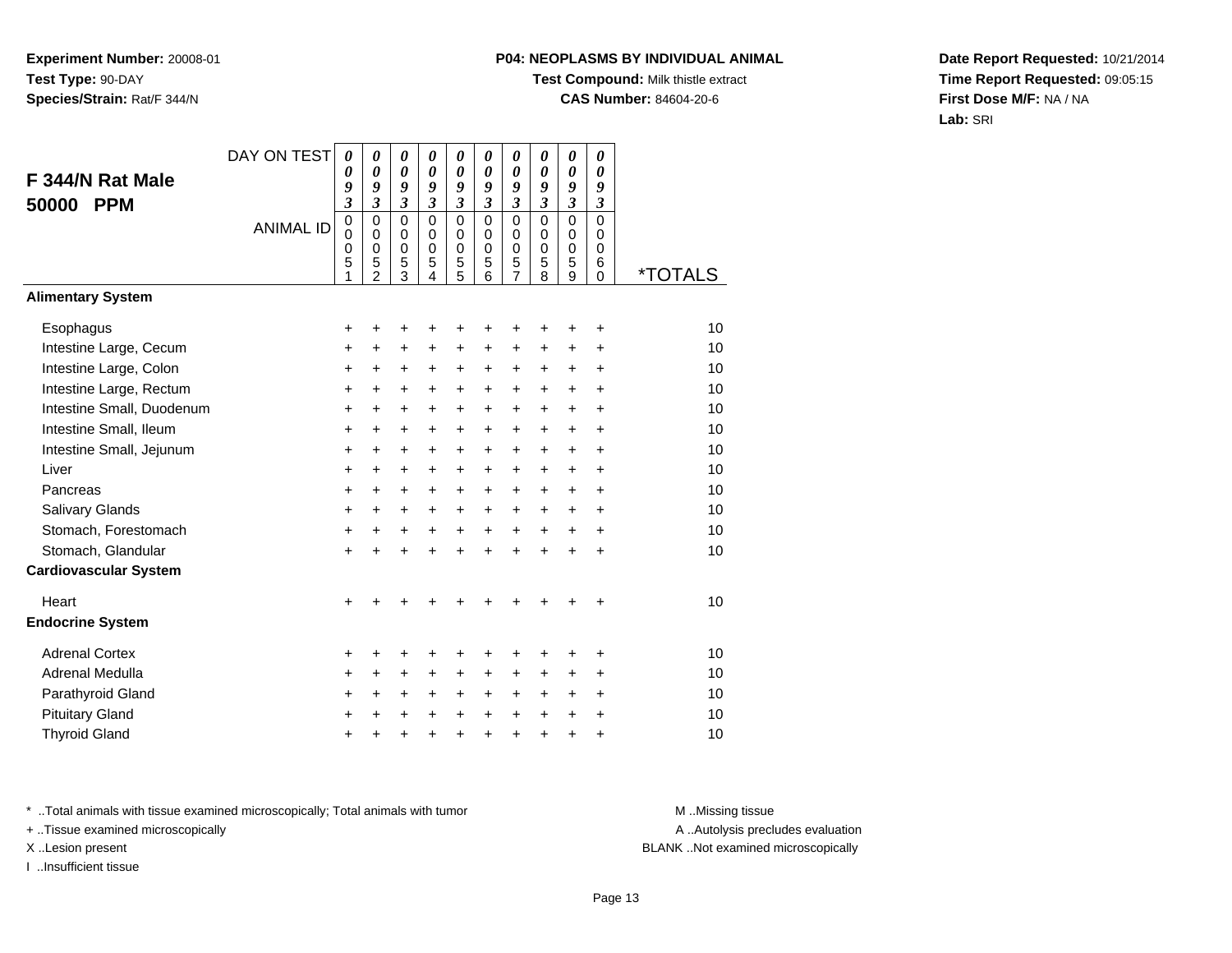# **P04: NEOPLASMS BY INDIVIDUAL ANIMAL**

**Test Compound:** Milk thistle extract

**CAS Number:** 84604-20-6

**Date Report Requested:** 10/21/2014**Time Report Requested:** 09:05:15**First Dose M/F:** NA / NA**Lab:** SRI

|                              | DAY ON TEST      | 0                       | 0                       | 0                          | 0                          | 0                       | 0                          | 0                | 0                          | 0                          | $\boldsymbol{\theta}$   |                       |
|------------------------------|------------------|-------------------------|-------------------------|----------------------------|----------------------------|-------------------------|----------------------------|------------------|----------------------------|----------------------------|-------------------------|-----------------------|
| F 344/N Rat Male             |                  | 0<br>9                  | 0<br>9                  | $\boldsymbol{\theta}$<br>9 | 0<br>9                     | 0<br>9                  | $\boldsymbol{\theta}$<br>9 | 0<br>9           | $\boldsymbol{\theta}$<br>9 | 0<br>9                     | 0<br>9                  |                       |
| 50000<br><b>PPM</b>          |                  | $\overline{\mathbf{3}}$ | $\overline{\mathbf{3}}$ | $\mathfrak{z}$             | $\overline{\mathbf{3}}$    | $\overline{\mathbf{3}}$ | $\overline{\mathbf{3}}$    | 3                | $\mathfrak{z}$             | $\mathfrak{z}$             | $\mathfrak{z}$          |                       |
|                              | <b>ANIMAL ID</b> | 0                       | $\mathbf 0$             | $\mathbf 0$                | $\mathbf 0$                | $\mathbf 0$             | $\Omega$                   | $\mathbf 0$      | $\mathbf 0$                | $\overline{0}$             | $\mathbf 0$             |                       |
|                              |                  | $\mathbf 0$<br>0        | $\Omega$<br>$\mathbf 0$ | $\mathbf 0$<br>$\mathbf 0$ | $\mathbf 0$<br>$\mathbf 0$ | 0<br>0                  | $\Omega$<br>$\mathbf 0$    | $\mathbf 0$<br>0 | $\mathbf 0$<br>$\mathbf 0$ | $\mathbf 0$<br>$\mathbf 0$ | $\Omega$<br>$\mathbf 0$ |                       |
|                              |                  | 5                       | 5                       | 5                          | 5                          | $\frac{5}{5}$           | 5                          | 5                | 5                          | 5                          | 6                       |                       |
| <b>Alimentary System</b>     |                  | 1                       | $\overline{2}$          | 3                          | 4                          |                         | 6                          | 7                | 8                          | 9                          | $\Omega$                | <i><b>*TOTALS</b></i> |
|                              |                  |                         |                         |                            |                            |                         |                            |                  |                            |                            |                         |                       |
| Esophagus                    |                  | $\pm$                   | +                       | +                          | +                          | +                       | +                          |                  |                            |                            | +                       | 10                    |
| Intestine Large, Cecum       |                  | +                       | +                       | +                          | +                          | +                       | +                          | +                | +                          | +                          | +                       | 10                    |
| Intestine Large, Colon       |                  | $\ddot{}$               | +                       | +                          | $\ddot{}$                  | +                       | $\ddot{}$                  | +                | $\ddot{}$                  | $\ddot{}$                  | $\ddot{}$               | 10                    |
| Intestine Large, Rectum      |                  | +                       | $\ddot{}$               | $\ddot{}$                  | $\ddot{}$                  | $\ddot{}$               | $\ddot{}$                  | $\ddot{}$        | $\ddot{}$                  | $\ddot{}$                  | $\ddot{}$               | 10                    |
| Intestine Small, Duodenum    |                  | $\ddot{}$               | $\ddot{}$               | $\ddot{}$                  | $\ddot{}$                  | $\ddot{}$               | $\ddot{}$                  | $\ddot{}$        | $\ddot{}$                  | $\ddot{}$                  | $\ddot{}$               | 10                    |
| Intestine Small, Ileum       |                  | +                       | $\ddot{}$               | +                          | $\ddot{}$                  | +                       | $\ddot{}$                  | $\ddot{}$        | $\ddot{}$                  | $\ddot{}$                  | $\ddot{}$               | 10                    |
| Intestine Small, Jejunum     |                  | +                       | +                       | +                          | $\ddot{}$                  | $\pm$                   | $\ddot{}$                  | +                | $\ddot{}$                  | $\ddot{}$                  | +                       | 10                    |
| Liver                        |                  | $\ddot{}$               | $\ddot{}$               | $\ddot{}$                  | $\ddot{}$                  | +                       | $\ddot{}$                  | $\ddot{}$        | $\ddot{}$                  | +                          | +                       | 10                    |
| Pancreas                     |                  | $\ddot{}$               | $\ddot{}$               | $\ddot{}$                  | $\ddot{}$                  | $\ddot{}$               | $\ddot{}$                  | $+$              | $+$                        | $\ddot{}$                  | $\ddot{}$               | 10                    |
| Salivary Glands              |                  | +                       | +                       | $\pm$                      | $\ddot{}$                  | $\pm$                   | $\pm$                      | +                | $\ddot{}$                  | $\pm$                      | +                       | 10                    |
| Stomach, Forestomach         |                  | $\ddot{}$               | $\ddot{}$               | +                          | $\ddot{}$                  | $+$                     | $\ddot{}$                  | $\ddot{}$        | $\ddot{}$                  | $\ddot{}$                  | $\ddot{}$               | 10                    |
| Stomach, Glandular           |                  | +                       | $\ddot{}$               | $\ddot{}$                  | $\ddot{}$                  | $\ddot{}$               | $\ddot{}$                  | $\ddot{}$        | $\ddot{}$                  | $\ddot{}$                  | $\ddot{}$               | 10                    |
| <b>Cardiovascular System</b> |                  |                         |                         |                            |                            |                         |                            |                  |                            |                            |                         |                       |
| Heart                        |                  | $\ddot{}$               |                         |                            |                            |                         |                            |                  |                            |                            | +                       | 10                    |
| <b>Endocrine System</b>      |                  |                         |                         |                            |                            |                         |                            |                  |                            |                            |                         |                       |
| <b>Adrenal Cortex</b>        |                  | +                       | +                       | +                          | ٠                          | ٠                       | +                          |                  |                            |                            | ٠                       | 10                    |
| Adrenal Medulla              |                  | +                       | +                       | +                          | $\pm$                      | +                       | +                          | +                | +                          | +                          | $\ddot{}$               | 10                    |
| Parathyroid Gland            |                  | +                       | $\ddot{}$               | $\ddot{}$                  | $\ddot{}$                  | +                       | $\ddot{}$                  | +                | $\ddot{}$                  | $\ddot{}$                  | $\ddot{}$               | 10                    |
| <b>Pituitary Gland</b>       |                  | +                       | +                       | +                          | $\ddot{}$                  | $\pm$                   | $\ddot{}$                  | $\ddot{}$        | $\ddot{}$                  | $\ddot{}$                  | +                       | 10                    |
| <b>Thyroid Gland</b>         |                  | $\ddot{}$               | +                       | $\ddot{}$                  | $\ddot{}$                  | $\ddot{}$               | $\ddot{}$                  | $\ddot{}$        | $\ddot{}$                  | $\ddot{}$                  | $\ddot{}$               | 10                    |

\* ..Total animals with tissue examined microscopically; Total animals with tumor **M** . Missing tissue M ..Missing tissue

+ ..Tissue examined microscopically

I ..Insufficient tissue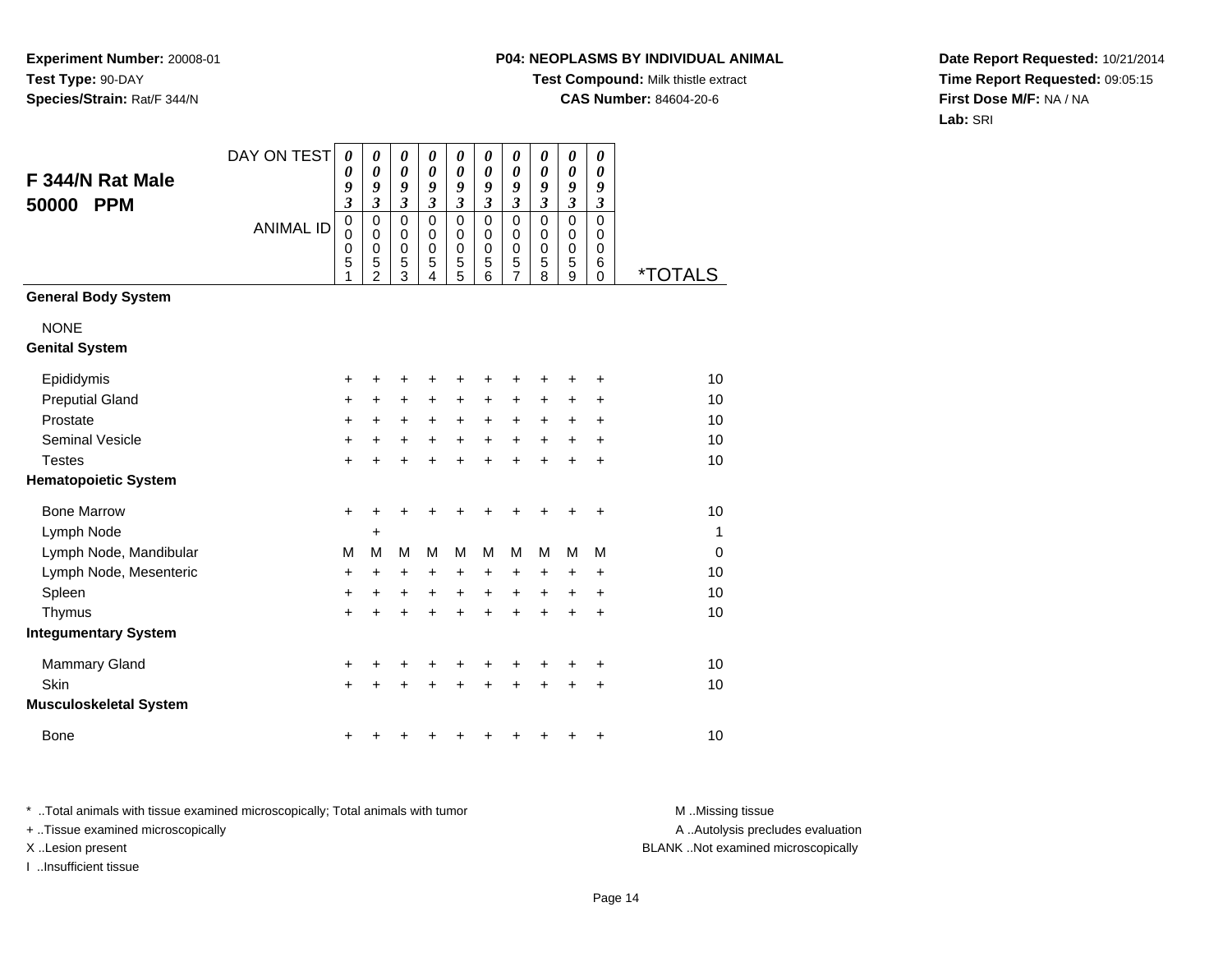## **P04: NEOPLASMS BY INDIVIDUAL ANIMAL**

**Test Compound:** Milk thistle extract

**CAS Number:** 84604-20-6

**Date Report Requested:** 10/21/2014**Time Report Requested:** 09:05:15**First Dose M/F:** NA / NA**Lab:** SRI

| F 344/N Rat Male<br>50000<br><b>PPM</b> | DAY ON TEST      | 0<br>0<br>9<br>$\mathfrak{z}$   | 0<br>$\boldsymbol{\theta}$<br>9<br>$\mathfrak{z}$            | 0<br>$\boldsymbol{\theta}$<br>9<br>$\mathfrak{z}$ | 0<br>$\boldsymbol{\theta}$<br>9<br>$\mathfrak{z}$ | 0<br>$\boldsymbol{\theta}$<br>9<br>$\mathfrak{z}$ | 0<br>$\boldsymbol{\theta}$<br>9<br>$\mathfrak{z}$   | $\boldsymbol{\theta}$<br>$\boldsymbol{\theta}$<br>9<br>$\mathfrak{z}$ | 0<br>$\boldsymbol{\theta}$<br>9<br>$\mathfrak{z}$ | $\boldsymbol{\theta}$<br>$\pmb{\theta}$<br>9<br>$\mathfrak{z}$ | $\boldsymbol{\theta}$<br>$\boldsymbol{\theta}$<br>9<br>$\mathfrak{z}$ |                       |
|-----------------------------------------|------------------|---------------------------------|--------------------------------------------------------------|---------------------------------------------------|---------------------------------------------------|---------------------------------------------------|-----------------------------------------------------|-----------------------------------------------------------------------|---------------------------------------------------|----------------------------------------------------------------|-----------------------------------------------------------------------|-----------------------|
|                                         | <b>ANIMAL ID</b> | $\mathbf 0$<br>0<br>0<br>5<br>1 | $\pmb{0}$<br>$\pmb{0}$<br>$\mathbf 0$<br>5<br>$\overline{2}$ | $\mathbf 0$<br>0<br>0<br>5<br>3                   | $\mathbf 0$<br>$\pmb{0}$<br>$\mathbf 0$<br>5<br>4 | $\mathbf 0$<br>$\pmb{0}$<br>$\mathbf 0$<br>5<br>5 | $\mathbf 0$<br>$\mathbf 0$<br>$\mathbf 0$<br>5<br>6 | $\mathbf 0$<br>$\pmb{0}$<br>$\mathbf 0$<br>5<br>$\overline{7}$        | $\mathbf 0$<br>0<br>$\mathbf 0$<br>5<br>8         | $\mathbf 0$<br>$\pmb{0}$<br>$\mathbf 0$<br>5<br>$\overline{9}$ | $\Omega$<br>$\mathbf 0$<br>$\mathbf 0$<br>6<br>$\mathbf 0$            | <i><b>*TOTALS</b></i> |
| <b>General Body System</b>              |                  |                                 |                                                              |                                                   |                                                   |                                                   |                                                     |                                                                       |                                                   |                                                                |                                                                       |                       |
| <b>NONE</b>                             |                  |                                 |                                                              |                                                   |                                                   |                                                   |                                                     |                                                                       |                                                   |                                                                |                                                                       |                       |
| <b>Genital System</b>                   |                  |                                 |                                                              |                                                   |                                                   |                                                   |                                                     |                                                                       |                                                   |                                                                |                                                                       |                       |
| Epididymis                              |                  | +                               | +                                                            | +                                                 | +                                                 | +                                                 | +                                                   | +                                                                     |                                                   | +                                                              | +                                                                     | 10                    |
| <b>Preputial Gland</b>                  |                  | +                               | +                                                            | +                                                 | +                                                 | +                                                 | +                                                   | +                                                                     | +                                                 | +                                                              | +                                                                     | 10                    |
| Prostate                                |                  | +                               | $\ddot{}$                                                    | $\ddot{}$                                         | $\ddot{}$                                         | $\ddot{}$                                         | $\ddot{}$                                           | $\ddot{}$                                                             | +                                                 | +                                                              | +                                                                     | 10                    |
| <b>Seminal Vesicle</b>                  |                  | $\ddot{}$                       | $\ddot{}$                                                    | $\ddot{}$                                         | $\ddot{}$                                         | $\ddot{}$                                         | $\ddot{}$                                           | $\ddot{}$                                                             | $\ddot{}$                                         | $\ddot{}$                                                      | $\ddot{}$                                                             | 10                    |
| <b>Testes</b>                           |                  | $\ddot{}$                       | +                                                            | $\ddot{}$                                         | +                                                 | $\ddot{}$                                         | $\ddot{}$                                           | $\ddot{}$                                                             |                                                   | $\ddot{}$                                                      | $\ddot{}$                                                             | 10                    |
| <b>Hematopoietic System</b>             |                  |                                 |                                                              |                                                   |                                                   |                                                   |                                                     |                                                                       |                                                   |                                                                |                                                                       |                       |
| <b>Bone Marrow</b>                      |                  | +                               | +                                                            | +                                                 | +                                                 | +                                                 | +                                                   | +                                                                     |                                                   | +                                                              | +                                                                     | 10                    |
| Lymph Node                              |                  |                                 | +                                                            |                                                   |                                                   |                                                   |                                                     |                                                                       |                                                   |                                                                |                                                                       | 1                     |
| Lymph Node, Mandibular                  |                  | M                               | M                                                            | M                                                 | M                                                 | M                                                 | M                                                   | M                                                                     | M                                                 | M                                                              | M                                                                     | $\mathbf 0$           |
| Lymph Node, Mesenteric                  |                  | +                               | $\ddot{}$                                                    | $\ddot{}$                                         | +                                                 | +                                                 | +                                                   | +                                                                     | $\ddot{}$                                         | +                                                              | $\ddot{}$                                                             | 10                    |
| Spleen                                  |                  | +                               | +                                                            | $\ddot{}$                                         | +                                                 | $\ddot{}$                                         | $\ddot{}$                                           | $\ddot{}$                                                             | +                                                 | +                                                              | +                                                                     | 10                    |
| Thymus                                  |                  | $\ddot{}$                       | $\ddot{}$                                                    | $\ddot{}$                                         | $\ddot{}$                                         | +                                                 | $\ddot{}$                                           | $\ddot{}$                                                             |                                                   | $\ddot{}$                                                      | $\ddot{}$                                                             | 10                    |
| <b>Integumentary System</b>             |                  |                                 |                                                              |                                                   |                                                   |                                                   |                                                     |                                                                       |                                                   |                                                                |                                                                       |                       |
| Mammary Gland                           |                  | +                               | +                                                            | +                                                 | +                                                 | +                                                 | +                                                   | +                                                                     | +                                                 | +                                                              | +                                                                     | 10                    |
| Skin                                    |                  | $\ddot{}$                       |                                                              | $\ddot{}$                                         | +                                                 | $\ddot{}$                                         | ÷                                                   | $\ddot{}$                                                             |                                                   | $\ddot{}$                                                      | $\ddot{}$                                                             | 10                    |
| <b>Musculoskeletal System</b>           |                  |                                 |                                                              |                                                   |                                                   |                                                   |                                                     |                                                                       |                                                   |                                                                |                                                                       |                       |
| <b>Bone</b>                             |                  | +                               |                                                              |                                                   |                                                   |                                                   |                                                     |                                                                       |                                                   |                                                                | +                                                                     | 10                    |

\* ..Total animals with tissue examined microscopically; Total animals with tumor **M** . Missing tissue M ..Missing tissue + ..Tissue examined microscopically X ..Lesion present BLANK ..Not examined microscopically

I ..Insufficient tissue

A ..Autolysis precludes evaluation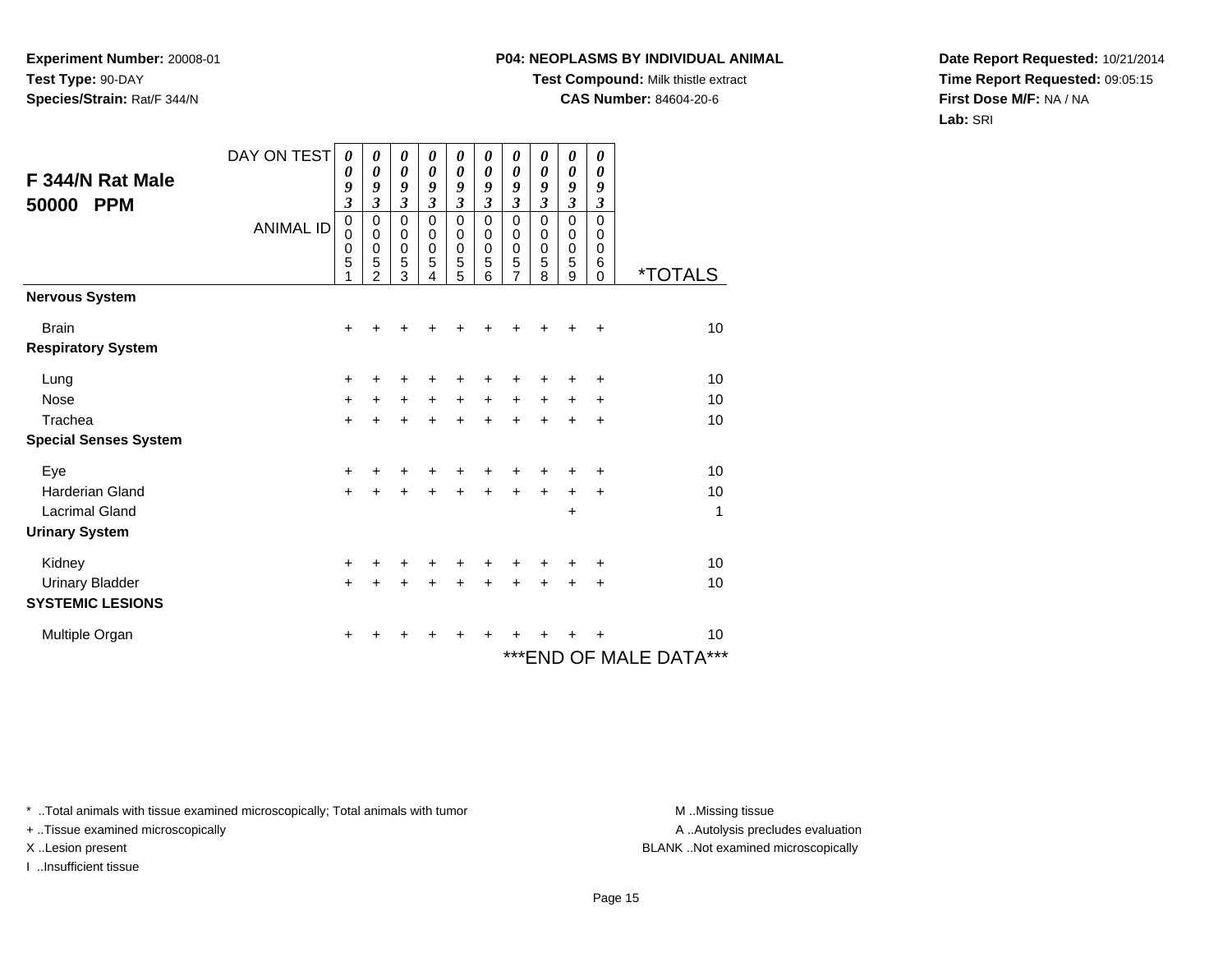### **P04: NEOPLASMS BY INDIVIDUAL ANIMAL**

**Test Compound:** Milk thistle extract

**CAS Number:** 84604-20-6

**Date Report Requested:** 10/21/2014**Time Report Requested:** 09:05:15**First Dose M/F:** NA / NA**Lab:** SRI

| F 344/N Rat Male<br>50000<br><b>PPM</b> | DAY ON TEST<br><b>ANIMAL ID</b> | $\boldsymbol{\theta}$<br>0<br>9<br>$\boldsymbol{\beta}$<br>$\mathbf 0$<br>$\mathbf 0$<br>0<br>5<br>1 | 0<br>0<br>9<br>3<br>$\mathbf 0$<br>0<br>0<br>5<br>2 | 0<br>$\boldsymbol{\theta}$<br>9<br>3<br>0<br>0<br>$\pmb{0}$<br>5<br>3 | 0<br>0<br>9<br>3<br>0<br>0<br>0<br>5<br>4 | 0<br>0<br>9<br>$\mathfrak{z}$<br>$\mathbf 0$<br>0<br>$\boldsymbol{0}$<br>5<br>5 | 0<br>0<br>9<br>$\mathfrak{z}$<br>$\mathbf 0$<br>0<br>$\mathbf 0$<br>5<br>6 | 0<br>0<br>9<br>$\mathfrak{z}$<br>$\mathbf 0$<br>0<br>$\mathbf 0$<br>5<br>7 | 0<br>$\boldsymbol{\theta}$<br>9<br>$\mathfrak{z}$<br>$\mathbf 0$<br>0<br>$\mathbf 0$<br>5<br>8 | 0<br>0<br>9<br>$\mathfrak{z}$<br>$\mathbf 0$<br>0<br>0<br>5<br>9 | 0<br>0<br>9<br>$\boldsymbol{\mathfrak{z}}$<br>$\mathbf 0$<br>0<br>0<br>6<br>$\Omega$ | <i><b>*TOTALS</b></i>      |
|-----------------------------------------|---------------------------------|------------------------------------------------------------------------------------------------------|-----------------------------------------------------|-----------------------------------------------------------------------|-------------------------------------------|---------------------------------------------------------------------------------|----------------------------------------------------------------------------|----------------------------------------------------------------------------|------------------------------------------------------------------------------------------------|------------------------------------------------------------------|--------------------------------------------------------------------------------------|----------------------------|
| <b>Nervous System</b>                   |                                 |                                                                                                      |                                                     |                                                                       |                                           |                                                                                 |                                                                            |                                                                            |                                                                                                |                                                                  |                                                                                      |                            |
| <b>Brain</b>                            |                                 | +                                                                                                    |                                                     |                                                                       |                                           |                                                                                 |                                                                            |                                                                            |                                                                                                |                                                                  | $\ddot{}$                                                                            | 10                         |
| <b>Respiratory System</b>               |                                 |                                                                                                      |                                                     |                                                                       |                                           |                                                                                 |                                                                            |                                                                            |                                                                                                |                                                                  |                                                                                      |                            |
| Lung                                    |                                 | +                                                                                                    |                                                     |                                                                       |                                           |                                                                                 |                                                                            |                                                                            | +                                                                                              | +                                                                | ٠                                                                                    | 10                         |
| <b>Nose</b>                             |                                 | +                                                                                                    | +                                                   | $\ddot{}$                                                             | $\ddot{}$                                 | $\ddot{}$                                                                       | $\ddot{}$                                                                  | $\ddot{}$                                                                  | +                                                                                              | +                                                                | +                                                                                    | 10                         |
| Trachea                                 |                                 | $\ddot{}$                                                                                            |                                                     | +                                                                     | +                                         | $\ddot{}$                                                                       | $\ddot{}$                                                                  | +                                                                          | $\ddot{}$                                                                                      | +                                                                | +                                                                                    | 10                         |
| <b>Special Senses System</b>            |                                 |                                                                                                      |                                                     |                                                                       |                                           |                                                                                 |                                                                            |                                                                            |                                                                                                |                                                                  |                                                                                      |                            |
| Eye                                     |                                 | +                                                                                                    |                                                     |                                                                       |                                           |                                                                                 |                                                                            |                                                                            | ٠                                                                                              | +                                                                | ÷                                                                                    | 10                         |
| <b>Harderian Gland</b>                  |                                 | +                                                                                                    |                                                     | $\ddot{}$                                                             |                                           | $\ddot{}$                                                                       | $\ddot{}$                                                                  | $\ddot{}$                                                                  | $\ddot{}$                                                                                      | +                                                                | $\ddot{}$                                                                            | 10                         |
| <b>Lacrimal Gland</b>                   |                                 |                                                                                                      |                                                     |                                                                       |                                           |                                                                                 |                                                                            |                                                                            |                                                                                                | +                                                                |                                                                                      | 1                          |
| <b>Urinary System</b>                   |                                 |                                                                                                      |                                                     |                                                                       |                                           |                                                                                 |                                                                            |                                                                            |                                                                                                |                                                                  |                                                                                      |                            |
| Kidney                                  |                                 | +                                                                                                    |                                                     |                                                                       |                                           |                                                                                 |                                                                            |                                                                            | +                                                                                              | +                                                                | +                                                                                    | 10                         |
| <b>Urinary Bladder</b>                  |                                 | $\ddot{}$                                                                                            | +                                                   | +                                                                     | +                                         |                                                                                 | +                                                                          | +                                                                          | +                                                                                              | +                                                                | $\ddot{}$                                                                            | 10                         |
| <b>SYSTEMIC LESIONS</b>                 |                                 |                                                                                                      |                                                     |                                                                       |                                           |                                                                                 |                                                                            |                                                                            |                                                                                                |                                                                  |                                                                                      |                            |
| Multiple Organ                          |                                 | +                                                                                                    |                                                     |                                                                       |                                           |                                                                                 |                                                                            |                                                                            |                                                                                                |                                                                  | +                                                                                    | 10                         |
|                                         |                                 |                                                                                                      |                                                     |                                                                       |                                           |                                                                                 |                                                                            |                                                                            |                                                                                                |                                                                  |                                                                                      | ***<br>***END OF MALE DATA |

\* ..Total animals with tissue examined microscopically; Total animals with tumor **M** . Missing tissue M ..Missing tissue

+ ..Tissue examined microscopically

I ..Insufficient tissue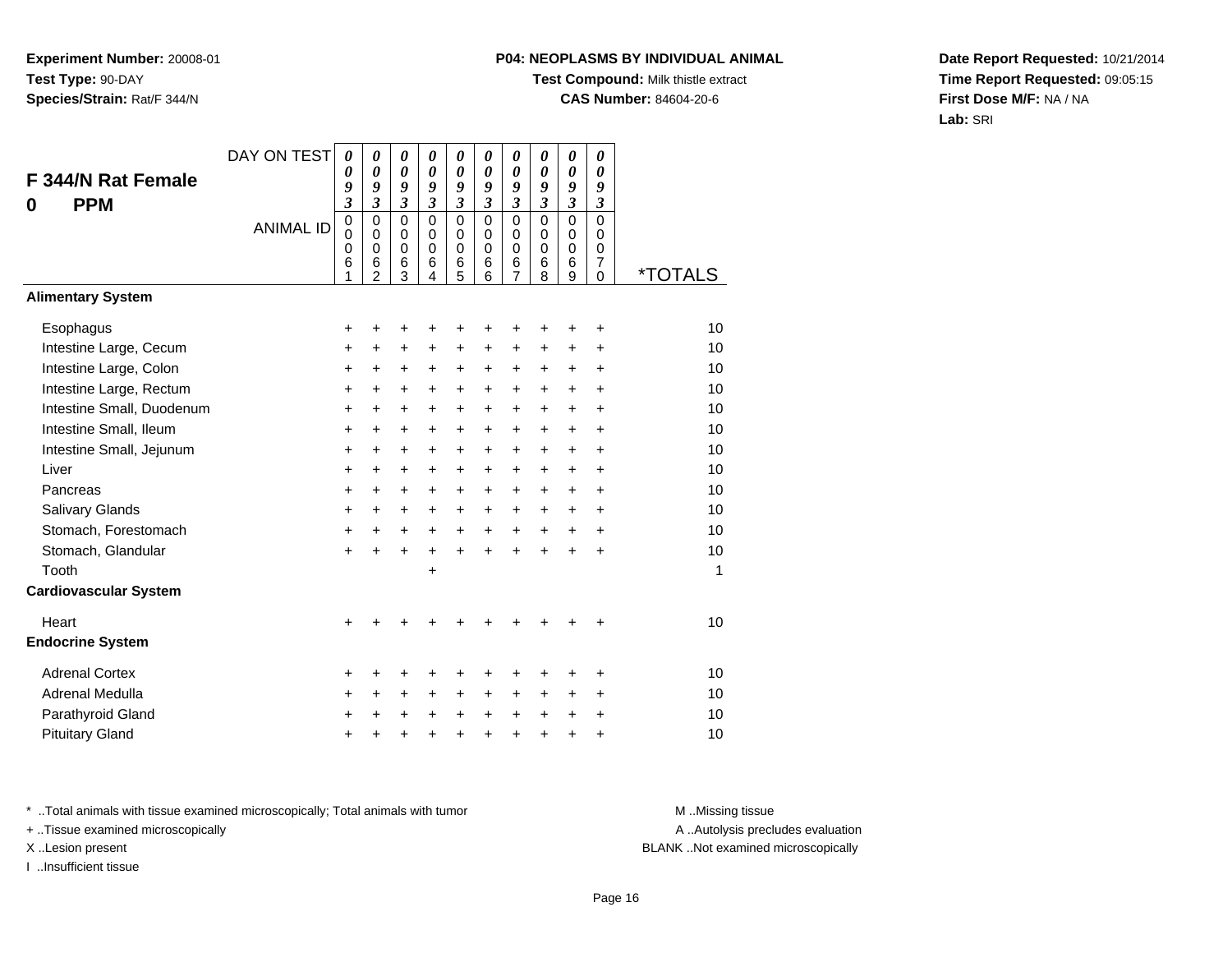## **P04: NEOPLASMS BY INDIVIDUAL ANIMAL**

**Test Compound:** Milk thistle extract

**CAS Number:** 84604-20-6

**Date Report Requested:** 10/21/2014**Time Report Requested:** 09:05:15**First Dose M/F:** NA / NA**Lab:** SRI

| <b>F344/N Rat Female</b><br><b>PPM</b><br>0 | DAY ON TEST      | 0<br>0<br>9<br>3                          | $\boldsymbol{\theta}$<br>$\boldsymbol{\theta}$<br>9<br>$\mathfrak{z}$ | 0<br>$\boldsymbol{\theta}$<br>9<br>$\mathfrak{z}$     | 0<br>$\boldsymbol{\theta}$<br>9<br>$\mathfrak{z}$             | $\boldsymbol{\theta}$<br>0<br>9<br>$\boldsymbol{\mathfrak{z}}$ | 0<br>0<br>9<br>$\mathfrak{z}$              | 0<br>$\boldsymbol{\theta}$<br>9<br>$\mathfrak{z}$              | 0<br>$\boldsymbol{\theta}$<br>9<br>$\mathfrak{z}$ | $\boldsymbol{\theta}$<br>$\boldsymbol{\theta}$<br>9<br>$\boldsymbol{\mathfrak{z}}$ | 0<br>0<br>9<br>$\boldsymbol{\beta}$              |                       |
|---------------------------------------------|------------------|-------------------------------------------|-----------------------------------------------------------------------|-------------------------------------------------------|---------------------------------------------------------------|----------------------------------------------------------------|--------------------------------------------|----------------------------------------------------------------|---------------------------------------------------|------------------------------------------------------------------------------------|--------------------------------------------------|-----------------------|
|                                             | <b>ANIMAL ID</b> | $\mathbf 0$<br>$\mathbf 0$<br>0<br>6<br>1 | $\mathbf 0$<br>$\mathbf 0$<br>$\mathbf 0$<br>6<br>$\overline{2}$      | $\mathbf 0$<br>$\pmb{0}$<br>$\mathbf 0$<br>$\,6$<br>3 | $\Omega$<br>$\mathbf 0$<br>$\mathbf 0$<br>6<br>$\overline{4}$ | $\mathbf 0$<br>0<br>$\mathbf 0$<br>6<br>5                      | $\Omega$<br>$\Omega$<br>$\Omega$<br>6<br>6 | $\mathbf 0$<br>$\mathbf 0$<br>$\pmb{0}$<br>6<br>$\overline{7}$ | $\mathbf 0$<br>0<br>$\mathbf 0$<br>6<br>8         | $\mathsf 0$<br>$\mathbf 0$<br>$\mathbf 0$<br>6<br>9                                | $\mathbf 0$<br>0<br>$\mathbf 0$<br>7<br>$\Omega$ | <i><b>*TOTALS</b></i> |
| <b>Alimentary System</b>                    |                  |                                           |                                                                       |                                                       |                                                               |                                                                |                                            |                                                                |                                                   |                                                                                    |                                                  |                       |
| Esophagus                                   |                  | +                                         | +                                                                     | ٠                                                     | +                                                             | +                                                              | +                                          | +                                                              | +                                                 | +                                                                                  | +                                                | 10                    |
| Intestine Large, Cecum                      |                  | +                                         | +                                                                     | $\ddot{}$                                             | $\ddot{}$                                                     | $\ddot{}$                                                      | $\ddot{}$                                  | +                                                              | $\ddot{}$                                         | +                                                                                  | +                                                | 10                    |
| Intestine Large, Colon                      |                  | +                                         | +                                                                     | +                                                     | +                                                             | +                                                              | +                                          | +                                                              | $\ddot{}$                                         | $\ddot{}$                                                                          | $\ddot{}$                                        | 10                    |
| Intestine Large, Rectum                     |                  | +                                         | $\ddot{}$                                                             | $\ddot{}$                                             | $\ddot{}$                                                     | $\ddot{}$                                                      | +                                          | $\ddot{}$                                                      | $\ddot{}$                                         | $\ddot{}$                                                                          | $\ddot{}$                                        | 10                    |
| Intestine Small, Duodenum                   |                  | $\ddot{}$                                 | $\ddot{}$                                                             | $\ddot{}$                                             | $\ddot{}$                                                     | +                                                              | +                                          | $\ddot{}$                                                      | $\ddot{}$                                         | $\ddot{}$                                                                          | $\ddot{}$                                        | 10                    |
| Intestine Small, Ileum                      |                  | +                                         | $\ddot{}$                                                             | $\ddot{}$                                             | $\ddot{}$                                                     | +                                                              | +                                          | $\ddot{}$                                                      | $\ddot{}$                                         | $\ddot{}$                                                                          | $\ddot{}$                                        | 10                    |
| Intestine Small, Jejunum                    |                  | +                                         | +                                                                     | $\ddot{}$                                             | +                                                             | +                                                              | $\ddot{}$                                  | $\ddot{}$                                                      | $\ddot{}$                                         | $\ddot{}$                                                                          | $\ddot{}$                                        | 10                    |
| Liver                                       |                  | +                                         | $\ddot{}$                                                             | $\ddot{}$                                             | $\ddot{}$                                                     | $\ddot{}$                                                      | $\ddot{}$                                  | $\ddot{}$                                                      | $\ddot{}$                                         | $\ddot{}$                                                                          | $\ddot{}$                                        | 10                    |
| Pancreas                                    |                  | $\ddot{}$                                 | $\ddot{}$                                                             | $\ddot{}$                                             | $\ddot{}$                                                     | +                                                              | $\ddot{}$                                  | $\ddot{}$                                                      | $\ddot{}$                                         | $\ddot{}$                                                                          | $\ddot{}$                                        | 10                    |
| Salivary Glands                             |                  | +                                         | +                                                                     | +                                                     | +                                                             | +                                                              | +                                          | +                                                              | $\ddot{}$                                         | $\ddot{}$                                                                          | $\pm$                                            | 10                    |
| Stomach, Forestomach                        |                  | $\ddot{}$                                 | $\ddot{}$                                                             | $\ddot{}$                                             | $\ddot{}$                                                     | $\ddot{}$                                                      | $+$                                        | $\ddot{}$                                                      | $+$                                               | $\ddot{}$                                                                          | $\ddot{}$                                        | 10                    |
| Stomach, Glandular                          |                  | +                                         | $\ddot{}$                                                             | $\ddot{}$                                             | $\ddot{}$                                                     | $\ddot{}$                                                      | $\ddot{}$                                  | $\ddot{}$                                                      | $\ddot{}$                                         | $\ddot{}$                                                                          | $\ddot{}$                                        | 10                    |
| Tooth                                       |                  |                                           |                                                                       |                                                       | +                                                             |                                                                |                                            |                                                                |                                                   |                                                                                    |                                                  | 1                     |
| <b>Cardiovascular System</b>                |                  |                                           |                                                                       |                                                       |                                                               |                                                                |                                            |                                                                |                                                   |                                                                                    |                                                  |                       |
| Heart                                       |                  | +                                         |                                                                       |                                                       |                                                               |                                                                |                                            | ٠                                                              |                                                   |                                                                                    | +                                                | 10                    |
| <b>Endocrine System</b>                     |                  |                                           |                                                                       |                                                       |                                                               |                                                                |                                            |                                                                |                                                   |                                                                                    |                                                  |                       |
| <b>Adrenal Cortex</b>                       |                  | +                                         |                                                                       |                                                       |                                                               | +                                                              | +                                          | +                                                              |                                                   | +                                                                                  | +                                                | 10                    |
| Adrenal Medulla                             |                  | +                                         | $\ddot{}$                                                             | $\ddot{}$                                             | $\ddot{}$                                                     | +                                                              | $\ddot{}$                                  | $\ddot{}$                                                      | $\ddot{}$                                         | $\ddot{}$                                                                          | $\ddot{}$                                        | 10                    |
| Parathyroid Gland                           |                  | +                                         | +                                                                     |                                                       |                                                               | +                                                              | +                                          | $\ddot{}$                                                      | $\ddot{}$                                         | $\pm$                                                                              | +                                                | 10                    |
| <b>Pituitary Gland</b>                      |                  | +                                         | +                                                                     | +                                                     | Ŧ.                                                            | +                                                              | $\ddot{}$                                  | +                                                              | $\ddot{}$                                         | $\ddot{}$                                                                          | $\ddot{}$                                        | 10                    |

\* ..Total animals with tissue examined microscopically; Total animals with tumor **M** . Missing tissue M ..Missing tissue

+ ..Tissue examined microscopically

I ..Insufficient tissue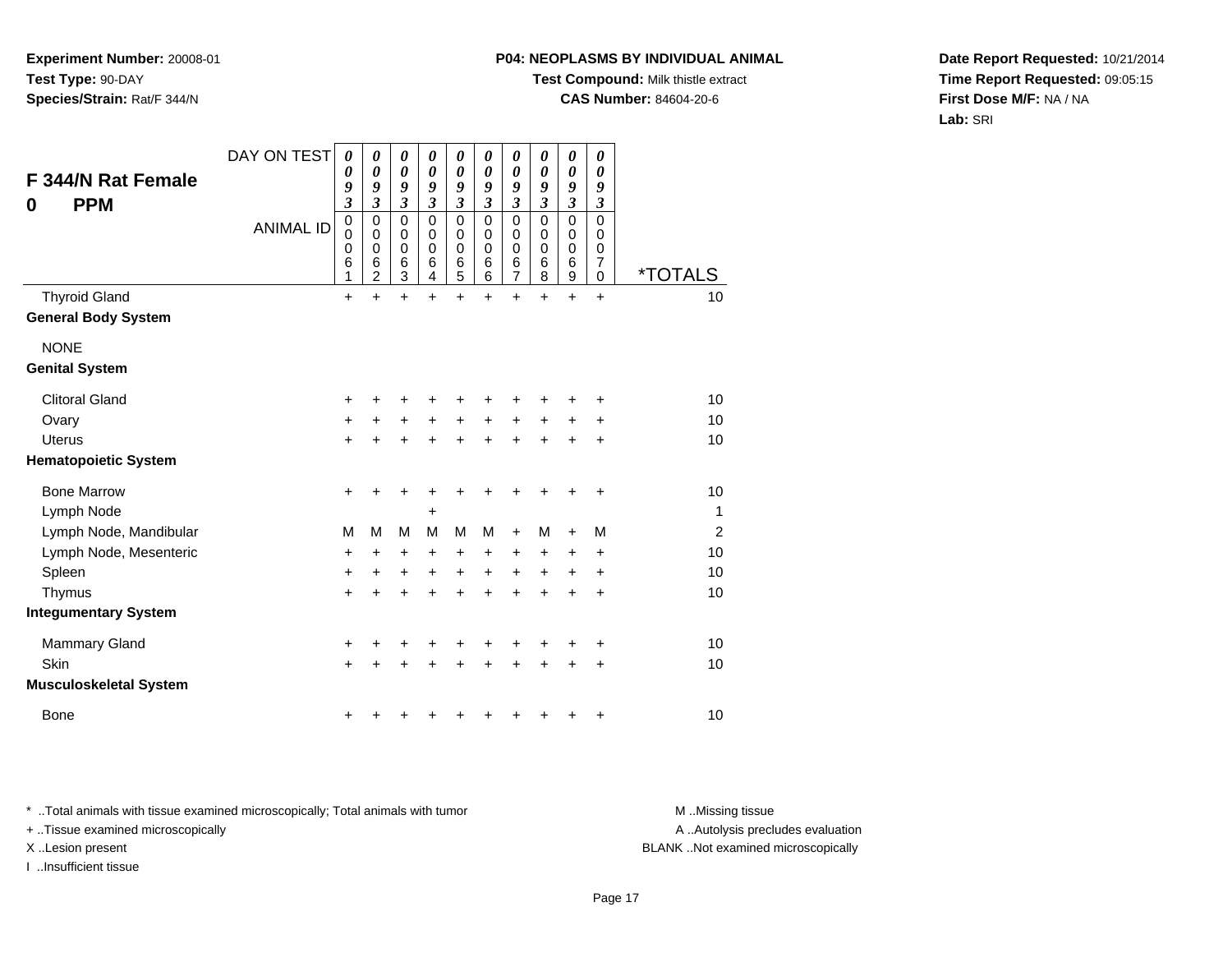### **P04: NEOPLASMS BY INDIVIDUAL ANIMAL**

**Test Compound:** Milk thistle extract

**CAS Number:** 84604-20-6

**Date Report Requested:** 10/21/2014**Time Report Requested:** 09:05:15**First Dose M/F:** NA / NA**Lab:** SRI

| <b>F 344/N Rat Female</b><br><b>PPM</b><br>0 | DAY ON TEST<br><b>ANIMAL ID</b> | 0<br>0<br>9<br>$\overline{\mathbf{3}}$<br>$\mathbf 0$<br>0<br>$\mathbf 0$<br>6<br>1 | 0<br>0<br>9<br>$\overline{\mathbf{3}}$<br>$\mathbf 0$<br>0<br>$\mathbf 0$<br>6<br>$\overline{2}$ | 0<br>$\boldsymbol{\theta}$<br>9<br>$\overline{\mathbf{3}}$<br>$\mathbf 0$<br>0<br>$\mathbf 0$<br>$\,6$<br>3 | 0<br>$\boldsymbol{\theta}$<br>9<br>$\mathfrak{z}$<br>$\pmb{0}$<br>0<br>$\mathbf 0$<br>6<br>4 | 0<br>$\boldsymbol{\theta}$<br>9<br>$\overline{\mathbf{3}}$<br>$\mathbf 0$<br>0<br>$\mathbf 0$<br>$\,6$<br>5 | 0<br>$\boldsymbol{\theta}$<br>9<br>$\mathfrak{z}$<br>$\mathbf 0$<br>0<br>$\mathbf 0$<br>6<br>6 | 0<br>$\boldsymbol{\theta}$<br>9<br>$\mathfrak{z}$<br>$\mathbf 0$<br>0<br>$\mathbf 0$<br>6<br>$\overline{7}$ | 0<br>$\boldsymbol{\theta}$<br>9<br>$\mathfrak{z}$<br>$\mathbf 0$<br>0<br>$\pmb{0}$<br>$\,6$<br>8 | 0<br>$\boldsymbol{\theta}$<br>9<br>$\mathfrak{z}$<br>$\mathbf 0$<br>0<br>$\mathbf 0$<br>$\,6$<br>$\boldsymbol{9}$ | 0<br>$\theta$<br>9<br>$\boldsymbol{\mathfrak{z}}$<br>$\mathbf 0$<br>0<br>$\mathbf 0$<br>$\overline{7}$<br>0 | *TOTALS        |
|----------------------------------------------|---------------------------------|-------------------------------------------------------------------------------------|--------------------------------------------------------------------------------------------------|-------------------------------------------------------------------------------------------------------------|----------------------------------------------------------------------------------------------|-------------------------------------------------------------------------------------------------------------|------------------------------------------------------------------------------------------------|-------------------------------------------------------------------------------------------------------------|--------------------------------------------------------------------------------------------------|-------------------------------------------------------------------------------------------------------------------|-------------------------------------------------------------------------------------------------------------|----------------|
| <b>Thyroid Gland</b>                         |                                 | $\ddot{}$                                                                           | $\ddot{}$                                                                                        | +                                                                                                           | $\ddot{}$                                                                                    | $\ddot{}$                                                                                                   | $\ddot{}$                                                                                      | $\ddot{}$                                                                                                   | $\ddot{}$                                                                                        | $\ddot{}$                                                                                                         | $\ddot{}$                                                                                                   | 10             |
| <b>General Body System</b>                   |                                 |                                                                                     |                                                                                                  |                                                                                                             |                                                                                              |                                                                                                             |                                                                                                |                                                                                                             |                                                                                                  |                                                                                                                   |                                                                                                             |                |
| <b>NONE</b>                                  |                                 |                                                                                     |                                                                                                  |                                                                                                             |                                                                                              |                                                                                                             |                                                                                                |                                                                                                             |                                                                                                  |                                                                                                                   |                                                                                                             |                |
| <b>Genital System</b>                        |                                 |                                                                                     |                                                                                                  |                                                                                                             |                                                                                              |                                                                                                             |                                                                                                |                                                                                                             |                                                                                                  |                                                                                                                   |                                                                                                             |                |
| <b>Clitoral Gland</b>                        |                                 | +                                                                                   | +                                                                                                | +                                                                                                           | +                                                                                            | +                                                                                                           | +                                                                                              | +                                                                                                           |                                                                                                  | +                                                                                                                 | +                                                                                                           | 10             |
| Ovary                                        |                                 | +                                                                                   | +                                                                                                | +                                                                                                           | +                                                                                            | +                                                                                                           | +                                                                                              | +                                                                                                           | +                                                                                                | +                                                                                                                 | +                                                                                                           | 10             |
| <b>Uterus</b>                                |                                 | +                                                                                   | $\ddot{}$                                                                                        | +                                                                                                           | +                                                                                            | +                                                                                                           | +                                                                                              | +                                                                                                           |                                                                                                  | +                                                                                                                 | +                                                                                                           | 10             |
| <b>Hematopoietic System</b>                  |                                 |                                                                                     |                                                                                                  |                                                                                                             |                                                                                              |                                                                                                             |                                                                                                |                                                                                                             |                                                                                                  |                                                                                                                   |                                                                                                             |                |
| <b>Bone Marrow</b>                           |                                 | $\ddot{}$                                                                           | +                                                                                                | +                                                                                                           | +                                                                                            | +                                                                                                           | +                                                                                              | +                                                                                                           | ٠                                                                                                | ٠                                                                                                                 | +                                                                                                           | 10             |
| Lymph Node                                   |                                 |                                                                                     |                                                                                                  |                                                                                                             | $\ddot{}$                                                                                    |                                                                                                             |                                                                                                |                                                                                                             |                                                                                                  |                                                                                                                   |                                                                                                             | 1              |
| Lymph Node, Mandibular                       |                                 | M                                                                                   | M                                                                                                | M                                                                                                           | M                                                                                            | M                                                                                                           | M                                                                                              | $\ddot{}$                                                                                                   | м                                                                                                | $\ddot{}$                                                                                                         | M                                                                                                           | $\overline{2}$ |
| Lymph Node, Mesenteric                       |                                 | +                                                                                   | +                                                                                                | +                                                                                                           | $\ddot{}$                                                                                    | +                                                                                                           | +                                                                                              | +                                                                                                           | +                                                                                                | +                                                                                                                 | +                                                                                                           | 10             |
| Spleen                                       |                                 | +                                                                                   | +                                                                                                | +                                                                                                           | $\ddot{}$                                                                                    | +                                                                                                           | $\ddot{}$                                                                                      | $\ddot{}$                                                                                                   | $\ddot{}$                                                                                        | +                                                                                                                 | +                                                                                                           | 10             |
| Thymus                                       |                                 | +                                                                                   | +                                                                                                | $\ddot{}$                                                                                                   | +                                                                                            | +                                                                                                           | $\ddot{}$                                                                                      | $\ddot{}$                                                                                                   | $\ddot{}$                                                                                        | $\ddot{}$                                                                                                         | +                                                                                                           | 10             |
| <b>Integumentary System</b>                  |                                 |                                                                                     |                                                                                                  |                                                                                                             |                                                                                              |                                                                                                             |                                                                                                |                                                                                                             |                                                                                                  |                                                                                                                   |                                                                                                             |                |
| <b>Mammary Gland</b>                         |                                 | +                                                                                   | +                                                                                                | +                                                                                                           | ٠                                                                                            | +                                                                                                           | +                                                                                              | +                                                                                                           |                                                                                                  | +                                                                                                                 | +                                                                                                           | 10             |
| Skin                                         |                                 | +                                                                                   | +                                                                                                | +                                                                                                           | $\pm$                                                                                        | +                                                                                                           | +                                                                                              | +                                                                                                           | +                                                                                                | $\ddot{}$                                                                                                         | +                                                                                                           | 10             |
| <b>Musculoskeletal System</b>                |                                 |                                                                                     |                                                                                                  |                                                                                                             |                                                                                              |                                                                                                             |                                                                                                |                                                                                                             |                                                                                                  |                                                                                                                   |                                                                                                             |                |
| <b>Bone</b>                                  |                                 | +                                                                                   | ٠                                                                                                |                                                                                                             |                                                                                              | ٠                                                                                                           |                                                                                                |                                                                                                             |                                                                                                  | +                                                                                                                 | +                                                                                                           | 10             |

\* ..Total animals with tissue examined microscopically; Total animals with tumor **M** . Missing tissue M ..Missing tissue

+ ..Tissue examined microscopically

I ..Insufficient tissue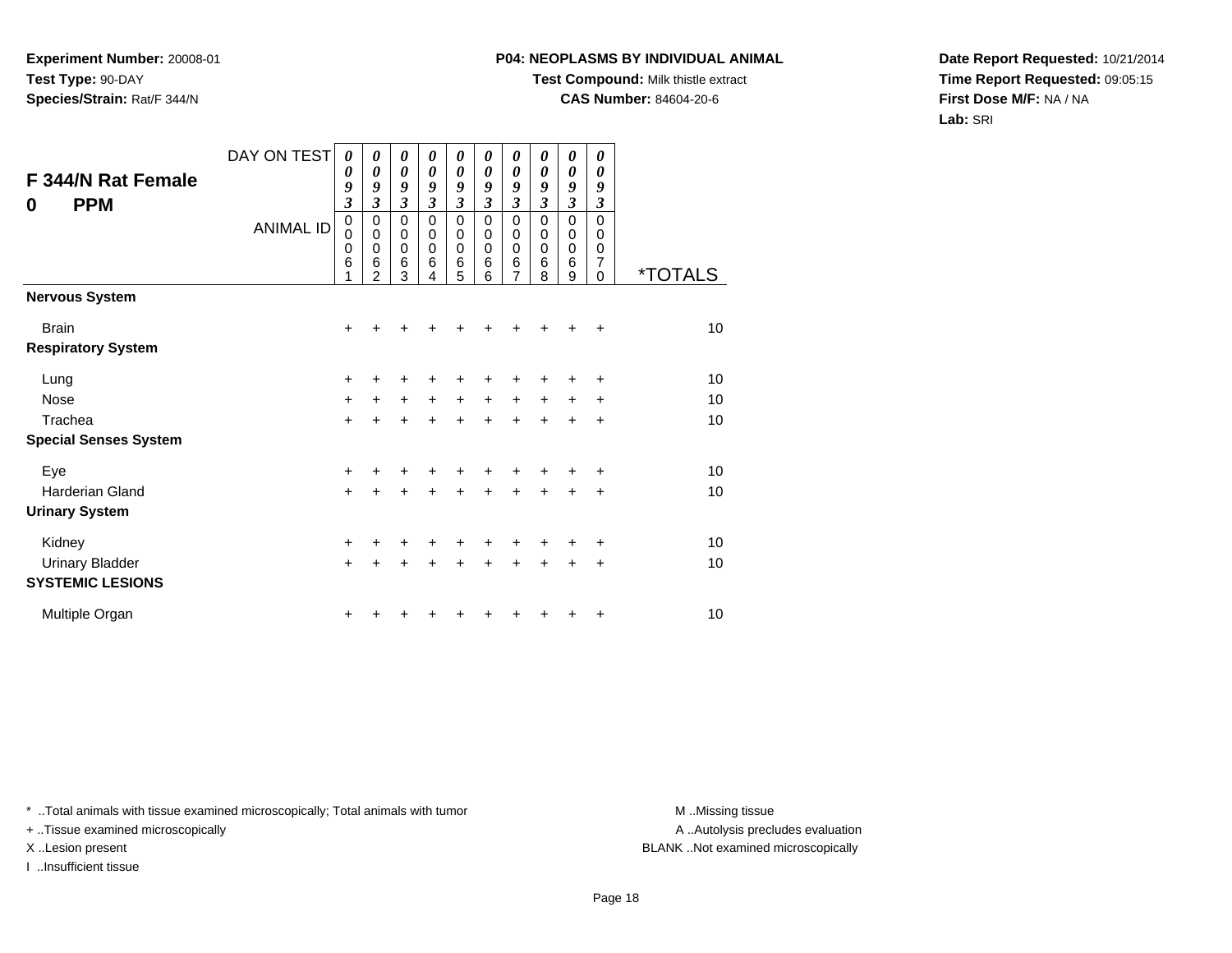### **P04: NEOPLASMS BY INDIVIDUAL ANIMAL**

**Test Compound:** Milk thistle extract

**CAS Number:** 84604-20-6

**Date Report Requested:** 10/21/2014**Time Report Requested:** 09:05:15**First Dose M/F:** NA / NA**Lab:** SRI

| F 344/N Rat Female<br><b>PPM</b><br>0     | DAY ON TEST<br><b>ANIMAL ID</b> | 0<br>0<br>9<br>$\mathfrak{z}$<br>$\mathbf 0$<br>$\mathbf 0$<br>0<br>$6\phantom{1}6$<br>1 | 0<br>0<br>9<br>3<br>0<br>$\mathbf 0$<br>0<br>6<br>$\mathfrak{p}$ | 0<br>0<br>9<br>$\mathfrak{z}$<br>$\mathbf 0$<br>0<br>$\mathbf 0$<br>6<br>3 | 0<br>0<br>9<br>$\boldsymbol{\beta}$<br>$\mathbf 0$<br>$\Omega$<br>0<br>6<br>4 | 0<br>0<br>9<br>$\overline{\mathbf{3}}$<br>$\mathsf 0$<br>0<br>0<br>$\,6$<br>5 | 0<br>0<br>9<br>3<br>0<br>0<br>0<br>6<br>6 | 0<br>0<br>9<br>$\overline{\mathbf{3}}$<br>0<br>0<br>0<br>6<br>$\overline{7}$ | 0<br>$\boldsymbol{\theta}$<br>9<br>$\mathfrak{z}$<br>$\Omega$<br>$\mathbf 0$<br>$\mathbf 0$<br>$6\phantom{1}6$<br>8 | 0<br>$\boldsymbol{\theta}$<br>9<br>$\mathfrak{z}$<br>$\mathbf 0$<br>$\mathbf 0$<br>$\mathbf 0$<br>$6\phantom{1}6$<br>9 | 0<br>0<br>9<br>$\mathfrak{z}$<br>$\Omega$<br>$\mathbf 0$<br>0<br>$\overline{7}$<br>$\Omega$ | <i><b>*TOTALS</b></i> |
|-------------------------------------------|---------------------------------|------------------------------------------------------------------------------------------|------------------------------------------------------------------|----------------------------------------------------------------------------|-------------------------------------------------------------------------------|-------------------------------------------------------------------------------|-------------------------------------------|------------------------------------------------------------------------------|---------------------------------------------------------------------------------------------------------------------|------------------------------------------------------------------------------------------------------------------------|---------------------------------------------------------------------------------------------|-----------------------|
| <b>Nervous System</b>                     |                                 |                                                                                          |                                                                  |                                                                            |                                                                               |                                                                               |                                           |                                                                              |                                                                                                                     |                                                                                                                        |                                                                                             |                       |
| <b>Brain</b><br><b>Respiratory System</b> |                                 | $\pm$                                                                                    |                                                                  | ٠                                                                          |                                                                               |                                                                               |                                           |                                                                              |                                                                                                                     |                                                                                                                        | ÷                                                                                           | 10                    |
| Lung                                      |                                 | $\pm$                                                                                    |                                                                  | +                                                                          |                                                                               |                                                                               |                                           |                                                                              |                                                                                                                     |                                                                                                                        | ٠                                                                                           | 10                    |
| <b>Nose</b>                               |                                 | $+$                                                                                      | $\ddot{}$                                                        | $\ddot{}$                                                                  | $\ddot{}$                                                                     | $\ddot{}$                                                                     | $\ddot{}$                                 | +                                                                            | $\ddot{}$                                                                                                           | $\ddot{}$                                                                                                              | ÷                                                                                           | 10                    |
| Trachea                                   |                                 | $+$                                                                                      | ÷                                                                | $\ddot{}$                                                                  | ÷                                                                             | $\ddot{}$                                                                     | $\ddot{}$                                 | $\ddot{}$                                                                    | $\ddot{}$                                                                                                           | $\ddot{}$                                                                                                              | +                                                                                           | 10                    |
| <b>Special Senses System</b>              |                                 |                                                                                          |                                                                  |                                                                            |                                                                               |                                                                               |                                           |                                                                              |                                                                                                                     |                                                                                                                        |                                                                                             |                       |
| Eye                                       |                                 | +                                                                                        |                                                                  | +                                                                          |                                                                               |                                                                               |                                           |                                                                              |                                                                                                                     |                                                                                                                        | +                                                                                           | 10                    |
| Harderian Gland                           |                                 | $\ddot{}$                                                                                | ÷                                                                | $\ddot{}$                                                                  | $\ddot{}$                                                                     | $\ddot{}$                                                                     | $\ddot{}$                                 | $\ddot{}$                                                                    | $\ddot{}$                                                                                                           | $\ddot{}$                                                                                                              | $\ddot{}$                                                                                   | 10                    |
| <b>Urinary System</b>                     |                                 |                                                                                          |                                                                  |                                                                            |                                                                               |                                                                               |                                           |                                                                              |                                                                                                                     |                                                                                                                        |                                                                                             |                       |
| Kidney                                    |                                 | $\ddot{}$                                                                                |                                                                  | +                                                                          |                                                                               | +                                                                             |                                           |                                                                              |                                                                                                                     |                                                                                                                        | $\ddot{}$                                                                                   | 10                    |
| <b>Urinary Bladder</b>                    |                                 | $+$                                                                                      | +                                                                | $\ddot{}$                                                                  | $\ddot{}$                                                                     | $\ddot{}$                                                                     | $\ddot{}$                                 | $\ddot{}$                                                                    | $\ddot{}$                                                                                                           | $\ddot{}$                                                                                                              | ÷                                                                                           | 10                    |
| <b>SYSTEMIC LESIONS</b>                   |                                 |                                                                                          |                                                                  |                                                                            |                                                                               |                                                                               |                                           |                                                                              |                                                                                                                     |                                                                                                                        |                                                                                             |                       |
| Multiple Organ                            |                                 | ٠                                                                                        |                                                                  |                                                                            |                                                                               |                                                                               |                                           |                                                                              |                                                                                                                     |                                                                                                                        | +                                                                                           | 10                    |

\* ..Total animals with tissue examined microscopically; Total animals with tumor **M** . Missing tissue M ..Missing tissue

+ ..Tissue examined microscopically

I ..Insufficient tissue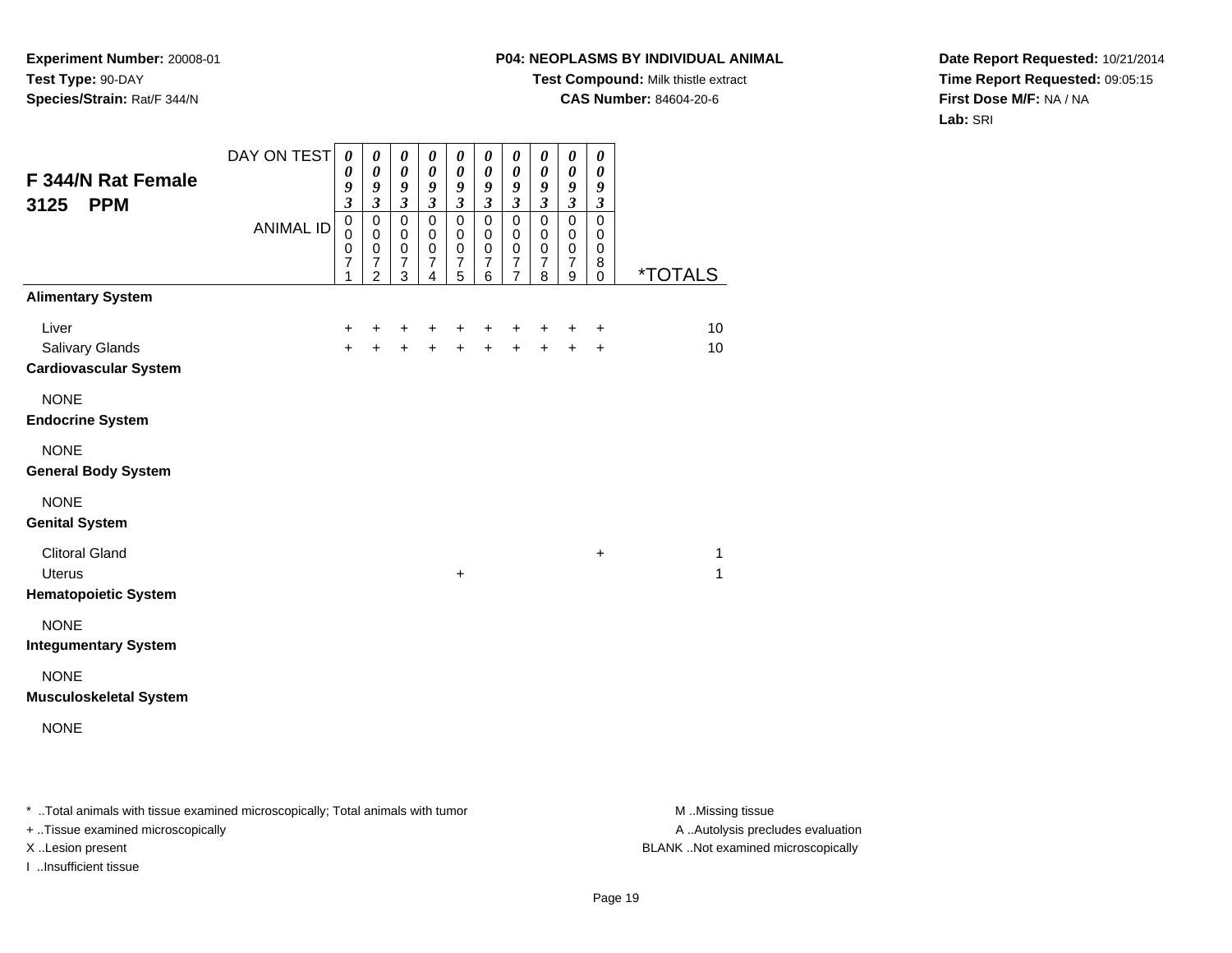## **P04: NEOPLASMS BY INDIVIDUAL ANIMAL**

**Test Compound:** Milk thistle extract

**CAS Number:** 84604-20-6

**Date Report Requested:** 10/21/2014**Time Report Requested:** 09:05:15**First Dose M/F:** NA / NA**Lab:** SRI

|                               | DAY ON TEST      | $\boldsymbol{\theta}$       | 0                           | $\boldsymbol{\theta}$       | $\boldsymbol{\theta}$                     | 0                                         | $\boldsymbol{\theta}$              | $\boldsymbol{\theta}$                     | $\pmb{\theta}$                     | $\pmb{\theta}$                     | $\boldsymbol{\theta}$       |                       |
|-------------------------------|------------------|-----------------------------|-----------------------------|-----------------------------|-------------------------------------------|-------------------------------------------|------------------------------------|-------------------------------------------|------------------------------------|------------------------------------|-----------------------------|-----------------------|
| F 344/N Rat Female            |                  | $\boldsymbol{\theta}$<br>9  | $\pmb{\theta}$<br>9         | $\boldsymbol{\theta}$<br>9  | $\boldsymbol{\theta}$<br>$\boldsymbol{g}$ | $\boldsymbol{\theta}$<br>$\boldsymbol{g}$ | $\pmb{\theta}$<br>$\boldsymbol{g}$ | $\boldsymbol{\theta}$<br>$\boldsymbol{g}$ | $\pmb{\theta}$<br>$\boldsymbol{g}$ | $\pmb{\theta}$<br>$\boldsymbol{g}$ | 0<br>9                      |                       |
| <b>PPM</b><br>3125            |                  | $\overline{\mathbf{3}}$     | $\overline{\mathbf{3}}$     | $\mathfrak{z}$              | $\mathfrak{z}$                            | $\mathfrak{z}$                            | $\mathfrak{z}$                     | $\mathfrak{z}$                            | $\mathfrak{z}$                     | $\overline{\mathbf{3}}$            | $\boldsymbol{\mathfrak{z}}$ |                       |
|                               | <b>ANIMAL ID</b> | $\pmb{0}$<br>$\pmb{0}$      | $\pmb{0}$<br>$\mathbf 0$    | $\pmb{0}$<br>$\mathbf 0$    | $\pmb{0}$<br>$\mathbf 0$                  | $\mathsf 0$<br>$\mathbf 0$                | $\mathbf 0$<br>$\pmb{0}$           | $\pmb{0}$<br>$\pmb{0}$                    | $\pmb{0}$<br>$\mathbf 0$           | $\pmb{0}$<br>$\mathbf 0$           | 0<br>$\mathbf 0$            |                       |
|                               |                  | $\pmb{0}$<br>$\overline{7}$ | $\pmb{0}$<br>$\overline{7}$ | $\pmb{0}$<br>$\overline{7}$ | $\mathbf 0$<br>$\overline{7}$             | $\mathbf 0$<br>$\overline{7}$             | $\mathbf 0$<br>$\overline{7}$      | $\pmb{0}$<br>$\overline{7}$               | $\,0\,$<br>$\boldsymbol{7}$        | $\mathbf 0$<br>$\overline{7}$      | 0<br>8                      |                       |
|                               |                  | 1                           | $\overline{2}$              | 3                           | 4                                         | 5                                         | 6                                  | 7                                         | 8                                  | 9                                  | 0                           | <i><b>*TOTALS</b></i> |
| <b>Alimentary System</b>      |                  |                             |                             |                             |                                           |                                           |                                    |                                           |                                    |                                    |                             |                       |
| Liver                         |                  | $\ddot{}$                   | ٠                           | +                           | $\ddot{}$                                 | +                                         | +                                  | +                                         | $\ddot{}$                          | +                                  | +                           | 10                    |
| Salivary Glands               |                  | $+$                         | $+$                         | $\ddot{+}$                  | $\ddot{+}$                                | $+$                                       | $+$                                | $+$                                       | $\ddot{+}$                         | $\ddot{+}$                         | $\ddot{}$                   | 10                    |
| <b>Cardiovascular System</b>  |                  |                             |                             |                             |                                           |                                           |                                    |                                           |                                    |                                    |                             |                       |
| <b>NONE</b>                   |                  |                             |                             |                             |                                           |                                           |                                    |                                           |                                    |                                    |                             |                       |
| <b>Endocrine System</b>       |                  |                             |                             |                             |                                           |                                           |                                    |                                           |                                    |                                    |                             |                       |
| <b>NONE</b>                   |                  |                             |                             |                             |                                           |                                           |                                    |                                           |                                    |                                    |                             |                       |
| <b>General Body System</b>    |                  |                             |                             |                             |                                           |                                           |                                    |                                           |                                    |                                    |                             |                       |
| <b>NONE</b>                   |                  |                             |                             |                             |                                           |                                           |                                    |                                           |                                    |                                    |                             |                       |
| <b>Genital System</b>         |                  |                             |                             |                             |                                           |                                           |                                    |                                           |                                    |                                    |                             |                       |
| <b>Clitoral Gland</b>         |                  |                             |                             |                             |                                           |                                           |                                    |                                           |                                    |                                    | +                           | 1                     |
| <b>Uterus</b>                 |                  |                             |                             |                             |                                           | $\ddot{}$                                 |                                    |                                           |                                    |                                    |                             | 1                     |
| <b>Hematopoietic System</b>   |                  |                             |                             |                             |                                           |                                           |                                    |                                           |                                    |                                    |                             |                       |
| <b>NONE</b>                   |                  |                             |                             |                             |                                           |                                           |                                    |                                           |                                    |                                    |                             |                       |
| <b>Integumentary System</b>   |                  |                             |                             |                             |                                           |                                           |                                    |                                           |                                    |                                    |                             |                       |
| <b>NONE</b>                   |                  |                             |                             |                             |                                           |                                           |                                    |                                           |                                    |                                    |                             |                       |
| <b>Musculoskeletal System</b> |                  |                             |                             |                             |                                           |                                           |                                    |                                           |                                    |                                    |                             |                       |
| <b>NONE</b>                   |                  |                             |                             |                             |                                           |                                           |                                    |                                           |                                    |                                    |                             |                       |
|                               |                  |                             |                             |                             |                                           |                                           |                                    |                                           |                                    |                                    |                             |                       |
|                               |                  |                             |                             |                             |                                           |                                           |                                    |                                           |                                    |                                    |                             |                       |

\* ..Total animals with tissue examined microscopically; Total animals with tumor **M** . Missing tissue M ..Missing tissue

+ ..Tissue examined microscopically

I ..Insufficient tissue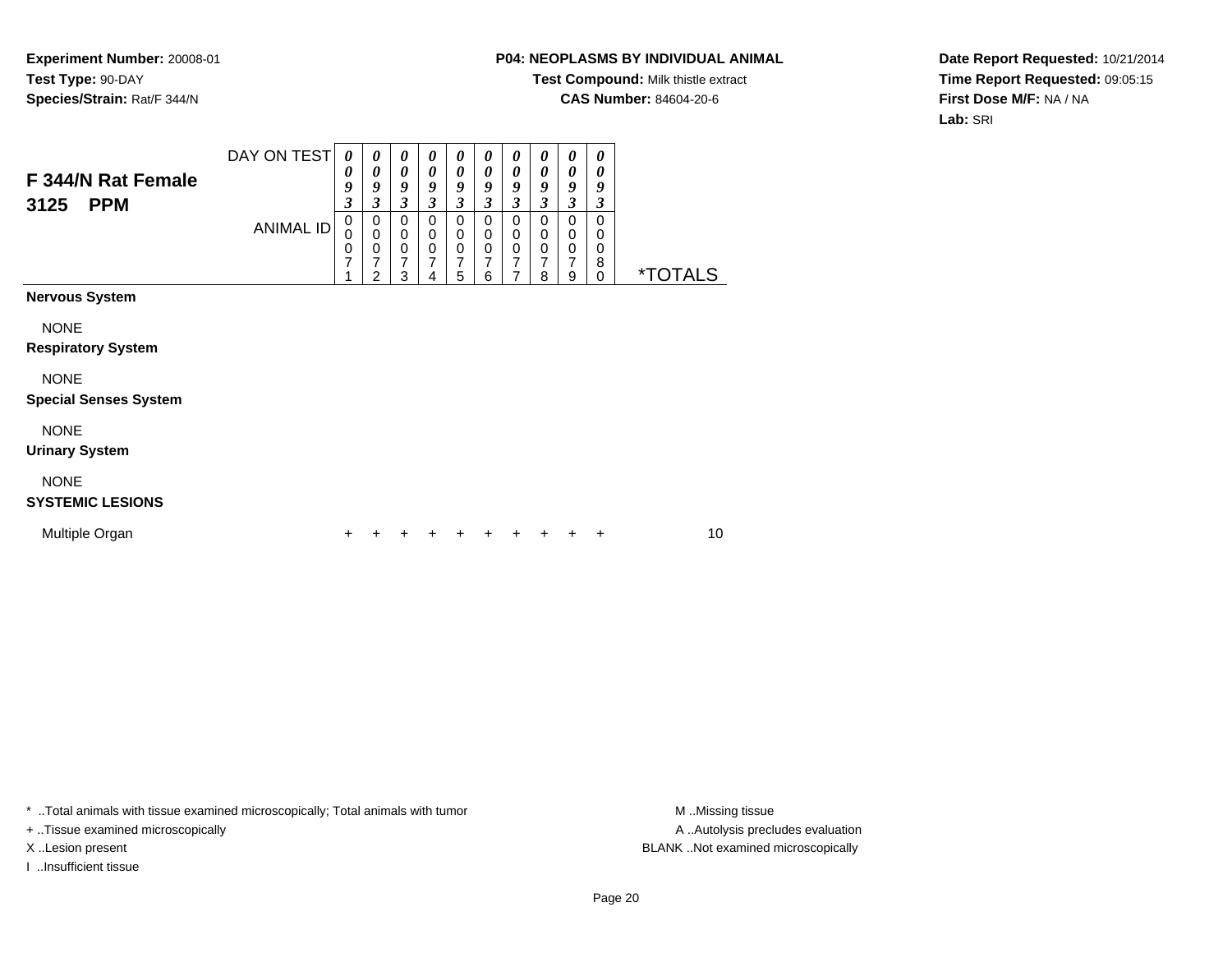### **P04: NEOPLASMS BY INDIVIDUAL ANIMAL**

**Test Compound:** Milk thistle extract

**CAS Number:** 84604-20-6

**Date Report Requested:** 10/21/2014**Time Report Requested:** 09:05:15**First Dose M/F:** NA / NA**Lab:** SRI

| F 344/N Rat Female<br><b>PPM</b><br>3125    | DAY ON TEST<br><b>ANIMAL ID</b> | 0<br>$\boldsymbol{\theta}$<br>9<br>$\boldsymbol{\beta}$<br>$\pmb{0}$<br>$\mathbf 0$<br>$\pmb{0}$<br>7<br>$\overline{1}$ | 0<br>0<br>9<br>$\boldsymbol{\beta}$<br>0<br>$\mathbf 0$<br>$\boldsymbol{0}$<br>7<br>$\overline{2}$ | 0<br>$\boldsymbol{\theta}$<br>9<br>$\boldsymbol{\beta}$<br>0<br>$\mathbf 0$<br>$\mathbf 0$<br>7<br>3 | 0<br>0<br>9<br>3<br>0<br>0<br>$\mathbf 0$<br>7<br>4 | 0<br>0<br>9<br>3<br>$\mathbf 0$<br>0<br>0<br>7<br>5 | 0<br>0<br>9<br>3<br>$\Omega$<br>0<br>$\mathbf 0$<br>$\overline{7}$<br>6 | 0<br>$\boldsymbol{\theta}$<br>9<br>3<br>$\pmb{0}$<br>0<br>$\pmb{0}$<br>$\overline{7}$<br>$\overline{7}$ | 0<br>$\boldsymbol{\theta}$<br>9<br>3<br>$\mathbf 0$<br>0<br>$\mathbf 0$<br>$\overline{7}$<br>8 | 0<br>$\boldsymbol{\theta}$<br>9<br>3<br>0<br>0<br>0<br>7<br>9 | $\boldsymbol{\theta}$<br>0<br>9<br>3<br>0<br>0<br>$\mathbf 0$<br>8<br>$\mathbf 0$ | <i><b>*TOTALS</b></i> |
|---------------------------------------------|---------------------------------|-------------------------------------------------------------------------------------------------------------------------|----------------------------------------------------------------------------------------------------|------------------------------------------------------------------------------------------------------|-----------------------------------------------------|-----------------------------------------------------|-------------------------------------------------------------------------|---------------------------------------------------------------------------------------------------------|------------------------------------------------------------------------------------------------|---------------------------------------------------------------|-----------------------------------------------------------------------------------|-----------------------|
| <b>Nervous System</b>                       |                                 |                                                                                                                         |                                                                                                    |                                                                                                      |                                                     |                                                     |                                                                         |                                                                                                         |                                                                                                |                                                               |                                                                                   |                       |
| <b>NONE</b><br><b>Respiratory System</b>    |                                 |                                                                                                                         |                                                                                                    |                                                                                                      |                                                     |                                                     |                                                                         |                                                                                                         |                                                                                                |                                                               |                                                                                   |                       |
| <b>NONE</b><br><b>Special Senses System</b> |                                 |                                                                                                                         |                                                                                                    |                                                                                                      |                                                     |                                                     |                                                                         |                                                                                                         |                                                                                                |                                                               |                                                                                   |                       |
| <b>NONE</b><br><b>Urinary System</b>        |                                 |                                                                                                                         |                                                                                                    |                                                                                                      |                                                     |                                                     |                                                                         |                                                                                                         |                                                                                                |                                                               |                                                                                   |                       |
| <b>NONE</b><br><b>SYSTEMIC LESIONS</b>      |                                 |                                                                                                                         |                                                                                                    |                                                                                                      |                                                     |                                                     |                                                                         |                                                                                                         |                                                                                                |                                                               |                                                                                   |                       |
| Multiple Organ                              |                                 | +                                                                                                                       |                                                                                                    |                                                                                                      |                                                     |                                                     |                                                                         |                                                                                                         | +                                                                                              | +                                                             | +                                                                                 | 10                    |

\* ..Total animals with tissue examined microscopically; Total animals with tumor **M** . Missing tissue M ..Missing tissue

+ ..Tissue examined microscopically

I ..Insufficient tissue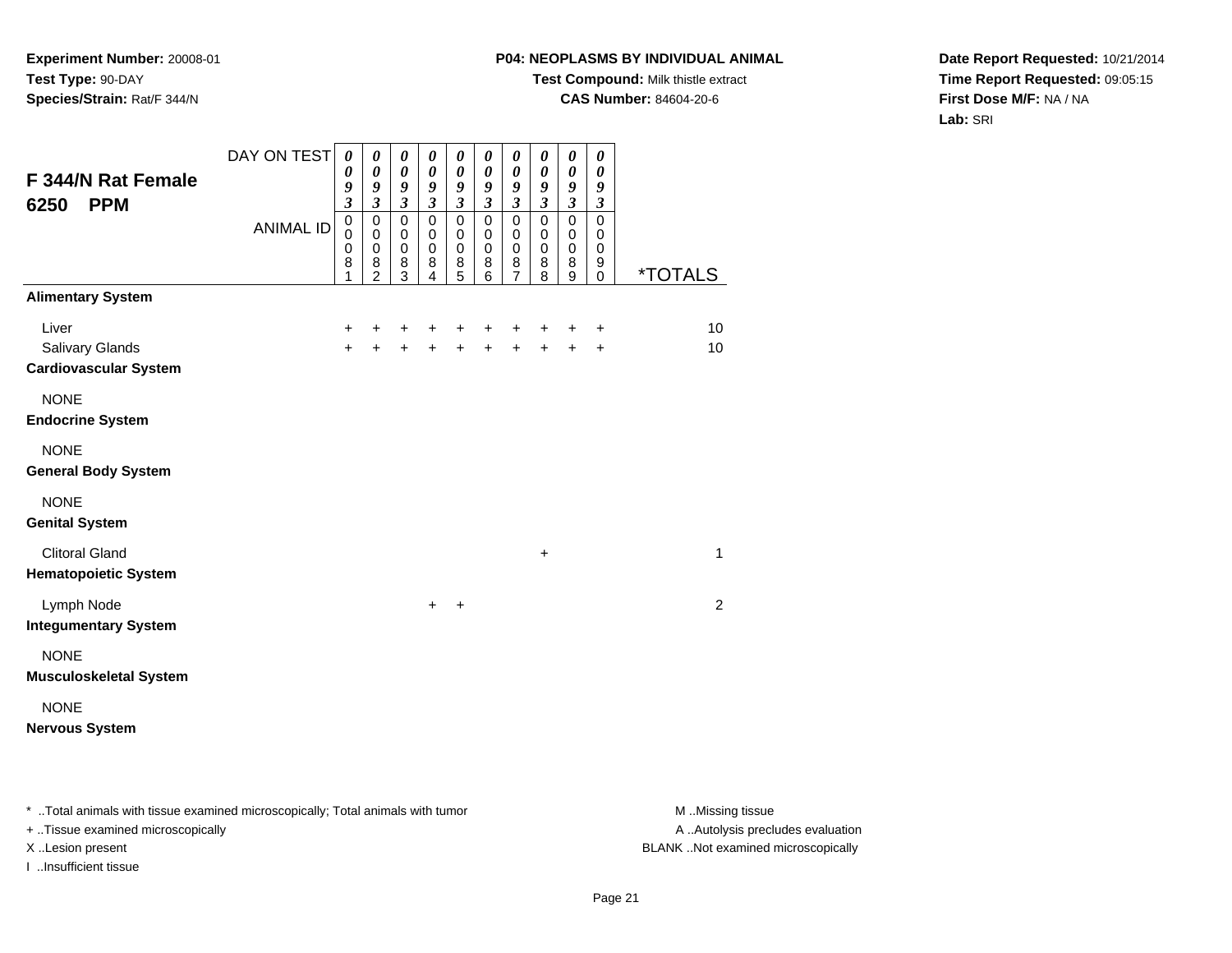## **P04: NEOPLASMS BY INDIVIDUAL ANIMAL**

**Test Compound:** Milk thistle extract

**CAS Number:** 84604-20-6

**Date Report Requested:** 10/21/2014**Time Report Requested:** 09:05:15**First Dose M/F:** NA / NA**Lab:** SRI

| F 344/N Rat Female<br><b>PPM</b><br>6250                 | DAY ON TEST<br><b>ANIMAL ID</b> | $\boldsymbol{\theta}$<br>$\boldsymbol{\theta}$<br>9<br>$\boldsymbol{\mathfrak{z}}$<br>$\pmb{0}$<br>$\mathbf 0$<br>$\pmb{0}$<br>8<br>1 | $\boldsymbol{\theta}$<br>$\boldsymbol{\theta}$<br>$\boldsymbol{g}$<br>$\mathfrak{z}$<br>$\mathbf 0$<br>$\pmb{0}$<br>$\pmb{0}$<br>8<br>$\overline{2}$ | $\boldsymbol{\theta}$<br>$\boldsymbol{\theta}$<br>9<br>$\boldsymbol{\beta}$<br>$\mathbf 0$<br>$\mathbf 0$<br>$\pmb{0}$<br>$\bf 8$<br>3 | $\boldsymbol{\theta}$<br>$\boldsymbol{\theta}$<br>9<br>$\boldsymbol{\beta}$<br>$\mathbf 0$<br>0<br>$\pmb{0}$<br>8<br>4 | $\pmb{\theta}$<br>$\boldsymbol{\theta}$<br>9<br>$\boldsymbol{\mathfrak{z}}$<br>0<br>0<br>$\pmb{0}$<br>$\frac{8}{5}$ | $\boldsymbol{\theta}$<br>$\boldsymbol{\theta}$<br>9<br>$\boldsymbol{\beta}$<br>$\mathbf 0$<br>$\mathbf 0$<br>$\mathbf 0$<br>8<br>6 | 0<br>$\boldsymbol{\theta}$<br>9<br>$\boldsymbol{\beta}$<br>$\pmb{0}$<br>$\,0\,$<br>$\mathbf 0$<br>$\bf8$<br>$\overline{7}$ | $\boldsymbol{\theta}$<br>$\boldsymbol{\theta}$<br>9<br>$\mathfrak{z}$<br>$\mathbf 0$<br>$\mathbf 0$<br>$\mathbf 0$<br>8<br>8 | $\boldsymbol{\theta}$<br>$\boldsymbol{\theta}$<br>9<br>$\boldsymbol{\beta}$<br>$\pmb{0}$<br>$\pmb{0}$<br>$\pmb{0}$<br>8<br>9 | 0<br>$\pmb{\theta}$<br>9<br>$\boldsymbol{\beta}$<br>0<br>0<br>$\mathbf 0$<br>9<br>$\mathbf 0$ | <i><b>*TOTALS</b></i> |
|----------------------------------------------------------|---------------------------------|---------------------------------------------------------------------------------------------------------------------------------------|------------------------------------------------------------------------------------------------------------------------------------------------------|----------------------------------------------------------------------------------------------------------------------------------------|------------------------------------------------------------------------------------------------------------------------|---------------------------------------------------------------------------------------------------------------------|------------------------------------------------------------------------------------------------------------------------------------|----------------------------------------------------------------------------------------------------------------------------|------------------------------------------------------------------------------------------------------------------------------|------------------------------------------------------------------------------------------------------------------------------|-----------------------------------------------------------------------------------------------|-----------------------|
| <b>Alimentary System</b>                                 |                                 |                                                                                                                                       |                                                                                                                                                      |                                                                                                                                        |                                                                                                                        |                                                                                                                     |                                                                                                                                    |                                                                                                                            |                                                                                                                              |                                                                                                                              |                                                                                               |                       |
| Liver<br>Salivary Glands<br><b>Cardiovascular System</b> |                                 | +<br>$\ddot{}$                                                                                                                        | ٠                                                                                                                                                    | +<br>$\ddot{}$                                                                                                                         | $\ddot{}$                                                                                                              | +<br>$\ddot{}$                                                                                                      | +<br>$\ddot{+}$                                                                                                                    | +<br>$\ddot{}$                                                                                                             | +<br>$\ddot{}$                                                                                                               | +<br>$+$                                                                                                                     | $\ddot{}$<br>$\ddot{}$                                                                        | 10<br>10              |
| <b>NONE</b><br><b>Endocrine System</b>                   |                                 |                                                                                                                                       |                                                                                                                                                      |                                                                                                                                        |                                                                                                                        |                                                                                                                     |                                                                                                                                    |                                                                                                                            |                                                                                                                              |                                                                                                                              |                                                                                               |                       |
| <b>NONE</b><br><b>General Body System</b>                |                                 |                                                                                                                                       |                                                                                                                                                      |                                                                                                                                        |                                                                                                                        |                                                                                                                     |                                                                                                                                    |                                                                                                                            |                                                                                                                              |                                                                                                                              |                                                                                               |                       |
| <b>NONE</b><br><b>Genital System</b>                     |                                 |                                                                                                                                       |                                                                                                                                                      |                                                                                                                                        |                                                                                                                        |                                                                                                                     |                                                                                                                                    |                                                                                                                            |                                                                                                                              |                                                                                                                              |                                                                                               |                       |
| <b>Clitoral Gland</b><br><b>Hematopoietic System</b>     |                                 |                                                                                                                                       |                                                                                                                                                      |                                                                                                                                        |                                                                                                                        |                                                                                                                     |                                                                                                                                    |                                                                                                                            | +                                                                                                                            |                                                                                                                              |                                                                                               | 1                     |
| Lymph Node<br><b>Integumentary System</b>                |                                 |                                                                                                                                       |                                                                                                                                                      |                                                                                                                                        | $\ddot{}$                                                                                                              | $\div$                                                                                                              |                                                                                                                                    |                                                                                                                            |                                                                                                                              |                                                                                                                              |                                                                                               | 2                     |
| <b>NONE</b><br><b>Musculoskeletal System</b>             |                                 |                                                                                                                                       |                                                                                                                                                      |                                                                                                                                        |                                                                                                                        |                                                                                                                     |                                                                                                                                    |                                                                                                                            |                                                                                                                              |                                                                                                                              |                                                                                               |                       |
| <b>NONE</b><br><b>Nervous System</b>                     |                                 |                                                                                                                                       |                                                                                                                                                      |                                                                                                                                        |                                                                                                                        |                                                                                                                     |                                                                                                                                    |                                                                                                                            |                                                                                                                              |                                                                                                                              |                                                                                               |                       |

\* ..Total animals with tissue examined microscopically; Total animals with tumor **M** . Missing tissue M ..Missing tissue

+ ..Tissue examined microscopically

I ..Insufficient tissue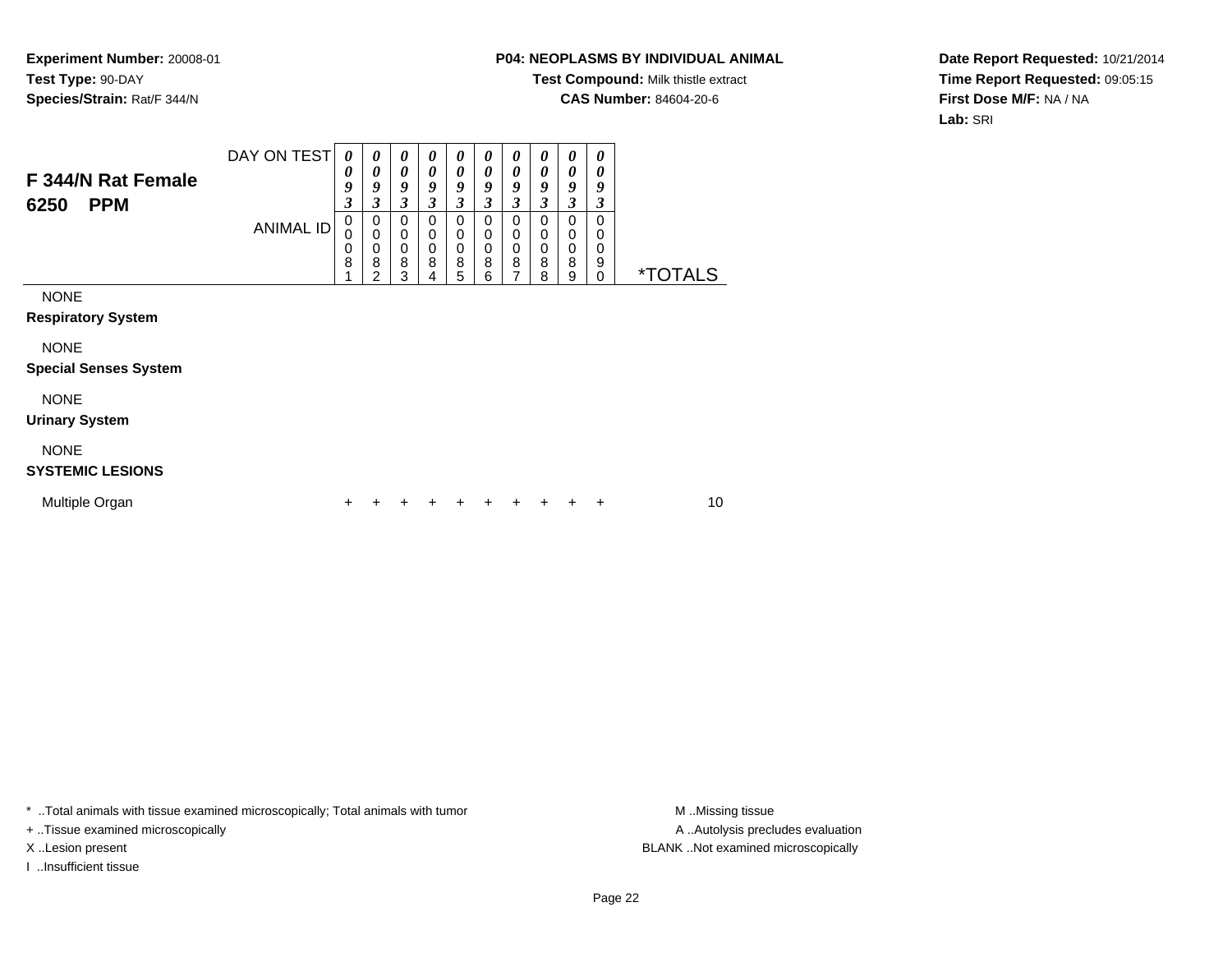### **P04: NEOPLASMS BY INDIVIDUAL ANIMAL**

**Test Compound:** Milk thistle extract

**CAS Number:** 84604-20-6

**Date Report Requested:** 10/21/2014**Time Report Requested:** 09:05:15**First Dose M/F:** NA / NA**Lab:** SRI

| F 344/N Rat Female<br><b>PPM</b><br>6250    | DAY ON TEST<br>ANIMAL ID | 0<br>0<br>9<br>3<br>0<br>0<br>$\mathbf 0$<br>8 | 0<br>0<br>9<br>3<br>0<br>0<br>0<br>8<br>2 | $\boldsymbol{\theta}$<br>0<br>9<br>3<br>0<br>0<br>$\pmb{0}$<br>8<br>3 | 0<br>0<br>9<br>3<br>0<br>0<br>0<br>8<br>4 | 0<br>0<br>9<br>3<br>0<br>0<br>0<br>8<br>5 | 0<br>0<br>9<br>3<br>0<br>0<br>0<br>8<br>6 | 0<br>0<br>9<br>$\mathfrak{z}$<br>0<br>0<br>$\mathbf 0$<br>8<br>7 | 0<br>0<br>9<br>3<br>0<br>0<br>0<br>8<br>8 | 0<br>0<br>9<br>3<br>0<br>0<br>$\boldsymbol{0}$<br>8<br>9 | 0<br>0<br>9<br>3<br>0<br>0<br>0<br>9<br>$\Omega$ | <i><b>*TOTALS</b></i> |
|---------------------------------------------|--------------------------|------------------------------------------------|-------------------------------------------|-----------------------------------------------------------------------|-------------------------------------------|-------------------------------------------|-------------------------------------------|------------------------------------------------------------------|-------------------------------------------|----------------------------------------------------------|--------------------------------------------------|-----------------------|
| <b>NONE</b><br><b>Respiratory System</b>    |                          |                                                |                                           |                                                                       |                                           |                                           |                                           |                                                                  |                                           |                                                          |                                                  |                       |
| <b>NONE</b><br><b>Special Senses System</b> |                          |                                                |                                           |                                                                       |                                           |                                           |                                           |                                                                  |                                           |                                                          |                                                  |                       |
| <b>NONE</b><br><b>Urinary System</b>        |                          |                                                |                                           |                                                                       |                                           |                                           |                                           |                                                                  |                                           |                                                          |                                                  |                       |
| <b>NONE</b><br><b>SYSTEMIC LESIONS</b>      |                          |                                                |                                           |                                                                       |                                           |                                           |                                           |                                                                  |                                           |                                                          |                                                  |                       |
| Multiple Organ                              |                          |                                                |                                           |                                                                       |                                           |                                           |                                           |                                                                  |                                           |                                                          |                                                  | 10                    |

\* ..Total animals with tissue examined microscopically; Total animals with tumor **M** . Missing tissue M ..Missing tissue

+ ..Tissue examined microscopically

I ..Insufficient tissue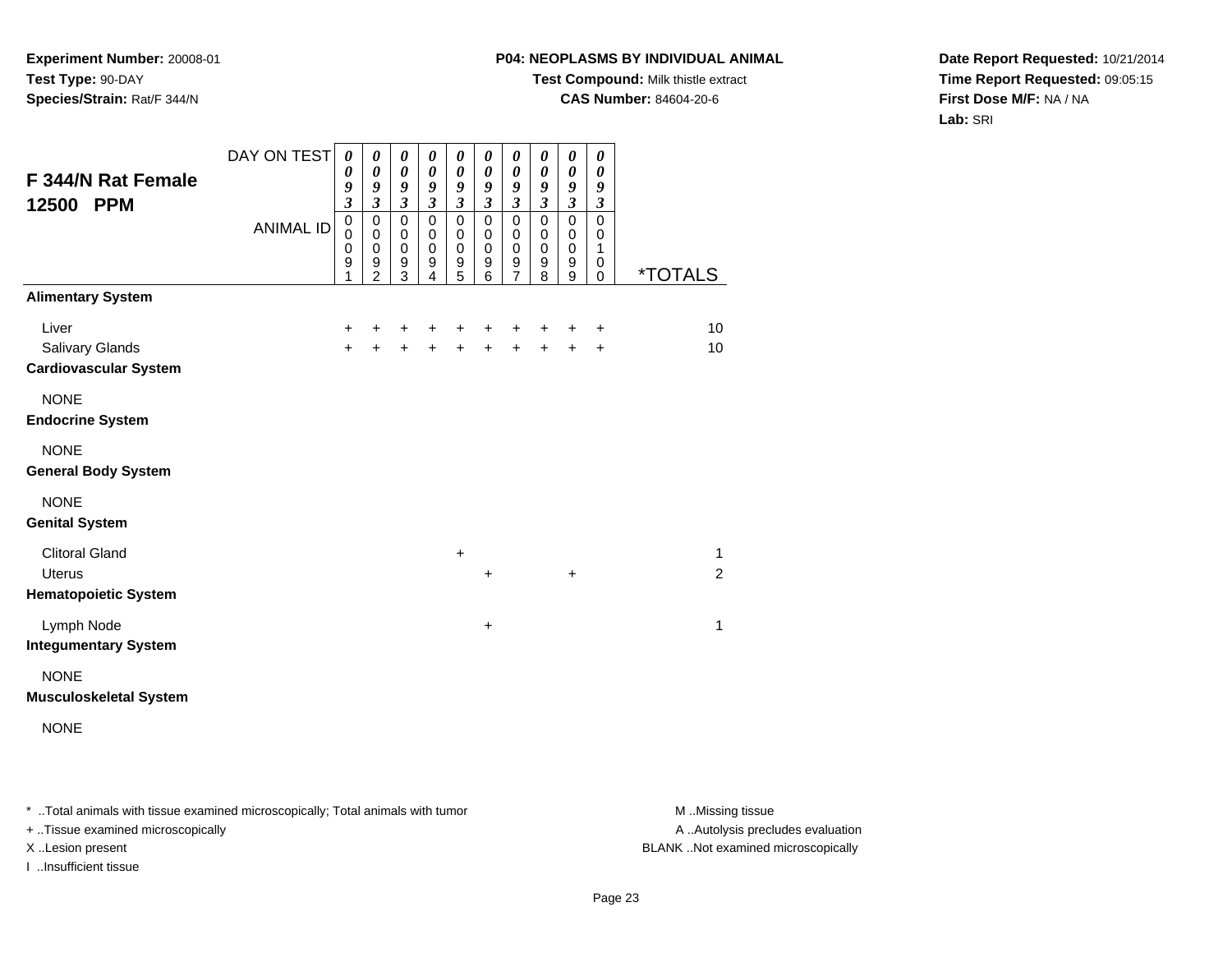## **P04: NEOPLASMS BY INDIVIDUAL ANIMAL**

**Test Compound:** Milk thistle extract

**CAS Number:** 84604-20-6

**Date Report Requested:** 10/21/2014**Time Report Requested:** 09:05:15**First Dose M/F:** NA / NA**Lab:** SRI

| <b>F 344/N Rat Female</b><br>12500 PPM                                | DAY ON TEST<br><b>ANIMAL ID</b> | $\boldsymbol{\theta}$<br>$\boldsymbol{\theta}$<br>9<br>$\mathfrak{z}$<br>$\mathbf 0$<br>$\pmb{0}$<br>$\mathbf 0$<br>$\boldsymbol{9}$<br>1 | 0<br>0<br>9<br>$\mathfrak{z}$<br>$\pmb{0}$<br>$\pmb{0}$<br>$\mathbf 0$<br>$\boldsymbol{9}$<br>$\overline{2}$ | $\pmb{\theta}$<br>$\boldsymbol{\theta}$<br>$\boldsymbol{g}$<br>$\mathfrak{z}$<br>$\pmb{0}$<br>$\mathbf 0$<br>$\pmb{0}$<br>$\boldsymbol{9}$<br>3 | 0<br>0<br>9<br>$\mathfrak{z}$<br>$\mathbf 0$<br>0<br>$\mathbf 0$<br>$\boldsymbol{9}$<br>4 | $\pmb{\theta}$<br>0<br>9<br>$\boldsymbol{\beta}$<br>$\mathbf 0$<br>$\pmb{0}$<br>$\pmb{0}$<br>$\boldsymbol{9}$<br>$\overline{5}$ | 0<br>0<br>9<br>$\boldsymbol{\beta}$<br>$\mathbf 0$<br>$\pmb{0}$<br>0<br>$\boldsymbol{9}$<br>6 | 0<br>0<br>9<br>$\boldsymbol{\beta}$<br>$\mathbf 0$<br>0<br>0<br>9<br>$\overline{7}$ | 0<br>$\boldsymbol{\theta}$<br>9<br>$\boldsymbol{\beta}$<br>$\mathbf 0$<br>0<br>$\mathbf 0$<br>$\boldsymbol{9}$<br>8 | 0<br>0<br>9<br>3<br>$\mathbf 0$<br>0<br>$\pmb{0}$<br>$\boldsymbol{9}$<br>9 | 0<br>0<br>9<br>$\boldsymbol{\beta}$<br>0<br>0<br>1<br>0<br>0 | *TOTALS             |
|-----------------------------------------------------------------------|---------------------------------|-------------------------------------------------------------------------------------------------------------------------------------------|--------------------------------------------------------------------------------------------------------------|-------------------------------------------------------------------------------------------------------------------------------------------------|-------------------------------------------------------------------------------------------|---------------------------------------------------------------------------------------------------------------------------------|-----------------------------------------------------------------------------------------------|-------------------------------------------------------------------------------------|---------------------------------------------------------------------------------------------------------------------|----------------------------------------------------------------------------|--------------------------------------------------------------|---------------------|
| <b>Alimentary System</b>                                              |                                 |                                                                                                                                           |                                                                                                              |                                                                                                                                                 |                                                                                           |                                                                                                                                 |                                                                                               |                                                                                     |                                                                                                                     |                                                                            |                                                              |                     |
| Liver<br>Salivary Glands<br><b>Cardiovascular System</b>              |                                 | $\ddot{}$<br>$+$                                                                                                                          | +<br>$+$                                                                                                     | $\pm$<br>$+$                                                                                                                                    | +                                                                                         | $\ddot{}$<br>$\ddot{+}$                                                                                                         | +<br>$\ddot{}$                                                                                | +<br>$\ddot{+}$                                                                     | +<br>$+$                                                                                                            | +<br>$+$                                                                   | $\ddot{}$<br>$+$                                             | 10<br>10            |
| <b>NONE</b><br><b>Endocrine System</b>                                |                                 |                                                                                                                                           |                                                                                                              |                                                                                                                                                 |                                                                                           |                                                                                                                                 |                                                                                               |                                                                                     |                                                                                                                     |                                                                            |                                                              |                     |
| <b>NONE</b><br><b>General Body System</b>                             |                                 |                                                                                                                                           |                                                                                                              |                                                                                                                                                 |                                                                                           |                                                                                                                                 |                                                                                               |                                                                                     |                                                                                                                     |                                                                            |                                                              |                     |
| <b>NONE</b><br><b>Genital System</b>                                  |                                 |                                                                                                                                           |                                                                                                              |                                                                                                                                                 |                                                                                           |                                                                                                                                 |                                                                                               |                                                                                     |                                                                                                                     |                                                                            |                                                              |                     |
| <b>Clitoral Gland</b><br><b>Uterus</b><br><b>Hematopoietic System</b> |                                 |                                                                                                                                           |                                                                                                              |                                                                                                                                                 |                                                                                           | $\ddot{}$                                                                                                                       | $\ddot{}$                                                                                     |                                                                                     |                                                                                                                     | $\ddot{}$                                                                  |                                                              | 1<br>$\overline{2}$ |
| Lymph Node<br><b>Integumentary System</b>                             |                                 |                                                                                                                                           |                                                                                                              |                                                                                                                                                 |                                                                                           |                                                                                                                                 | +                                                                                             |                                                                                     |                                                                                                                     |                                                                            |                                                              | 1                   |
| <b>NONE</b><br><b>Musculoskeletal System</b>                          |                                 |                                                                                                                                           |                                                                                                              |                                                                                                                                                 |                                                                                           |                                                                                                                                 |                                                                                               |                                                                                     |                                                                                                                     |                                                                            |                                                              |                     |
| <b>NONE</b>                                                           |                                 |                                                                                                                                           |                                                                                                              |                                                                                                                                                 |                                                                                           |                                                                                                                                 |                                                                                               |                                                                                     |                                                                                                                     |                                                                            |                                                              |                     |

\* ..Total animals with tissue examined microscopically; Total animals with tumor **M** . Missing tissue M ..Missing tissue

+ ..Tissue examined microscopically

I ..Insufficient tissue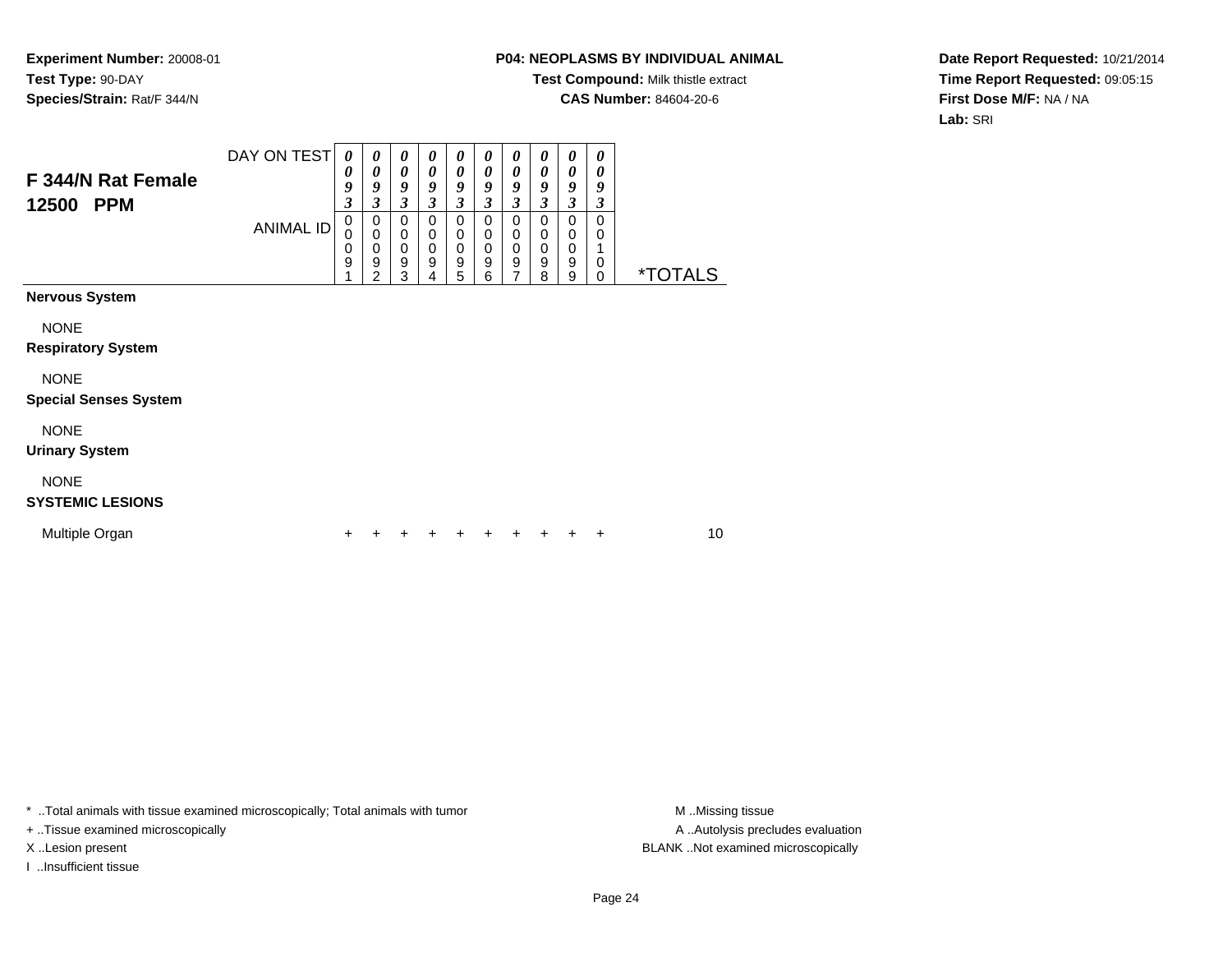### **P04: NEOPLASMS BY INDIVIDUAL ANIMAL**

**Test Compound:** Milk thistle extract

**CAS Number:** 84604-20-6

**Date Report Requested:** 10/21/2014**Time Report Requested:** 09:05:15**First Dose M/F:** NA / NA**Lab:** SRI

| <b>F 344/N Rat Female</b><br>12500<br><b>PPM</b> | DAY ON TEST<br><b>ANIMAL ID</b> | 0<br>0<br>9<br>3<br>0<br>$\pmb{0}$<br>0<br>9 | 0<br>0<br>9<br>3<br>0<br>$\mathbf 0$<br>$\pmb{0}$<br>9<br>2 | 0<br>$\boldsymbol{\theta}$<br>9<br>3<br>$\mathbf 0$<br>$\pmb{0}$<br>$\mathbf 0$<br>9<br>3 | $\boldsymbol{\theta}$<br>$\boldsymbol{\theta}$<br>9<br>3<br>$\Omega$<br>0<br>$\mathbf 0$<br>9<br>4 | 0<br>0<br>9<br>3<br>$\mathbf 0$<br>$\pmb{0}$<br>$\mathbf 0$<br>9<br>5 | $\boldsymbol{\theta}$<br>$\boldsymbol{\theta}$<br>9<br>$\mathfrak{z}$<br>0<br>$\pmb{0}$<br>$\mathbf 0$<br>$\boldsymbol{9}$<br>6 | 0<br>$\boldsymbol{\theta}$<br>9<br>3<br>0<br>0<br>$\mathbf 0$<br>9<br>$\overline{7}$ | 0<br>$\boldsymbol{\theta}$<br>9<br>3<br>0<br>0<br>$\pmb{0}$<br>$\boldsymbol{9}$<br>8 | 0<br>$\theta$<br>9<br>3<br>$\mathbf 0$<br>0<br>$\mathbf 0$<br>9<br>9 | 0<br>0<br>9<br>3<br>$\mathbf 0$<br>0<br>1<br>0<br>$\mathbf 0$ | <i><b>*TOTALS</b></i> |    |
|--------------------------------------------------|---------------------------------|----------------------------------------------|-------------------------------------------------------------|-------------------------------------------------------------------------------------------|----------------------------------------------------------------------------------------------------|-----------------------------------------------------------------------|---------------------------------------------------------------------------------------------------------------------------------|--------------------------------------------------------------------------------------|--------------------------------------------------------------------------------------|----------------------------------------------------------------------|---------------------------------------------------------------|-----------------------|----|
| <b>Nervous System</b>                            |                                 |                                              |                                                             |                                                                                           |                                                                                                    |                                                                       |                                                                                                                                 |                                                                                      |                                                                                      |                                                                      |                                                               |                       |    |
| <b>NONE</b><br><b>Respiratory System</b>         |                                 |                                              |                                                             |                                                                                           |                                                                                                    |                                                                       |                                                                                                                                 |                                                                                      |                                                                                      |                                                                      |                                                               |                       |    |
| <b>NONE</b><br><b>Special Senses System</b>      |                                 |                                              |                                                             |                                                                                           |                                                                                                    |                                                                       |                                                                                                                                 |                                                                                      |                                                                                      |                                                                      |                                                               |                       |    |
| <b>NONE</b><br><b>Urinary System</b>             |                                 |                                              |                                                             |                                                                                           |                                                                                                    |                                                                       |                                                                                                                                 |                                                                                      |                                                                                      |                                                                      |                                                               |                       |    |
| <b>NONE</b><br><b>SYSTEMIC LESIONS</b>           |                                 |                                              |                                                             |                                                                                           |                                                                                                    |                                                                       |                                                                                                                                 |                                                                                      |                                                                                      |                                                                      |                                                               |                       |    |
| Multiple Organ                                   |                                 | +                                            |                                                             |                                                                                           |                                                                                                    |                                                                       | +                                                                                                                               |                                                                                      |                                                                                      |                                                                      | +                                                             |                       | 10 |

\* ..Total animals with tissue examined microscopically; Total animals with tumor **M** . Missing tissue M ..Missing tissue

+ ..Tissue examined microscopically

I ..Insufficient tissue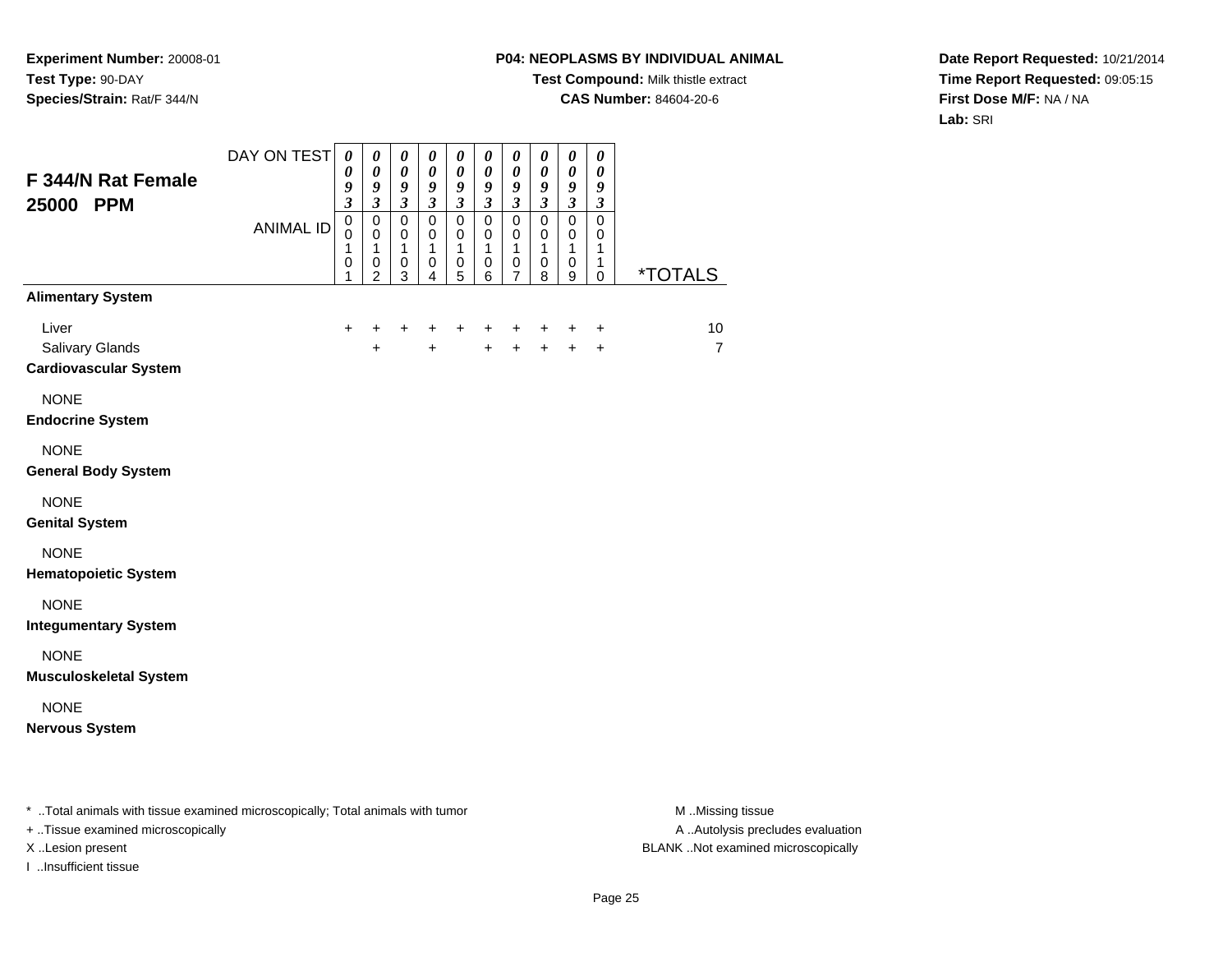## **P04: NEOPLASMS BY INDIVIDUAL ANIMAL**

**Test Compound:** Milk thistle extract

**CAS Number:** 84604-20-6

**Date Report Requested:** 10/21/2014**Time Report Requested:** 09:05:15**First Dose M/F:** NA / NA**Lab:** SRI

| F 344/N Rat Female<br>25000 PPM                          | DAY ON TEST<br><b>ANIMAL ID</b> | $\boldsymbol{\theta}$<br>$\boldsymbol{\theta}$<br>9<br>$\mathfrak{z}$<br>$\overline{0}$<br>0<br>1<br>0<br>1 | $\boldsymbol{\theta}$<br>$\pmb{\theta}$<br>$\boldsymbol{9}$<br>$\mathfrak{z}$<br>$\mathsf 0$<br>0<br>$\mathbf{1}$<br>0<br>$\overline{2}$ | $\pmb{\theta}$<br>$\boldsymbol{\theta}$<br>9<br>$\mathfrak{z}$<br>$\overline{0}$<br>$\mathbf 0$<br>$\mathbf{1}$<br>$\,0\,$<br>3 | $\boldsymbol{\theta}$<br>$\boldsymbol{\theta}$<br>9<br>$\mathfrak{z}$<br>$\overline{0}$<br>0<br>$\mathbf{1}$<br>0<br>4 | 0<br>$\pmb{\theta}$<br>9<br>$\mathfrak{z}$<br>$\overline{0}$<br>$\mathbf 0$<br>$\mathbf 1$<br>$\pmb{0}$<br>5 | $\boldsymbol{\theta}$<br>$\pmb{\theta}$<br>9<br>$\mathfrak{z}$<br>$\overline{0}$<br>$\mathbf 0$<br>$\mathbf{1}$<br>$\mathbf 0$<br>6 | $\boldsymbol{\theta}$<br>$\pmb{\theta}$<br>9<br>$\mathfrak{z}$<br>$\overline{0}$<br>$\mathbf 0$<br>1<br>$\pmb{0}$<br>7 | $\pmb{\theta}$<br>$\boldsymbol{\theta}$<br>9<br>$\mathfrak{z}$<br>$\mathbf 0$<br>0<br>$\mathbf{1}$<br>$\pmb{0}$<br>8 | $\boldsymbol{\theta}$<br>$\pmb{\theta}$<br>$\boldsymbol{g}$<br>$\boldsymbol{\beta}$<br>$\overline{0}$<br>0<br>$\mathbf{1}$<br>0<br>9 | $\pmb{\theta}$<br>$\pmb{\theta}$<br>9<br>$\boldsymbol{\beta}$<br>$\overline{0}$<br>0<br>$\mathbf{1}$<br>1<br>0 | <i><b>*TOTALS</b></i> |
|----------------------------------------------------------|---------------------------------|-------------------------------------------------------------------------------------------------------------|------------------------------------------------------------------------------------------------------------------------------------------|---------------------------------------------------------------------------------------------------------------------------------|------------------------------------------------------------------------------------------------------------------------|--------------------------------------------------------------------------------------------------------------|-------------------------------------------------------------------------------------------------------------------------------------|------------------------------------------------------------------------------------------------------------------------|----------------------------------------------------------------------------------------------------------------------|--------------------------------------------------------------------------------------------------------------------------------------|----------------------------------------------------------------------------------------------------------------|-----------------------|
| <b>Alimentary System</b>                                 |                                 |                                                                                                             |                                                                                                                                          |                                                                                                                                 |                                                                                                                        |                                                                                                              |                                                                                                                                     |                                                                                                                        |                                                                                                                      |                                                                                                                                      |                                                                                                                |                       |
| Liver<br>Salivary Glands<br><b>Cardiovascular System</b> |                                 | $+$                                                                                                         | +<br>$\ddot{}$                                                                                                                           | $\ddot{}$                                                                                                                       | +<br>$+$                                                                                                               | $\ddot{}$                                                                                                    | $\ddot{}$<br>$+$                                                                                                                    | $\ddot{}$<br>$+$                                                                                                       | $\ddot{}$<br>$+$                                                                                                     | +<br>$\ddot{+}$                                                                                                                      | $\ddot{}$<br>$+$                                                                                               | 10<br>$\overline{7}$  |
| <b>NONE</b><br><b>Endocrine System</b>                   |                                 |                                                                                                             |                                                                                                                                          |                                                                                                                                 |                                                                                                                        |                                                                                                              |                                                                                                                                     |                                                                                                                        |                                                                                                                      |                                                                                                                                      |                                                                                                                |                       |
| <b>NONE</b><br><b>General Body System</b>                |                                 |                                                                                                             |                                                                                                                                          |                                                                                                                                 |                                                                                                                        |                                                                                                              |                                                                                                                                     |                                                                                                                        |                                                                                                                      |                                                                                                                                      |                                                                                                                |                       |
| <b>NONE</b><br><b>Genital System</b>                     |                                 |                                                                                                             |                                                                                                                                          |                                                                                                                                 |                                                                                                                        |                                                                                                              |                                                                                                                                     |                                                                                                                        |                                                                                                                      |                                                                                                                                      |                                                                                                                |                       |
| <b>NONE</b><br><b>Hematopoietic System</b>               |                                 |                                                                                                             |                                                                                                                                          |                                                                                                                                 |                                                                                                                        |                                                                                                              |                                                                                                                                     |                                                                                                                        |                                                                                                                      |                                                                                                                                      |                                                                                                                |                       |
| <b>NONE</b><br><b>Integumentary System</b>               |                                 |                                                                                                             |                                                                                                                                          |                                                                                                                                 |                                                                                                                        |                                                                                                              |                                                                                                                                     |                                                                                                                        |                                                                                                                      |                                                                                                                                      |                                                                                                                |                       |
| <b>NONE</b><br><b>Musculoskeletal System</b>             |                                 |                                                                                                             |                                                                                                                                          |                                                                                                                                 |                                                                                                                        |                                                                                                              |                                                                                                                                     |                                                                                                                        |                                                                                                                      |                                                                                                                                      |                                                                                                                |                       |
| <b>NONE</b><br><b>Nervous System</b>                     |                                 |                                                                                                             |                                                                                                                                          |                                                                                                                                 |                                                                                                                        |                                                                                                              |                                                                                                                                     |                                                                                                                        |                                                                                                                      |                                                                                                                                      |                                                                                                                |                       |
|                                                          |                                 |                                                                                                             |                                                                                                                                          |                                                                                                                                 |                                                                                                                        |                                                                                                              |                                                                                                                                     |                                                                                                                        |                                                                                                                      |                                                                                                                                      |                                                                                                                |                       |

\* ..Total animals with tissue examined microscopically; Total animals with tumor **M** . Missing tissue M ..Missing tissue

+ ..Tissue examined microscopically

I ..Insufficient tissue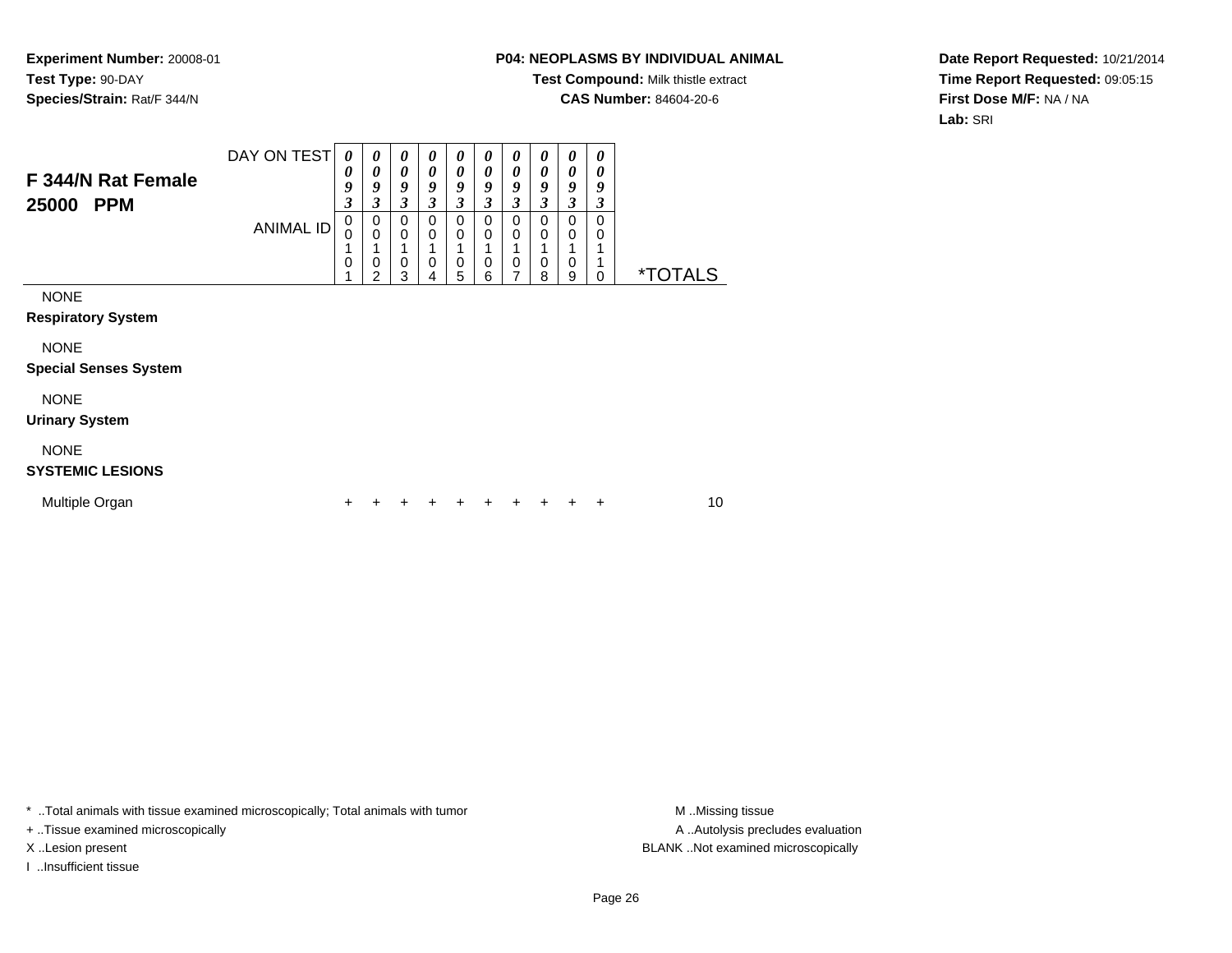### **P04: NEOPLASMS BY INDIVIDUAL ANIMAL**

**Test Compound:** Milk thistle extract

**CAS Number:** 84604-20-6

**Date Report Requested:** 10/21/2014**Time Report Requested:** 09:05:15**First Dose M/F:** NA / NA**Lab:** SRI

| F 344/N Rat Female<br>25000<br><b>PPM</b>   | DAY ON TEST<br><b>ANIMAL ID</b> | 0<br>0<br>9<br>$\mathfrak{z}$<br>$\mathbf 0$<br>$\Omega$<br>$\mathbf 0$ | 0<br>0<br>9<br>$\mathfrak{z}$<br>$\pmb{0}$<br>$\mathbf 0$<br>$\mathbf 0$<br>$\overline{2}$ | 0<br>$\boldsymbol{\theta}$<br>9<br>$\boldsymbol{\beta}$<br>$\mathbf 0$<br>$\mathbf 0$<br>$\mathbf 0$<br>3 | 0<br>0<br>9<br>$\boldsymbol{\beta}$<br>$\mathbf 0$<br>0<br>$\mathbf 0$<br>4 | 0<br>0<br>9<br>$\boldsymbol{\mathfrak{z}}$<br>$\mathbf 0$<br>0<br>1<br>$\mathbf 0$<br>5 | 0<br>0<br>9<br>3<br>$\Omega$<br>0<br>$\mathbf 0$<br>6 | 0<br>0<br>9<br>3<br>$\mathbf 0$<br>0<br>$\mathbf 0$<br>7 | 0<br>0<br>9<br>3<br>$\Omega$<br>0<br>0<br>8 | 0<br>0<br>9<br>$\overline{\mathbf{3}}$<br>$\mathbf 0$<br>0<br>0<br>9 | 0<br>0<br>9<br>3<br>$\Omega$<br>0<br>0 | <i><b>*TOTALS</b></i> |
|---------------------------------------------|---------------------------------|-------------------------------------------------------------------------|--------------------------------------------------------------------------------------------|-----------------------------------------------------------------------------------------------------------|-----------------------------------------------------------------------------|-----------------------------------------------------------------------------------------|-------------------------------------------------------|----------------------------------------------------------|---------------------------------------------|----------------------------------------------------------------------|----------------------------------------|-----------------------|
| <b>NONE</b><br><b>Respiratory System</b>    |                                 |                                                                         |                                                                                            |                                                                                                           |                                                                             |                                                                                         |                                                       |                                                          |                                             |                                                                      |                                        |                       |
| <b>NONE</b><br><b>Special Senses System</b> |                                 |                                                                         |                                                                                            |                                                                                                           |                                                                             |                                                                                         |                                                       |                                                          |                                             |                                                                      |                                        |                       |
| <b>NONE</b><br><b>Urinary System</b>        |                                 |                                                                         |                                                                                            |                                                                                                           |                                                                             |                                                                                         |                                                       |                                                          |                                             |                                                                      |                                        |                       |
| <b>NONE</b><br><b>SYSTEMIC LESIONS</b>      |                                 |                                                                         |                                                                                            |                                                                                                           |                                                                             |                                                                                         |                                                       |                                                          |                                             |                                                                      |                                        |                       |
| Multiple Organ                              |                                 | ٠                                                                       |                                                                                            |                                                                                                           |                                                                             |                                                                                         |                                                       | ٠                                                        | ٠                                           | ٠                                                                    | ٠                                      | 10                    |

\* ..Total animals with tissue examined microscopically; Total animals with tumor **M** . Missing tissue M ..Missing tissue

+ ..Tissue examined microscopically

I ..Insufficient tissue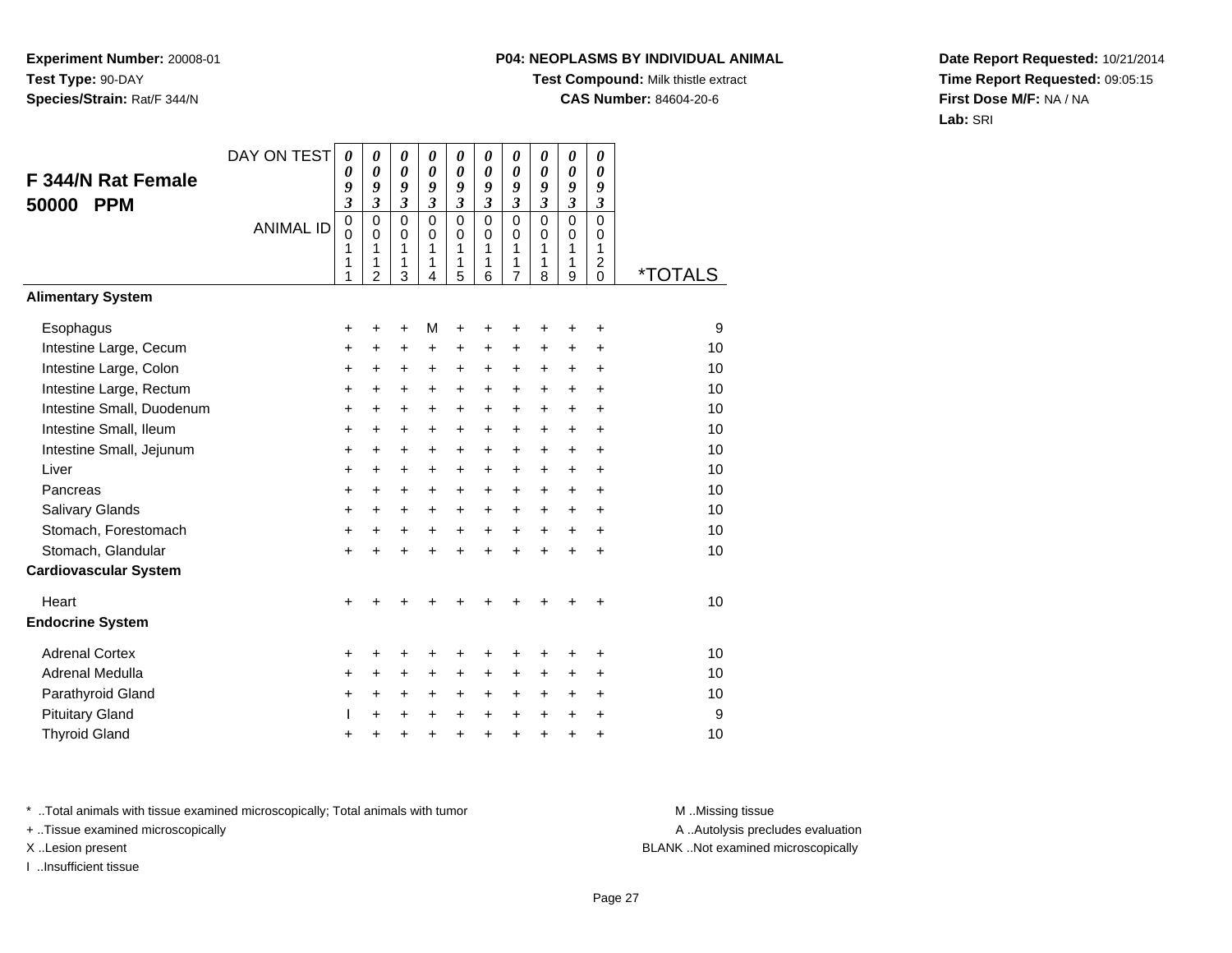# **P04: NEOPLASMS BY INDIVIDUAL ANIMAL**

**Test Compound:** Milk thistle extract

**CAS Number:** 84604-20-6

**Date Report Requested:** 10/21/2014**Time Report Requested:** 09:05:15**First Dose M/F:** NA / NA**Lab:** SRI

| F 344/N Rat Female<br><b>PPM</b><br>50000 | DAY ON TEST<br><b>ANIMAL ID</b> | 0<br>0<br>9<br>$\overline{\mathbf{3}}$<br>$\pmb{0}$<br>$\Omega$<br>1<br>1<br>1 | 0<br>0<br>9<br>$\mathfrak{z}$<br>$\mathbf 0$<br>$\Omega$<br>1<br>1<br>$\overline{2}$ | 0<br>$\boldsymbol{\theta}$<br>9<br>$\boldsymbol{\beta}$<br>$\overline{0}$<br>$\Omega$<br>1<br>1<br>3 | $\boldsymbol{\theta}$<br>0<br>9<br>3<br>$\mathbf 0$<br>$\Omega$<br>1<br>1<br>4 | 0<br>0<br>9<br>3<br>$\overline{0}$<br>0<br>1<br>1<br>5 | 0<br>$\boldsymbol{\theta}$<br>9<br>$\boldsymbol{\mathfrak{z}}$<br>$\overline{0}$<br>$\Omega$<br>1<br>1<br>6 | 0<br>$\boldsymbol{\theta}$<br>9<br>3<br>$\Omega$<br>0<br>1<br>1<br>7 | $\boldsymbol{\theta}$<br>0<br>9<br>$\mathfrak{z}$<br>$\mathbf 0$<br>$\Omega$<br>1<br>1<br>8 | 0<br>0<br>9<br>$\mathfrak{z}$<br>$\mathbf 0$<br>0<br>1<br>1<br>9 | 0<br>0<br>9<br>$\boldsymbol{\beta}$<br>$\mathbf 0$<br>$\Omega$<br>1<br>$\overline{c}$<br>0 | <i><b>*TOTALS</b></i> |
|-------------------------------------------|---------------------------------|--------------------------------------------------------------------------------|--------------------------------------------------------------------------------------|------------------------------------------------------------------------------------------------------|--------------------------------------------------------------------------------|--------------------------------------------------------|-------------------------------------------------------------------------------------------------------------|----------------------------------------------------------------------|---------------------------------------------------------------------------------------------|------------------------------------------------------------------|--------------------------------------------------------------------------------------------|-----------------------|
| <b>Alimentary System</b>                  |                                 |                                                                                |                                                                                      |                                                                                                      |                                                                                |                                                        |                                                                                                             |                                                                      |                                                                                             |                                                                  |                                                                                            |                       |
| Esophagus                                 |                                 | +                                                                              | $\ddot{}$                                                                            | $\ddot{}$                                                                                            | М                                                                              | $\ddot{}$                                              | +                                                                                                           | +                                                                    | ٠                                                                                           | +                                                                | $\ddot{}$                                                                                  | 9                     |
| Intestine Large, Cecum                    |                                 | +                                                                              | +                                                                                    | +                                                                                                    | $\pm$                                                                          | +                                                      | +                                                                                                           | $\ddot{}$                                                            | $\ddot{}$                                                                                   | $\pm$                                                            | $\ddot{}$                                                                                  | 10                    |
| Intestine Large, Colon                    |                                 | +                                                                              | +                                                                                    | +                                                                                                    | $\ddot{}$                                                                      | $\ddot{}$                                              | $\ddot{}$                                                                                                   | $\ddot{}$                                                            | $\ddot{}$                                                                                   | $\ddot{}$                                                        | $\ddot{}$                                                                                  | 10                    |
| Intestine Large, Rectum                   |                                 | +                                                                              | +                                                                                    | $\ddot{}$                                                                                            | $\ddot{}$                                                                      | $\ddot{}$                                              | $\ddot{}$                                                                                                   | $\ddot{}$                                                            | $+$                                                                                         | $\ddot{}$                                                        | $\ddot{}$                                                                                  | 10                    |
| Intestine Small, Duodenum                 |                                 | +                                                                              | $\ddot{}$                                                                            | $\ddot{}$                                                                                            | $\ddot{}$                                                                      | $\ddot{}$                                              | $\ddot{}$                                                                                                   | $\ddot{}$                                                            | $\ddot{}$                                                                                   | $\ddot{}$                                                        | $\ddot{}$                                                                                  | 10                    |
| Intestine Small, Ileum                    |                                 | +                                                                              | $\ddot{}$                                                                            | $\ddot{}$                                                                                            | $\ddot{}$                                                                      | $+$                                                    | $\ddot{}$                                                                                                   | $\ddot{}$                                                            | $\ddot{}$                                                                                   | $\ddot{}$                                                        | $\ddot{}$                                                                                  | 10                    |
| Intestine Small, Jejunum                  |                                 | +                                                                              | $\ddot{}$                                                                            | $\ddot{}$                                                                                            | $\ddot{}$                                                                      | $\ddot{}$                                              | +                                                                                                           | $\ddot{}$                                                            | $\ddot{}$                                                                                   | $\ddot{}$                                                        | $\ddot{}$                                                                                  | 10                    |
| Liver                                     |                                 | +                                                                              | +                                                                                    | +                                                                                                    | $\ddot{}$                                                                      | $\ddot{}$                                              | +                                                                                                           | $\ddot{}$                                                            | $\ddot{}$                                                                                   | $\ddot{}$                                                        | $\ddot{}$                                                                                  | 10                    |
| Pancreas                                  |                                 | +                                                                              | $\ddot{}$                                                                            | $\ddot{}$                                                                                            | $\ddot{}$                                                                      | $+$                                                    | $\ddot{}$                                                                                                   | $\ddot{}$                                                            | $+$                                                                                         | $+$                                                              | $\ddot{}$                                                                                  | 10                    |
| Salivary Glands                           |                                 | +                                                                              | +                                                                                    | +                                                                                                    | $\ddot{}$                                                                      | $\ddot{}$                                              | +                                                                                                           | +                                                                    | +                                                                                           | +                                                                | $\ddot{}$                                                                                  | 10                    |
| Stomach, Forestomach                      |                                 | +                                                                              | $\ddot{}$                                                                            | +                                                                                                    | $\ddot{}$                                                                      | $\ddot{}$                                              | $\ddot{}$                                                                                                   | $\ddot{}$                                                            | $\ddot{}$                                                                                   | $+$                                                              | $\ddot{}$                                                                                  | 10                    |
| Stomach, Glandular                        |                                 | $\ddot{}$                                                                      | $\ddot{}$                                                                            | $\ddot{}$                                                                                            | $+$                                                                            | $+$                                                    | $\ddot{}$                                                                                                   | $\ddot{}$                                                            | $\ddot{}$                                                                                   | $\ddot{}$                                                        | $\ddot{}$                                                                                  | 10                    |
| <b>Cardiovascular System</b>              |                                 |                                                                                |                                                                                      |                                                                                                      |                                                                                |                                                        |                                                                                                             |                                                                      |                                                                                             |                                                                  |                                                                                            |                       |
| Heart                                     |                                 | $\ddot{}$                                                                      |                                                                                      |                                                                                                      |                                                                                |                                                        |                                                                                                             |                                                                      |                                                                                             |                                                                  | +                                                                                          | 10                    |
| <b>Endocrine System</b>                   |                                 |                                                                                |                                                                                      |                                                                                                      |                                                                                |                                                        |                                                                                                             |                                                                      |                                                                                             |                                                                  |                                                                                            |                       |
| <b>Adrenal Cortex</b>                     |                                 | +                                                                              | +                                                                                    | +                                                                                                    | +                                                                              | $\ddot{}$                                              | ٠                                                                                                           | ٠                                                                    | ٠                                                                                           | ٠                                                                | $\ddot{}$                                                                                  | 10                    |
| Adrenal Medulla                           |                                 | $\ddot{}$                                                                      | +                                                                                    | +                                                                                                    | $\ddot{}$                                                                      | $\ddot{}$                                              | $\ddot{}$                                                                                                   | $\ddot{}$                                                            | $\ddot{}$                                                                                   | $\ddot{}$                                                        | $\ddot{}$                                                                                  | 10                    |
| Parathyroid Gland                         |                                 | +                                                                              | +                                                                                    | +                                                                                                    | $\ddot{}$                                                                      | $\ddot{}$                                              | $\ddot{}$                                                                                                   | +                                                                    | $\ddot{}$                                                                                   | $\ddot{}$                                                        | $\ddot{}$                                                                                  | 10                    |
| <b>Pituitary Gland</b>                    |                                 | L                                                                              | $\ddot{}$                                                                            | $\ddot{}$                                                                                            | $\ddot{}$                                                                      | $\ddot{}$                                              | $\ddot{}$                                                                                                   | $\ddot{}$                                                            | $\ddot{}$                                                                                   | $\ddot{}$                                                        | $\ddot{}$                                                                                  | 9                     |
| <b>Thyroid Gland</b>                      |                                 | +                                                                              | +                                                                                    | +                                                                                                    | $\ddot{}$                                                                      | $\ddot{}$                                              | +                                                                                                           | $\ddot{}$                                                            | $\ddot{}$                                                                                   | $\ddot{}$                                                        | +                                                                                          | 10                    |

\* ..Total animals with tissue examined microscopically; Total animals with tumor **M** . Missing tissue M ..Missing tissue

+ ..Tissue examined microscopically

I ..Insufficient tissue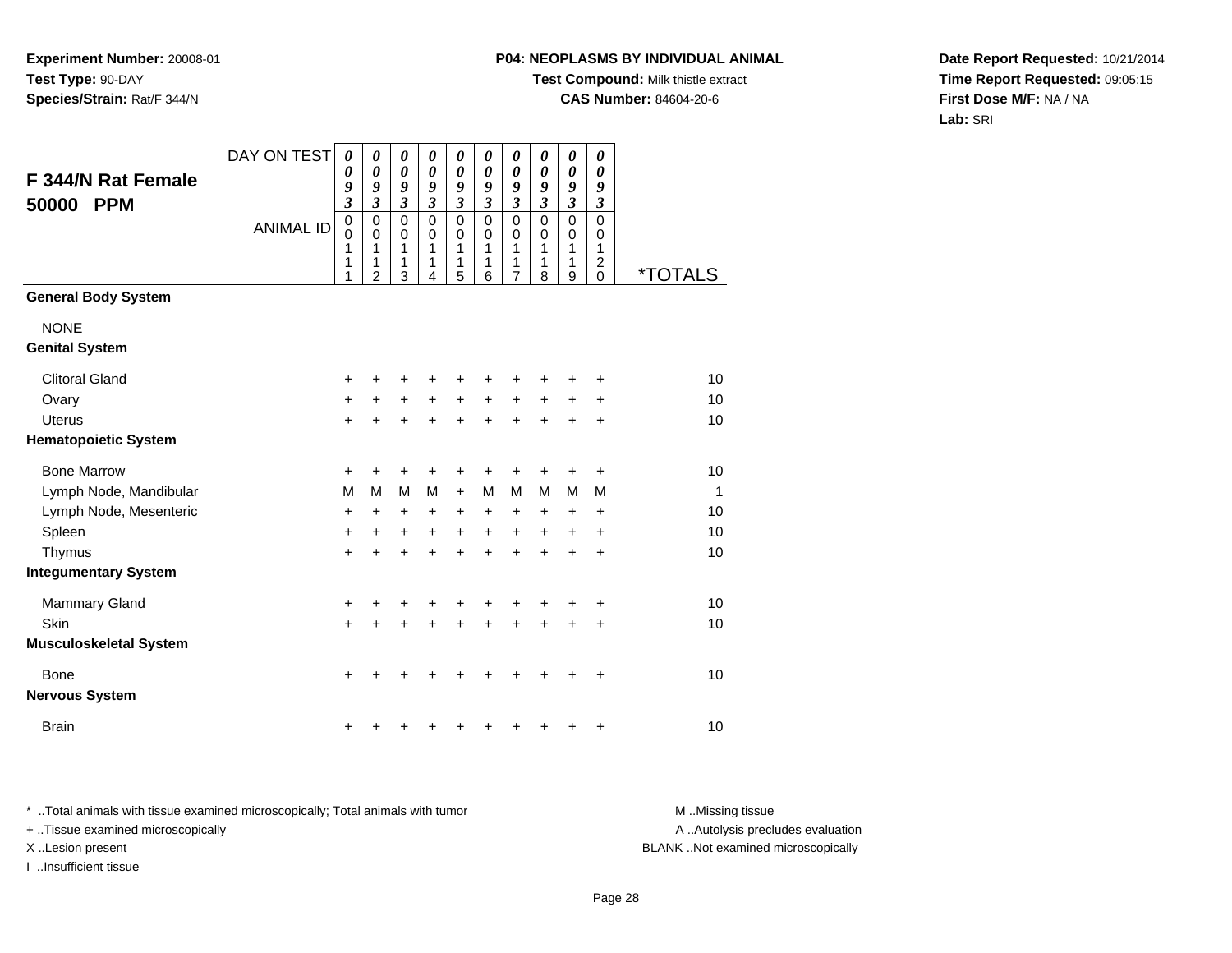# **P04: NEOPLASMS BY INDIVIDUAL ANIMAL**

**Test Compound:** Milk thistle extract

**CAS Number:** 84604-20-6

**Date Report Requested:** 10/21/2014**Time Report Requested:** 09:05:15**First Dose M/F:** NA / NA**Lab:** SRI

| F 344/N Rat Female<br>50000<br><b>PPM</b> | DAY ON TEST<br><b>ANIMAL ID</b> | 0<br>$\boldsymbol{\theta}$<br>9<br>$\boldsymbol{\beta}$<br>$\mathbf 0$<br>0<br>1<br>1<br>1 | 0<br>$\boldsymbol{\theta}$<br>9<br>$\mathfrak{z}$<br>$\mathbf 0$<br>0<br>1<br>1<br>$\overline{2}$ | 0<br>0<br>9<br>$\boldsymbol{\beta}$<br>$\mathbf 0$<br>$\mathbf 0$<br>1<br>1<br>3 | 0<br>0<br>9<br>$\mathfrak{z}$<br>$\mathbf 0$<br>0<br>1<br>1<br>4 | 0<br>$\boldsymbol{\theta}$<br>9<br>$\boldsymbol{\beta}$<br>$\mathbf 0$<br>0<br>1<br>$\mathbf{1}$<br>5 | 0<br>$\boldsymbol{\theta}$<br>9<br>$\mathfrak{z}$<br>$\mathbf 0$<br>0<br>1<br>1<br>6 | $\pmb{\theta}$<br>0<br>9<br>$\boldsymbol{\mathfrak{z}}$<br>$\mathbf 0$<br>0<br>1<br>1<br>$\overline{7}$ | 0<br>0<br>9<br>$\mathfrak{z}$<br>$\mathbf 0$<br>0<br>1<br>1<br>8 | $\boldsymbol{\theta}$<br>$\boldsymbol{\theta}$<br>9<br>$\boldsymbol{\beta}$<br>$\mathbf 0$<br>0<br>1<br>1<br>9 | 0<br>0<br>9<br>$\boldsymbol{\beta}$<br>$\mathbf 0$<br>0<br>1<br>$\overline{2}$<br>$\mathbf 0$ | <i><b>*TOTALS</b></i> |
|-------------------------------------------|---------------------------------|--------------------------------------------------------------------------------------------|---------------------------------------------------------------------------------------------------|----------------------------------------------------------------------------------|------------------------------------------------------------------|-------------------------------------------------------------------------------------------------------|--------------------------------------------------------------------------------------|---------------------------------------------------------------------------------------------------------|------------------------------------------------------------------|----------------------------------------------------------------------------------------------------------------|-----------------------------------------------------------------------------------------------|-----------------------|
| <b>General Body System</b>                |                                 |                                                                                            |                                                                                                   |                                                                                  |                                                                  |                                                                                                       |                                                                                      |                                                                                                         |                                                                  |                                                                                                                |                                                                                               |                       |
| <b>NONE</b><br><b>Genital System</b>      |                                 |                                                                                            |                                                                                                   |                                                                                  |                                                                  |                                                                                                       |                                                                                      |                                                                                                         |                                                                  |                                                                                                                |                                                                                               |                       |
| <b>Clitoral Gland</b>                     |                                 | $\ddot{}$                                                                                  |                                                                                                   | ٠                                                                                | ٠                                                                | +                                                                                                     | ٠                                                                                    | ٠                                                                                                       | ٠                                                                |                                                                                                                |                                                                                               | 10                    |
| Ovary                                     |                                 | +                                                                                          | $\ddot{}$                                                                                         | $\ddot{}$                                                                        | $\ddot{}$                                                        | $\ddot{}$                                                                                             | $+$                                                                                  | $+$                                                                                                     | $+$                                                              | $\ddot{}$                                                                                                      | $\ddot{}$                                                                                     | 10                    |
| <b>Uterus</b>                             |                                 | $\ddot{}$                                                                                  |                                                                                                   | +                                                                                | $\ddot{}$                                                        | $\ddot{}$                                                                                             | $\ddot{}$                                                                            | $\ddot{}$                                                                                               | $\ddot{}$                                                        | $\ddot{}$                                                                                                      | $\ddot{}$                                                                                     | 10                    |
| <b>Hematopoietic System</b>               |                                 |                                                                                            |                                                                                                   |                                                                                  |                                                                  |                                                                                                       |                                                                                      |                                                                                                         |                                                                  |                                                                                                                |                                                                                               |                       |
| <b>Bone Marrow</b>                        |                                 | $\ddot{}$                                                                                  | +                                                                                                 | +                                                                                | +                                                                | +                                                                                                     | +                                                                                    | +                                                                                                       | +                                                                | +                                                                                                              | $\ddot{}$                                                                                     | 10                    |
| Lymph Node, Mandibular                    |                                 | M                                                                                          | M                                                                                                 | M                                                                                | M                                                                | $\ddot{}$                                                                                             | м                                                                                    | M                                                                                                       | M                                                                | M                                                                                                              | M                                                                                             | $\mathbf{1}$          |
| Lymph Node, Mesenteric                    |                                 | +                                                                                          | $\ddot{}$                                                                                         | $\ddot{}$                                                                        | $\ddot{}$                                                        | $\ddot{}$                                                                                             | $\ddot{}$                                                                            | $\ddot{}$                                                                                               | +                                                                | $\ddot{}$                                                                                                      | $\ddot{}$                                                                                     | 10                    |
| Spleen                                    |                                 | +                                                                                          | $\ddot{}$                                                                                         | $\ddot{}$                                                                        | $\ddot{}$                                                        | $\ddot{}$                                                                                             | $\ddot{}$                                                                            | $\ddot{}$                                                                                               | $\ddot{}$                                                        | $\ddot{}$                                                                                                      | $\ddot{}$                                                                                     | 10                    |
| Thymus                                    |                                 | $\ddot{}$                                                                                  | $\ddot{}$                                                                                         | $+$                                                                              | $\ddot{}$                                                        | $\ddot{}$                                                                                             | $+$                                                                                  | $+$                                                                                                     | $\ddot{}$                                                        | $\ddot{}$                                                                                                      | $\ddot{}$                                                                                     | 10                    |
| <b>Integumentary System</b>               |                                 |                                                                                            |                                                                                                   |                                                                                  |                                                                  |                                                                                                       |                                                                                      |                                                                                                         |                                                                  |                                                                                                                |                                                                                               |                       |
| <b>Mammary Gland</b>                      |                                 | +                                                                                          | +                                                                                                 | +                                                                                | +                                                                | +                                                                                                     | +                                                                                    | +                                                                                                       | +                                                                |                                                                                                                | $\ddot{}$                                                                                     | 10                    |
| Skin                                      |                                 | $\ddot{}$                                                                                  | $\ddot{}$                                                                                         | $\ddot{}$                                                                        | $\ddot{}$                                                        | $\ddot{}$                                                                                             | $\ddot{}$                                                                            | $+$                                                                                                     | $\ddot{}$                                                        | $\ddot{}$                                                                                                      | $\ddot{}$                                                                                     | 10                    |
| <b>Musculoskeletal System</b>             |                                 |                                                                                            |                                                                                                   |                                                                                  |                                                                  |                                                                                                       |                                                                                      |                                                                                                         |                                                                  |                                                                                                                |                                                                                               |                       |
| Bone<br><b>Nervous System</b>             |                                 | $\ddot{}$                                                                                  |                                                                                                   |                                                                                  |                                                                  | +                                                                                                     |                                                                                      |                                                                                                         |                                                                  |                                                                                                                | $\ddot{}$                                                                                     | 10                    |
| <b>Brain</b>                              |                                 | +                                                                                          |                                                                                                   |                                                                                  | +                                                                | +                                                                                                     | +                                                                                    | +                                                                                                       | +                                                                | +                                                                                                              | $\ddot{}$                                                                                     | 10                    |

\* ..Total animals with tissue examined microscopically; Total animals with tumor **M** . Missing tissue M ..Missing tissue A ..Autolysis precludes evaluation + ..Tissue examined microscopically X ..Lesion present BLANK ..Not examined microscopicallyI ..Insufficient tissue